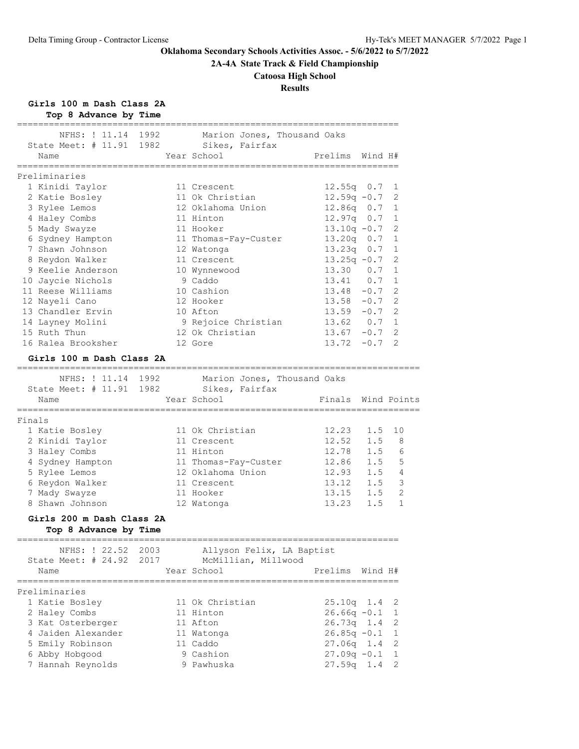**2A-4A State Track & Field Championship**

# **Catoosa High School**

# **Results**

**Girls 100 m Dash Class 2A**

|        | Top 8 Advance by Time                     |      |                                                  |                                  |         |                |
|--------|-------------------------------------------|------|--------------------------------------------------|----------------------------------|---------|----------------|
|        | NFHS: ! 11.14<br>State Meet: # 11.91 1982 | 1992 | Marion Jones, Thousand Oaks<br>Sikes, Fairfax    |                                  |         |                |
|        | Name                                      |      | Year School                                      | Prelims Wind H#                  |         |                |
|        | Preliminaries                             |      |                                                  |                                  |         |                |
|        | 1 Kinidi Taylor                           |      | 11 Crescent                                      | $12.55q$ 0.7                     |         | 1              |
|        | 2 Katie Bosley                            |      | 11 Ok Christian                                  | $12.59q - 0.7$                   |         | 2              |
|        | 3 Rylee Lemos                             |      | 12 Oklahoma Union                                | 12.86q 0.7                       |         | 1              |
|        | 4 Haley Combs                             |      | 11 Hinton                                        | $12.97q$ 0.7                     |         | 1              |
|        | 5 Mady Swayze                             |      | 11 Hooker                                        | $13.10q -0.7$                    |         | 2              |
|        | 6 Sydney Hampton                          |      | 11 Thomas-Fay-Custer                             | 13.20q 0.7                       |         | 1              |
|        | 7 Shawn Johnson                           |      | 12 Watonga                                       | $13.23q$ 0.7                     |         | 1              |
|        | 8 Reydon Walker                           |      | 11 Crescent                                      | $13.25q -0.7$                    |         | 2              |
|        | 9 Keelie Anderson                         |      | 10 Wynnewood                                     | $13.30 \t 0.7$                   |         | 1              |
|        | 10 Jaycie Nichols                         |      | 9 Caddo                                          | 13.41 0.7                        |         | $\mathbf{1}$   |
|        | 11 Reese Williams                         |      | 10 Cashion                                       | $13.48 - 0.7$                    |         | 2              |
|        | 12 Nayeli Cano                            |      | 12 Hooker                                        | $13.58 - 0.7$                    |         | 2              |
|        | 13 Chandler Ervin                         |      | 10 Afton                                         | $13.59 - 0.7$                    |         | 2              |
|        | 14 Layney Molini                          |      | 9 Rejoice Christian                              | 13.62 0.7                        |         | 1              |
|        | 15 Ruth Thun                              |      | 12 Ok Christian                                  | $13.67 - 0.7$                    |         | 2              |
|        | 16 Ralea Brooksher                        |      | 12 Gore                                          | $13.72 - 0.7$                    |         | 2              |
|        | Girls 100 m Dash Class 2A                 |      |                                                  |                                  |         |                |
|        |                                           |      |                                                  |                                  |         |                |
|        | NFHS: ! 11.14 1992                        |      | Marion Jones, Thousand Oaks                      |                                  |         |                |
|        | State Meet: # 11.91 1982                  |      | Sikes, Fairfax                                   |                                  |         |                |
|        | Name<br>=================                 |      | Year School<br>================================= | Finals<br>====================== |         | Wind Points    |
| Finals |                                           |      |                                                  |                                  |         |                |
|        | 1 Katie Bosley                            |      | 11 Ok Christian                                  | 12.23                            | 1.5     | 10             |
|        | 2 Kinidi Taylor                           |      | 11 Crescent                                      | 12.52                            | 1.5     | 8              |
|        | 3 Haley Combs                             |      | 11 Hinton                                        | 12.78 1.5                        |         | 6              |
|        | 4 Sydney Hampton                          |      | 11 Thomas-Fay-Custer                             | 12.86                            | 1.5     | 5              |
|        | 5 Rylee Lemos                             |      | 12 Oklahoma Union                                | $12.93$ $1.5$ 4                  |         |                |
|        | 6 Reydon Walker                           |      | 11 Crescent                                      | 13.12                            | 1.5     | 3              |
|        | 7 Mady Swayze                             |      | 11 Hooker                                        | $13.15$ $1.5$                    |         | $\mathfrak{D}$ |
|        | 8 Shawn Johnson                           |      | 12 Watonga                                       | 13.23 1.5                        |         | $\mathbf{1}$   |
|        | Girls 200 m Dash Class 2A                 |      |                                                  |                                  |         |                |
|        | Top 8 Advance by Time                     |      |                                                  |                                  |         |                |
|        | NFHS: ! 22.52                             | 2003 | Allyson Felix, LA Baptist                        |                                  |         |                |
|        | State Meet: $#24.92$                      | 2017 | McMillian, Millwood                              |                                  |         |                |
|        | Name                                      |      | Year School                                      | Prelims                          | Wind H# |                |
|        |                                           |      |                                                  | ,,,,,,,,,,,,,,,,,,,,,,,,         |         |                |
|        | Preliminaries                             |      |                                                  |                                  |         |                |
|        | 1 Katie Bosley                            |      | 11 Ok Christian                                  | $25.10q$ 1.4                     |         | 2              |
|        | 2 Haley Combs                             |      | 11 Hinton                                        | $26.66q -0.1$                    |         | 1              |
|        | 3 Kat Osterberger                         |      | 11 Afton                                         | $26.73q$ 1.4                     |         | 2              |
|        | 4 Jaiden Alexander                        |      | 11 Watonga                                       | $26.85q -0.1$                    |         | 1              |
|        | 5 Emily Robinson                          |      | 11 Caddo                                         | $27.06q$ 1.4                     |         | 2              |
|        | 6 Abby Hobgood                            |      | 9 Cashion                                        | $27.09q - 0.1$                   |         | 1              |
|        | 7 Hannah Reynolds                         |      | 9 Pawhuska                                       | $27.59q$ 1.4                     |         | 2              |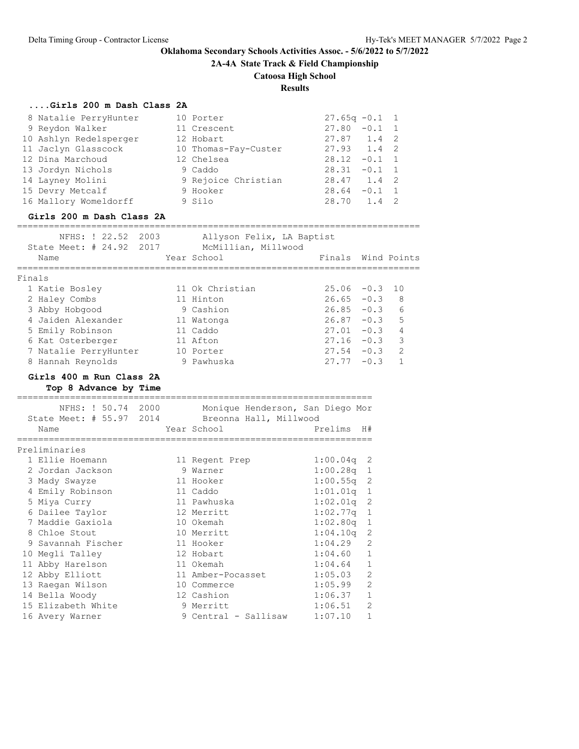**2A-4A State Track & Field Championship**

# **Catoosa High School**

# **Results**

|  | Girls 200 m Dash Class 2A |  |  |  |  |  |
|--|---------------------------|--|--|--|--|--|
|--|---------------------------|--|--|--|--|--|

| 8 Natalie PerryHunter<br>9 Reydon Walker<br>10 Ashlyn Redelsperger<br>11 Jaclyn Glasscock<br>12 Dina Marchoud<br>13 Jordyn Nichols<br>14 Layney Molini<br>15 Devry Metcalf<br>16 Mallory Womeldorff<br>Girls 200 m Dash Class 2A<br>================================ | 10 Porter<br>11 Crescent<br>12 Hobart<br>10 Thomas-Fay-Custer<br>12 Chelsea<br>9 Caddo<br>9 Rejoice Christian<br>9 Hooker<br>9 Silo | $27.65q -0.1$<br>$27.80 - 0.1$<br>$27.87$ 1.4<br>27.93 1.4<br>$28.12 - 0.1$<br>$28.31 - 0.1$<br>28.47 1.4<br>$28.64 - 0.1 1$<br>28.70 1.4 |                | 1<br>1<br>2<br>2<br>1<br>1<br>2<br>2 |
|----------------------------------------------------------------------------------------------------------------------------------------------------------------------------------------------------------------------------------------------------------------------|-------------------------------------------------------------------------------------------------------------------------------------|-------------------------------------------------------------------------------------------------------------------------------------------|----------------|--------------------------------------|
| NFHS: ! 22.52 2003                                                                                                                                                                                                                                                   | Allyson Felix, LA Baptist                                                                                                           |                                                                                                                                           |                |                                      |
| State Meet: # 24.92 2017<br>Name                                                                                                                                                                                                                                     | McMillian, Millwood<br>Year School                                                                                                  | Finals                                                                                                                                    |                | Wind Points                          |
|                                                                                                                                                                                                                                                                      |                                                                                                                                     |                                                                                                                                           |                |                                      |
| Finals<br>1 Katie Bosley                                                                                                                                                                                                                                             | 11 Ok Christian                                                                                                                     | $25.06 - 0.3$                                                                                                                             |                | 10                                   |
| 2 Haley Combs                                                                                                                                                                                                                                                        | 11 Hinton                                                                                                                           | $26.65 - 0.3$                                                                                                                             |                | 8                                    |
| 3 Abby Hobgood                                                                                                                                                                                                                                                       | 9 Cashion                                                                                                                           | $26.85 -0.3$ 6                                                                                                                            |                |                                      |
| 4 Jaiden Alexander                                                                                                                                                                                                                                                   | 11 Watonga                                                                                                                          | $26.87 - 0.3$ 5                                                                                                                           |                |                                      |
| 5 Emily Robinson                                                                                                                                                                                                                                                     | 11 Caddo                                                                                                                            | $27.01 - 0.3$ 4                                                                                                                           |                |                                      |
| 6 Kat Osterberger                                                                                                                                                                                                                                                    | 11 Afton                                                                                                                            | $27.16 - 0.3$ 3                                                                                                                           |                |                                      |
| 7 Natalie PerryHunter                                                                                                                                                                                                                                                | 10 Porter                                                                                                                           | $27.54 - 0.3$                                                                                                                             |                | 2                                    |
| 8 Hannah Reynolds                                                                                                                                                                                                                                                    | 9 Pawhuska                                                                                                                          | $27.77 - 0.3$                                                                                                                             |                | $\mathbf{1}$                         |
| Girls 400 m Run Class 2A<br>Top 8 Advance by Time<br>NFHS: ! 50.74 2000                                                                                                                                                                                              | ===============================<br>Monique Henderson, San Diego Mor                                                                 |                                                                                                                                           |                |                                      |
| State Meet: # 55.97 2014 Breonna Hall, Millwood                                                                                                                                                                                                                      |                                                                                                                                     |                                                                                                                                           |                |                                      |
| Name                                                                                                                                                                                                                                                                 | Year School                                                                                                                         | Prelims                                                                                                                                   | H#             |                                      |
| ================<br>Preliminaries                                                                                                                                                                                                                                    |                                                                                                                                     |                                                                                                                                           |                |                                      |
| 1 Ellie Hoemann                                                                                                                                                                                                                                                      | 11 Regent Prep                                                                                                                      | 1:00.04q                                                                                                                                  | 2              |                                      |
| 2 Jordan Jackson                                                                                                                                                                                                                                                     | 9 Warner                                                                                                                            | 1:00.28q                                                                                                                                  | 1              |                                      |
| 3 Mady Swayze                                                                                                                                                                                                                                                        | 11 Hooker                                                                                                                           | 1:00.55q                                                                                                                                  | $\mathbf{2}$   |                                      |
| 4 Emily Robinson                                                                                                                                                                                                                                                     | 11 Caddo                                                                                                                            | $1:01.01q$ 1                                                                                                                              |                |                                      |
| 5 Miya Curry                                                                                                                                                                                                                                                         | 11 Pawhuska                                                                                                                         | 1:02.01q                                                                                                                                  | $\overline{c}$ |                                      |
| 6 Dailee Taylor                                                                                                                                                                                                                                                      | 12 Merritt                                                                                                                          | 1:02.77q                                                                                                                                  | $\mathbf 1$    |                                      |
| 7 Maddie Gaxiola                                                                                                                                                                                                                                                     | 10 Okemah                                                                                                                           | 1:02.80q                                                                                                                                  | 1              |                                      |
| 8 Chloe Stout                                                                                                                                                                                                                                                        | 10 Merritt                                                                                                                          | 1:04.10q                                                                                                                                  | $\overline{2}$ |                                      |
| 9 Savannah Fischer                                                                                                                                                                                                                                                   | 11 Hooker                                                                                                                           | 1:04.29                                                                                                                                   | 2              |                                      |
| 10 Megli Talley                                                                                                                                                                                                                                                      | 12 Hobart                                                                                                                           | 1:04.60                                                                                                                                   | 1              |                                      |
| 11 Abby Harelson                                                                                                                                                                                                                                                     | 11 Okemah                                                                                                                           | 1:04.64                                                                                                                                   | $\mathbf 1$    |                                      |
| 12 Abby Elliott                                                                                                                                                                                                                                                      | 11 Amber-Pocasset                                                                                                                   | 1:05.03                                                                                                                                   | 2              |                                      |
| 13 Raegan Wilson                                                                                                                                                                                                                                                     | 10 Commerce                                                                                                                         | 1:05.99                                                                                                                                   | 2              |                                      |
| 14 Bella Woody                                                                                                                                                                                                                                                       | 12 Cashion                                                                                                                          | 1:06.37                                                                                                                                   | 1              |                                      |
| 15 Elizabeth White                                                                                                                                                                                                                                                   | 9 Merritt                                                                                                                           | 1:06.51                                                                                                                                   | 2              |                                      |
| 16 Avery Warner                                                                                                                                                                                                                                                      | 9 Central - Sallisaw                                                                                                                | 1:07.10                                                                                                                                   | $\mathbf 1$    |                                      |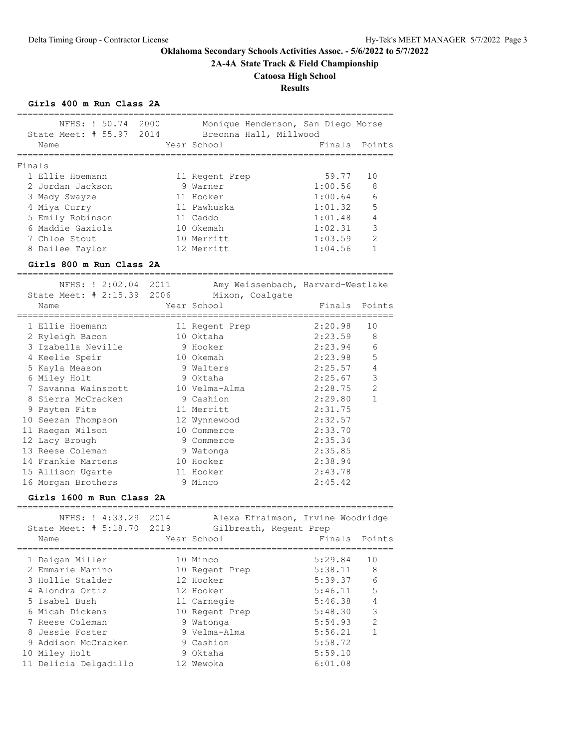# **2A-4A State Track & Field Championship**

**Catoosa High School**

# **Results**

### **Girls 400 m Run Class 2A**

| NFHS: ! 50.74                                | 2000 | Monique Henderson, San Diego Morse |                        |                |
|----------------------------------------------|------|------------------------------------|------------------------|----------------|
| State Meet: # 55.97 2014                     |      | Breonna Hall, Millwood             |                        |                |
| Name                                         |      | Year School                        | Finals                 | Points         |
| ===========                                  |      |                                    | =====================  |                |
| Finals<br>1 Ellie Hoemann                    |      |                                    | 59.77                  | 10             |
| 2 Jordan Jackson                             |      | 11 Regent Prep<br>9 Warner         | 1:00.56                | 8              |
|                                              |      | 11 Hooker                          | 1:00.64                | 6              |
| 3 Mady Swayze<br>4 Miya Curry                |      | 11 Pawhuska                        | 1:01.32                | 5              |
| 5 Emily Robinson                             |      | 11 Caddo                           | 1:01.48                | 4              |
| 6 Maddie Gaxiola                             |      | 10 Okemah                          | 1:02.31                | 3              |
| 7 Chloe Stout                                |      | 10 Merritt                         | 1:03.59                | $\overline{2}$ |
| 8 Dailee Taylor                              |      | 12 Merritt                         | 1:04.56                | $\mathbf{1}$   |
|                                              |      |                                    |                        |                |
| Girls 800 m Run Class 2A                     |      |                                    |                        |                |
| NFHS: ! 2:02.04 2011                         |      | Amy Weissenbach, Harvard-Westlake  |                        |                |
| State Meet: # 2:15.39 2006                   |      | Mixon, Coalgate                    |                        |                |
| Name                                         |      | Year School                        | Finals                 | Points         |
|                                              |      |                                    | ====================== |                |
| 1 Ellie Hoemann                              |      | 11 Regent Prep                     | 2:20.98                | 10             |
| 2 Ryleigh Bacon                              |      | 10 Oktaha                          | 2:23.59                | 8              |
| 3 Izabella Neville                           |      | 9 Hooker                           | 2:23.94                | 6              |
| 4 Keelie Speir                               |      | 10 Okemah                          | 2:23.98                | 5              |
| 5 Kayla Meason                               |      | 9 Walters                          | 2:25.57                | 4              |
| 6 Miley Holt                                 |      | 9 Oktaha                           | 2:25.67                | 3              |
| 7 Savanna Wainscott                          |      | 10 Velma-Alma                      | 2:28.75                | $\overline{2}$ |
| 8 Sierra McCracken                           |      | 9 Cashion                          | 2:29.80                | $\mathbf{1}$   |
| 9 Payten Fite                                |      | 11 Merritt                         | 2:31.75                |                |
| 10 Seezan Thompson                           |      | 12 Wynnewood                       | 2:32.57                |                |
| 11 Raegan Wilson                             |      | 10 Commerce                        | 2:33.70                |                |
| 12 Lacy Brough                               |      | 9 Commerce                         | 2:35.34                |                |
| 13 Reese Coleman                             |      | 9 Watonga                          | 2:35.85                |                |
| 14 Frankie Martens                           |      | 10 Hooker                          | 2:38.94                |                |
| 15 Allison Ugarte                            |      | 11 Hooker                          | 2:43.78                |                |
| 16 Morgan Brothers                           |      | 9 Minco                            | 2:45.42                |                |
| Girls 1600 m Run Class 2A                    |      |                                    |                        |                |
| -------------------------<br>NFHS: ! 4:33.29 | 2014 | Alexa Efraimson, Irvine Woodridge  |                        |                |
| State Meet: # 5:18.70                        | 2019 | Gilbreath, Regent Prep             |                        |                |
| Name                                         |      | Year School                        | Finals                 | Points         |
|                                              |      |                                    |                        |                |
| 1 Daigan Miller                              |      | 10 Minco                           | 5:29.84                | 10             |
| 2 Emmarie Marino                             |      | 10 Regent Prep                     | 5:38.11                | 8              |
| 3 Hollie Stalder                             |      | 12 Hooker                          | 5:39.37                | 6              |
| 4 Alondra Ortiz                              |      | 12 Hooker                          | 5:46.11                | 5              |
| 5 Isabel Bush                                |      | 11 Carnegie                        | 5:46.38                | $\sqrt{4}$     |
| 6 Micah Dickens                              |      | 10 Regent Prep                     | 5:48.30                | 3              |
| 7 Reese Coleman                              |      | 9 Watonga                          | 5:54.93                | 2              |
| 8 Jessie Foster                              |      | 9 Velma-Alma                       | 5:56.21                | 1              |
| 9 Addison McCracken                          |      | 9 Cashion                          | 5:58.72                |                |
| 10 Miley Holt                                |      | 9 Oktaha                           | 5:59.10                |                |
| 11 Delicia Delgadillo                        |      | 12 Wewoka                          | 6:01.08                |                |

=======================================================================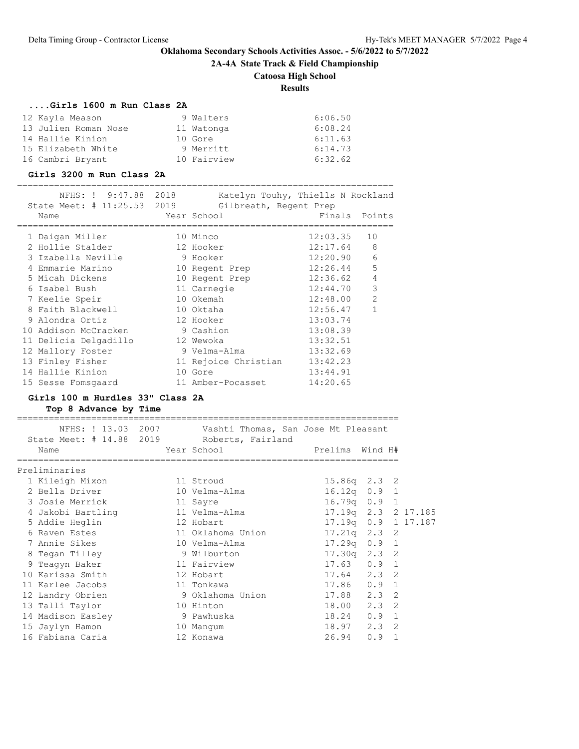**2A-4A State Track & Field Championship**

# **Catoosa High School**

**Results**

### **....Girls 1600 m Run Class 2A**

| 12 Kayla Meason      | 9 Walters   | 6:06.50 |
|----------------------|-------------|---------|
| 13 Julien Roman Nose | 11 Watonga  | 6:08.24 |
| 14 Hallie Kinion     | 10 Gore     | 6:11.63 |
| 15 Elizabeth White   | 9 Merritt   | 6:14.73 |
| 16 Cambri Bryant     | 10 Fairview | 6:32.62 |

### **Girls 3200 m Run Class 2A**

|  | NFHS: ! 9:47.88 2018<br>State Meet: # 11:25.53 2019<br>Name |           | Katelyn Touhy, Thiells N Rockland<br>Gilbreath, Regent Prep<br>Year School | Finals   | Points         |
|--|-------------------------------------------------------------|-----------|----------------------------------------------------------------------------|----------|----------------|
|  |                                                             |           |                                                                            |          |                |
|  | 1 Daigan Miller                                             |           | 10 Minco                                                                   | 12:03.35 | 10             |
|  | 2 Hollie Stalder                                            |           | 12 Hooker                                                                  | 12:17.64 | -8             |
|  | 3 Izabella Neville                                          |           | 9 Hooker                                                                   | 12:20.90 | 6              |
|  | 4 Emmarie Marino                                            |           | 10 Regent Prep                                                             | 12:26.44 | 5              |
|  | 5 Micah Dickens                                             |           | 10 Regent Prep                                                             | 12:36.62 | $\overline{4}$ |
|  | 6 Isabel Bush                                               |           | 11 Carnegie                                                                | 12:44.70 | 3              |
|  | 7 Keelie Speir                                              |           | 10 Okemah                                                                  | 12:48.00 | $\overline{2}$ |
|  | 8 Faith Blackwell                                           |           | 10 Oktaha                                                                  | 12:56.47 | $\mathbf{1}$   |
|  | 9 Alondra Ortiz                                             | 12 Hooker |                                                                            | 13:03.74 |                |
|  | 10 Addison McCracken                                        |           | 9 Cashion                                                                  | 13:08.39 |                |
|  | 11 Delicia Delgadillo                                       |           | 12 Wewoka                                                                  | 13:32.51 |                |
|  | 12 Mallory Foster                                           |           | 9 Velma-Alma                                                               | 13:32.69 |                |
|  | 13 Finley Fisher                                            |           | 11 Rejoice Christian                                                       | 13:42.23 |                |
|  | 14 Hallie Kinion                                            |           | 10 Gore                                                                    | 13:44.91 |                |
|  | 15 Sesse Fomsgaard                                          |           | 11 Amber-Pocasset                                                          | 14:20.65 |                |
|  |                                                             |           |                                                                            |          |                |

# **Girls 100 m Hurdles 33" Class 2A**

**Top 8 Advance by Time**

| Name              |                                                                                                                   |                                                                                                                                                                                                                                                                                                           |                                                                                                                                                                                                                                                                                                                                                                                 |
|-------------------|-------------------------------------------------------------------------------------------------------------------|-----------------------------------------------------------------------------------------------------------------------------------------------------------------------------------------------------------------------------------------------------------------------------------------------------------|---------------------------------------------------------------------------------------------------------------------------------------------------------------------------------------------------------------------------------------------------------------------------------------------------------------------------------------------------------------------------------|
|                   |                                                                                                                   |                                                                                                                                                                                                                                                                                                           |                                                                                                                                                                                                                                                                                                                                                                                 |
| Preliminaries     |                                                                                                                   |                                                                                                                                                                                                                                                                                                           |                                                                                                                                                                                                                                                                                                                                                                                 |
| 1 Kileigh Mixon   |                                                                                                                   |                                                                                                                                                                                                                                                                                                           |                                                                                                                                                                                                                                                                                                                                                                                 |
| 2 Bella Driver    |                                                                                                                   |                                                                                                                                                                                                                                                                                                           |                                                                                                                                                                                                                                                                                                                                                                                 |
| 3 Josie Merrick   |                                                                                                                   |                                                                                                                                                                                                                                                                                                           |                                                                                                                                                                                                                                                                                                                                                                                 |
| 4 Jakobi Bartling |                                                                                                                   |                                                                                                                                                                                                                                                                                                           |                                                                                                                                                                                                                                                                                                                                                                                 |
| 5 Addie Heglin    |                                                                                                                   |                                                                                                                                                                                                                                                                                                           |                                                                                                                                                                                                                                                                                                                                                                                 |
| 6 Raven Estes     |                                                                                                                   |                                                                                                                                                                                                                                                                                                           |                                                                                                                                                                                                                                                                                                                                                                                 |
| 7 Annie Sikes     |                                                                                                                   |                                                                                                                                                                                                                                                                                                           |                                                                                                                                                                                                                                                                                                                                                                                 |
| 8 Tegan Tilley    |                                                                                                                   |                                                                                                                                                                                                                                                                                                           |                                                                                                                                                                                                                                                                                                                                                                                 |
|                   |                                                                                                                   |                                                                                                                                                                                                                                                                                                           |                                                                                                                                                                                                                                                                                                                                                                                 |
| 10 Karissa Smith  |                                                                                                                   |                                                                                                                                                                                                                                                                                                           |                                                                                                                                                                                                                                                                                                                                                                                 |
| 11 Karlee Jacobs  |                                                                                                                   |                                                                                                                                                                                                                                                                                                           |                                                                                                                                                                                                                                                                                                                                                                                 |
|                   |                                                                                                                   |                                                                                                                                                                                                                                                                                                           |                                                                                                                                                                                                                                                                                                                                                                                 |
|                   |                                                                                                                   |                                                                                                                                                                                                                                                                                                           |                                                                                                                                                                                                                                                                                                                                                                                 |
|                   |                                                                                                                   |                                                                                                                                                                                                                                                                                                           |                                                                                                                                                                                                                                                                                                                                                                                 |
|                   |                                                                                                                   |                                                                                                                                                                                                                                                                                                           |                                                                                                                                                                                                                                                                                                                                                                                 |
|                   |                                                                                                                   |                                                                                                                                                                                                                                                                                                           | $\mathbf{1}$                                                                                                                                                                                                                                                                                                                                                                    |
|                   | 9 Teagyn Baker<br>12 Landry Obrien<br>13 Talli Taylor<br>14 Madison Easley<br>15 Jaylyn Hamon<br>16 Fabiana Caria | State Meet: # 14.88 2019 Roberts, Fairland<br>Year School<br>11 Stroud<br>10 Velma-Alma<br>11 Sayre<br>11 Velma-Alma<br>12 Hobart<br>11 Oklahoma Union<br>10 Velma-Alma<br>9 Wilburton<br>11 Fairview<br>12 Hobart<br>11 Tonkawa<br>9 Oklahoma Union<br>10 Hinton<br>9 Pawhuska<br>10 Mangum<br>12 Konawa | NFHS: ! 13.03 2007 Vashti Thomas, San Jose Mt Pleasant<br>Prelims Wind H#<br>$15.86q$ 2.3 2<br>$16.12q$ 0.9 1<br>$16.79q$ 0.9 1<br>17.19q 2.3 2 17.185<br>17.19q  0.9  1  17.187<br>$17.21q$ $2.3$ 2<br>$17.29q$ 0.9 1<br>$17.30q$ $2.3$ 2<br>$17.63$ 0.9 1<br>$17.64$ $2.3$ 2<br>17.86 0.9 1<br>17.88 2.3 2<br>18.00 2.3 2<br>$18.24$ 0.9 1<br>$18.97$ $2.3$ 2<br>0.9<br>26.94 |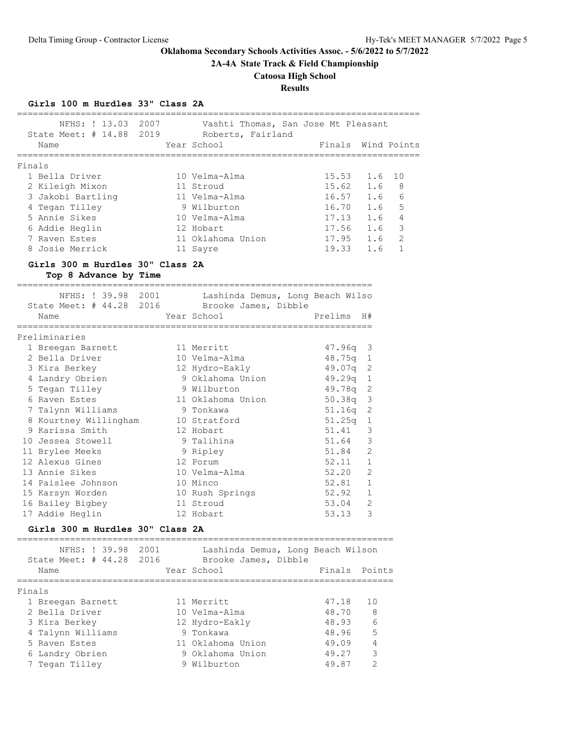**2A-4A State Track & Field Championship**

# **Catoosa High School**

# **Results**

# **Girls 100 m Hurdles 33" Class 2A**

| State Meet: # 14.88 2019 Roberts, Fairland                |            | NFHS: ! 13.03 2007 Vashti Thomas, San Jose Mt Pleasant |                            |                    |
|-----------------------------------------------------------|------------|--------------------------------------------------------|----------------------------|--------------------|
| Name                                                      |            | Year School                                            |                            | Finals Wind Points |
|                                                           |            |                                                        |                            |                    |
| Finals<br>1 Bella Driver                                  |            | 10 Velma-Alma                                          |                            |                    |
| 2 Kileigh Mixon 11 Stroud                                 |            |                                                        | $15.53$ 1.6<br>$15.62$ 1.6 | 10<br>8            |
|                                                           |            | 11 Velma-Alma                                          |                            | 6                  |
| 3 Jakobi Bartling<br>4 Tegan Tilley                       |            |                                                        | $16.57$ 1.6                | - 5                |
| 5 Annie Sikes                                             |            | 9 Wilburton<br>10 Velma-Alma<br>12 Hobart              | $16.70$ 1.6<br>17.13 1.6   | $\overline{4}$     |
| 6 Addie Heglin                                            |            |                                                        |                            | $17.56$ $1.6$ 3    |
| 7 Raven Estes                                             |            | 11 Oklahoma Union                                      | $17.95$ $1.6$ 2            |                    |
| 8 Josie Merrick                                           |            | 11 Sayre                                               | 19.33 1.6                  | $\overline{1}$     |
|                                                           |            |                                                        |                            |                    |
| Girls 300 m Hurdles 30" Class 2A<br>Top 8 Advance by Time |            |                                                        |                            |                    |
| NFHS: ! 39.98 2001                                        |            | Lashinda Demus, Long Beach Wilso                       |                            |                    |
|                                                           |            | State Meet: # 44.28 2016 Brooke James, Dibble          |                            |                    |
| Name                                                      |            | Year School Neutran Prelims H#                         |                            |                    |
|                                                           |            |                                                        |                            |                    |
| Preliminaries                                             |            |                                                        |                            |                    |
| 1 Breegan Barnett                                         | 11 Merritt |                                                        | 47.96q 3                   |                    |
| 2 Bella Driver                                            |            | 10 Velma-Alma                                          | 48.75q 1                   |                    |
| 3 Kira Berkey                                             |            | 12 Hydro-Eakly                                         | 49.07q 2                   |                    |
| 4 Landry Obrien                                           |            | 9 Oklahoma Union                 49.29q  1             |                            |                    |
|                                                           |            |                                                        | 49.78q 2                   |                    |
|                                                           |            |                                                        | $50.38q$ 3                 |                    |
| 7 Talynn Williams                                         |            |                                                        | $51.16q$ 2                 |                    |
| 8 Kourtney Willingham 10 Stratford<br>9 Karissa Smith     |            | 12 Hobart                                              | $51.25q$ 1<br>51.41        | 3                  |
| 10 Jessea Stowell                                         |            | 9 Talihina                                             | 51.64                      | 3                  |
| 11 Brylee Meeks                                           |            | 9 Ripley                                               | 51.84                      | 2                  |
| 12 Alexus Gines                                           |            | 12 Porum                                               | 52.11 1                    |                    |
| 13 Annie Sikes                                            |            | 10 Velma-Alma                                          | 52.20                      | -2                 |
| 14 Paislee Johnson                                        |            | 10 Minco                                               | 52.81 1                    |                    |
| 15 Karsyn Worden 10 Rush Springs                          |            |                                                        | 52.92 1                    |                    |
| 16 Bailey Bigbey 11 Stroud                                |            |                                                        | 53.04 2                    |                    |
| 17 Addie Heglin                                           | 12 Hobart  |                                                        | 53.13                      | 3                  |
| Girls 300 m Hurdles 30" Class 2A                          |            |                                                        |                            |                    |
| NFHS: ! 39.98 2001                                        |            | Lashinda Demus, Long Beach Wilson                      |                            |                    |
|                                                           |            | State Meet: # 44.28 2016 Brooke James, Dibble          |                            |                    |
| Name                                                      |            | Year School                                            | Finals Points              |                    |
|                                                           |            |                                                        |                            |                    |
| Finals                                                    |            |                                                        |                            |                    |
| 1 Breegan Barnett                                         |            | 11 Merritt                                             | 47.18                      | 10                 |
| 2 Bella Driver                                            |            | 10 Velma-Alma                                          | 48.70                      | 8                  |
| 3 Kira Berkey                                             |            | 12 Hydro-Eakly                                         | 48.93                      | 6                  |
| 4 Talynn Williams                                         |            | 9 Tonkawa                                              | 48.96                      | 5                  |
| 5 Raven Estes                                             |            | 11 Oklahoma Union                                      | 49.09                      | 4                  |
| 6 Landry Obrien                                           |            | 9 Oklahoma Union                                       | 49.27                      | 3<br>2             |
| 7 Tegan Tilley                                            |            | 9 Wilburton                                            | 49.87                      |                    |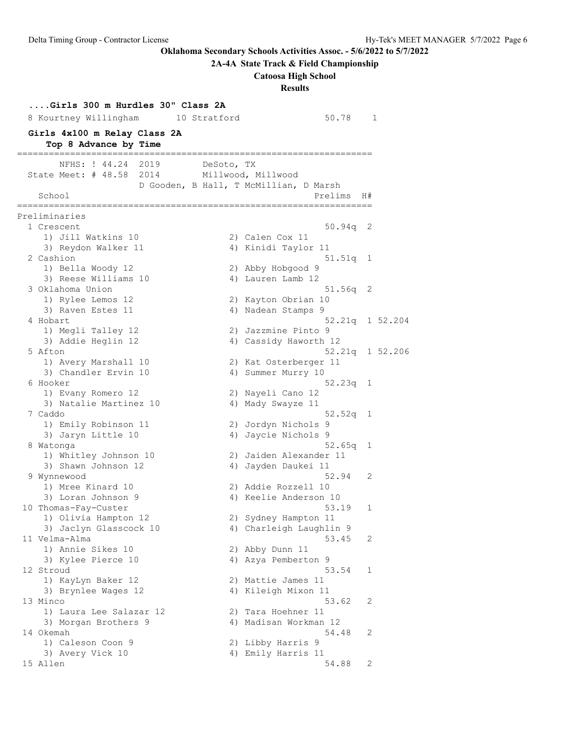**2A-4A State Track & Field Championship**

# **Catoosa High School**

**Results**

| Girls 300 m Hurdles 30" Class 2A<br>8 Kourtney Willingham | 10 Stratford | 50.78                                                                   |    | 1               |
|-----------------------------------------------------------|--------------|-------------------------------------------------------------------------|----|-----------------|
| Girls 4x100 m Relay Class 2A<br>Top 8 Advance by Time     |              |                                                                         |    |                 |
| NFHS: ! 44.24<br>2019                                     | DeSoto, TX   |                                                                         |    |                 |
| State Meet: # 48.58 2014<br>School                        |              | Millwood, Millwood<br>D Gooden, B Hall, T McMillian, D Marsh<br>Prelims | H# |                 |
|                                                           |              | =============                                                           |    |                 |
| Preliminaries<br>1 Crescent                               |              | 50.94q                                                                  | 2  |                 |
| 1) Jill Watkins 10                                        |              | 2) Calen Cox 11                                                         |    |                 |
| 3) Reydon Walker 11                                       |              | 4) Kinidi Taylor 11                                                     |    |                 |
| 2 Cashion                                                 |              | 51.51q 1                                                                |    |                 |
| 1) Bella Woody 12                                         |              | 2) Abby Hobgood 9                                                       |    |                 |
| 3) Reese Williams 10                                      |              | 4) Lauren Lamb 12                                                       |    |                 |
| 3 Oklahoma Union                                          |              | 51.56q                                                                  | 2  |                 |
| 1) Rylee Lemos 12                                         |              | 2) Kayton Obrian 10                                                     |    |                 |
| 3) Raven Estes 11                                         |              | 4) Nadean Stamps 9                                                      |    |                 |
| 4 Hobart                                                  |              |                                                                         |    | 52.21q 1 52.204 |
| 1) Megli Talley 12                                        |              | 2) Jazzmine Pinto 9                                                     |    |                 |
| 3) Addie Heglin 12                                        |              | 4) Cassidy Haworth 12                                                   |    |                 |
| 5 Afton                                                   |              |                                                                         |    | 52.21q 1 52.206 |
| 1) Avery Marshall 10                                      |              | 2) Kat Osterberger 11                                                   |    |                 |
| 3) Chandler Ervin 10                                      |              | 4) Summer Murry 10                                                      |    |                 |
| 6 Hooker                                                  |              | 52.23q 1                                                                |    |                 |
| 1) Evany Romero 12                                        |              | 2) Nayeli Cano 12                                                       |    |                 |
| 3) Natalie Martinez 10                                    |              | 4) Mady Swayze 11                                                       |    |                 |
| 7 Caddo                                                   |              | 52.52q                                                                  | 1  |                 |
| 1) Emily Robinson 11                                      |              | 2) Jordyn Nichols 9                                                     |    |                 |
| 3) Jaryn Little 10<br>8 Watonga                           |              | 4) Jaycie Nichols 9<br>52.65q                                           | 1  |                 |
| 1) Whitley Johnson 10                                     |              | 2) Jaiden Alexander 11                                                  |    |                 |
| 3) Shawn Johnson 12                                       |              | 4) Jayden Daukei 11                                                     |    |                 |
| 9 Wynnewood                                               |              | 52.94                                                                   | 2  |                 |
| 1) Mree Kinard 10                                         |              | 2) Addie Rozzell 10                                                     |    |                 |
| 3) Loran Johnson 9                                        |              | 4) Keelie Anderson 10                                                   |    |                 |
| 10 Thomas-Fay-Custer                                      |              | 53.19                                                                   | 1  |                 |
| 1) Olivia Hampton 12                                      |              | 2) Sydney Hampton 11                                                    |    |                 |
| 3) Jaclyn Glasscock 10                                    |              | 4) Charleigh Laughlin 9                                                 |    |                 |
| 11 Velma-Alma                                             |              | 53.45                                                                   | 2  |                 |
| 1) Annie Sikes 10                                         |              | 2) Abby Dunn 11                                                         |    |                 |
| 3) Kylee Pierce 10                                        |              | 4) Azya Pemberton 9                                                     |    |                 |
| 12 Stroud                                                 |              | 53.54                                                                   | 1  |                 |
| 1) KayLyn Baker 12                                        |              | 2) Mattie James 11                                                      |    |                 |
| 3) Brynlee Wages 12                                       |              | 4) Kileigh Mixon 11                                                     |    |                 |
| 13 Minco                                                  |              | 53.62                                                                   | 2  |                 |
| 1) Laura Lee Salazar 12                                   |              | 2) Tara Hoehner 11                                                      |    |                 |
| 3) Morgan Brothers 9<br>14 Okemah                         |              | 4) Madisan Workman 12<br>54.48                                          | 2  |                 |
| 1) Caleson Coon 9                                         |              | 2) Libby Harris 9                                                       |    |                 |
| 3) Avery Vick 10                                          |              | 4) Emily Harris 11                                                      |    |                 |
| 15 Allen                                                  |              | 54.88                                                                   | 2  |                 |
|                                                           |              |                                                                         |    |                 |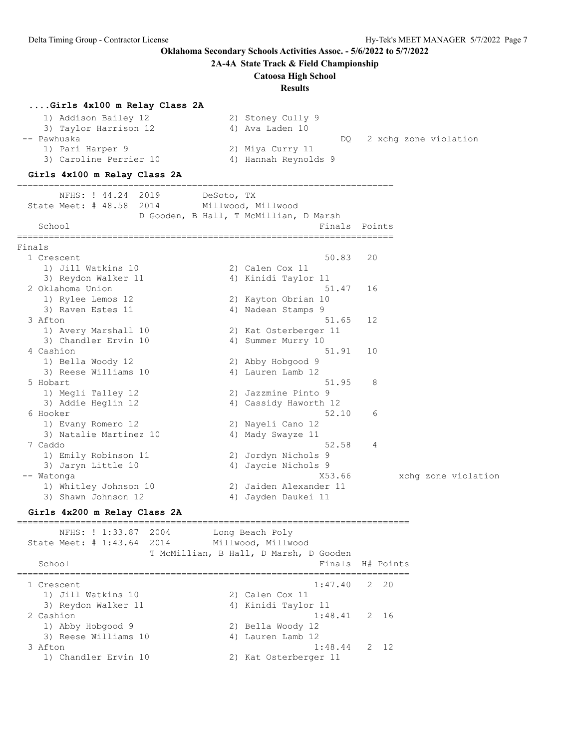**2A-4A State Track & Field Championship**

#### **Catoosa High School**

**Results**

### **....Girls 4x100 m Relay Class 2A**

| 1) Addison Bailey 12   | 2) Stoney Cully 9            |
|------------------------|------------------------------|
| 3) Taylor Harrison 12  | 4) Ava Laden 10              |
| -- Pawhuska            | 2 xchq zone violation<br>DO. |
| 1) Pari Harper 9       | 2) Miya Curry 11             |
| 3) Caroline Perrier 10 | 4) Hannah Reynolds 9         |

=======================================================================

### **Girls 4x100 m Relay Class 2A**

 NFHS: ! 44.24 2019 DeSoto, TX State Meet: # 48.58 2014 Millwood, Millwood D Gooden, B Hall, T McMillian, D Marsh School **Finals** Points ======================================================================= Finals 1 Crescent 50.83 20 1) Jill Watkins 10 2) Calen Cox 11 3) Reydon Walker 11 4) Kinidi Taylor 11 2 Oklahoma Union 51.47 16 1) Rylee Lemos 12 2) Kayton Obrian 10 3) Raven Estes 11 (4) Nadean Stamps 9 3 Afton 51.65 12 1) Avery Marshall 10 2) Kat Osterberger 11 3) Chandler Ervin 10 (4) Summer Murry 10 4 Cashion 51.91 10 1) Bella Woody 12 2) Abby Hobgood 9 3) Reese Williams 10 4) Lauren Lamb 12 5 Hobart 51.95 8 1) Megli Talley 12 2) Jazzmine Pinto 9 3) Addie Heglin 12 4) Cassidy Haworth 12 6 Hooker 52.10 6 1) Evany Romero 12 2) Nayeli Cano 12 3) Natalie Martinez 10  $\hskip1cm$  4) Mady Swayze 11 7 Caddo 52.58 4 1) Emily Robinson 11 2) Jordyn Nichols 9 3) Jaryn Little 10 10 10 4) Jaycie Nichols 9 -- Watonga X53.66 xchg zone violation x53.66 xchg zone violation 1) Whitley Johnson 10 2) Jaiden Alexander 11 3) Shawn Johnson 12 4) Jayden Daukei 11

#### **Girls 4x200 m Relay Class 2A**

========================================================================== NFHS: ! 1:33.87 2004 Long Beach Poly State Meet: # 1:43.64 2014 Millwood, Millwood T McMillian, B Hall, D Marsh, D Gooden School **Finals H# Points** ========================================================================== 1 Crescent 1:47.40 2 20 1) Jill Watkins 10 2) Calen Cox 11 3) Reydon Walker 11 4) Kinidi Taylor 11 2 Cashion 1:48.41 2 16 1) Abby Hobgood 9 2) Bella Woody 12 3) Reese Williams 10 4) Lauren Lamb 12 3 Afton 1:48.44 2 12 1) Chandler Ervin 10 2) Kat Osterberger 11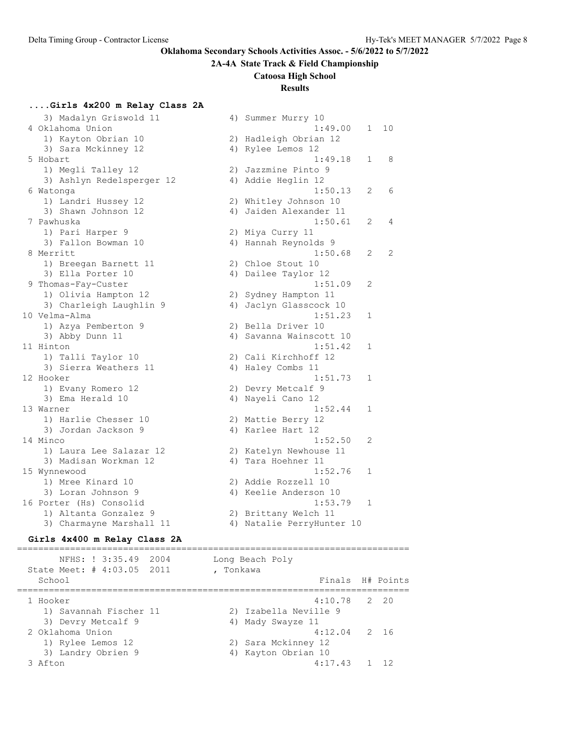### **2A-4A State Track & Field Championship**

### **Catoosa High School**

### **Results**

## **....Girls 4x200 m Relay Class 2A**

| 3) Madalyn Griswold 11    |    | 4) Summer Murry 10        |                |    |
|---------------------------|----|---------------------------|----------------|----|
| 4 Oklahoma Union          |    | 1:49.00                   | 1              | 10 |
| 1) Kayton Obrian 10       |    | 2) Hadleigh Obrian 12     |                |    |
| 3) Sara Mckinney 12       |    | 4) Rylee Lemos 12         |                |    |
| 5 Hobart                  |    | 1:49.18                   | $\mathbf{1}$   | 8  |
| 1) Megli Talley 12        |    | 2) Jazzmine Pinto 9       |                |    |
| 3) Ashlyn Redelsperger 12 |    | 4) Addie Heglin 12        |                |    |
| 6 Watonga                 |    | 1:50.13                   | $\overline{2}$ | 6  |
| 1) Landri Hussey 12       |    | 2) Whitley Johnson 10     |                |    |
| 3) Shawn Johnson 12       |    | 4) Jaiden Alexander 11    |                |    |
| 7 Pawhuska                |    | 1:50.61                   | 2              | 4  |
| 1) Pari Harper 9          |    | 2) Miya Curry 11          |                |    |
| 3) Fallon Bowman 10       |    | 4) Hannah Reynolds 9      |                |    |
| 8 Merritt                 |    | 1:50.68                   | $\overline{2}$ | 2  |
| 1) Breegan Barnett 11     |    | 2) Chloe Stout 10         |                |    |
| 3) Ella Porter 10         |    | 4) Dailee Taylor 12       |                |    |
| 9 Thomas-Fay-Custer       |    | 1:51.09                   | 2              |    |
| 1) Olivia Hampton 12      |    | 2) Sydney Hampton 11      |                |    |
| 3) Charleigh Laughlin 9   | 4) | Jaclyn Glasscock 10       |                |    |
| 10 Velma-Alma             |    | 1:51.23                   | 1              |    |
| 1) Azya Pemberton 9       |    | 2) Bella Driver 10        |                |    |
| 3) Abby Dunn 11           |    | 4) Savanna Wainscott 10   |                |    |
| 11 Hinton                 |    | 1:51.42                   | 1              |    |
| 1) Talli Taylor 10        |    | 2) Cali Kirchhoff 12      |                |    |
| 3) Sierra Weathers 11     |    | 4) Haley Combs 11         |                |    |
| 12 Hooker                 |    | 1:51.73                   | $\mathbf{1}$   |    |
| 1) Evany Romero 12        |    | 2) Devry Metcalf 9        |                |    |
| 3) Ema Herald 10          |    | 4) Nayeli Cano 12         |                |    |
| 13 Warner                 |    | 1:52.44                   | 1              |    |
| 1) Harlie Chesser 10      |    | 2) Mattie Berry 12        |                |    |
| 3) Jordan Jackson 9       |    | 4) Karlee Hart 12         |                |    |
| 14 Minco                  |    | 1:52.50                   | 2              |    |
| 1) Laura Lee Salazar 12   |    | 2) Katelyn Newhouse 11    |                |    |
| 3) Madisan Workman 12     |    | 4) Tara Hoehner 11        |                |    |
| 15 Wynnewood              |    | 1:52.76                   | 1              |    |
| 1) Mree Kinard 10         |    | 2) Addie Rozzell 10       |                |    |
| 3) Loran Johnson 9        |    | 4) Keelie Anderson 10     |                |    |
| 16 Porter (Hs) Consolid   |    | 1:53.79                   | 1              |    |
| 1) Altanta Gonzalez 9     |    | 2) Brittany Welch 11      |                |    |
| 3) Charmayne Marshall 11  |    | 4) Natalie PerryHunter 10 |                |    |

#### **Girls 4x400 m Relay Class 2A**

========================================================================== NFHS: ! 3:35.49 2004 Long Beach Poly State Meet: # 4:03.05 2011 , Tonkawa School **Finals** H# Points ========================================================================== 1 Hooker 4:10.78 2 20 1) Savannah Fischer 11 2) Izabella Neville 9 3) Devry Metcalf 9 4) Mady Swayze 11 2 Oklahoma Union 4:12.04 2 16 1) Rylee Lemos 12 2) Sara Mckinney 12 3) Landry Obrien 9 1988 1998 1999 10 4) Kayton Obrian 10 3 Afton 4:17.43 1 12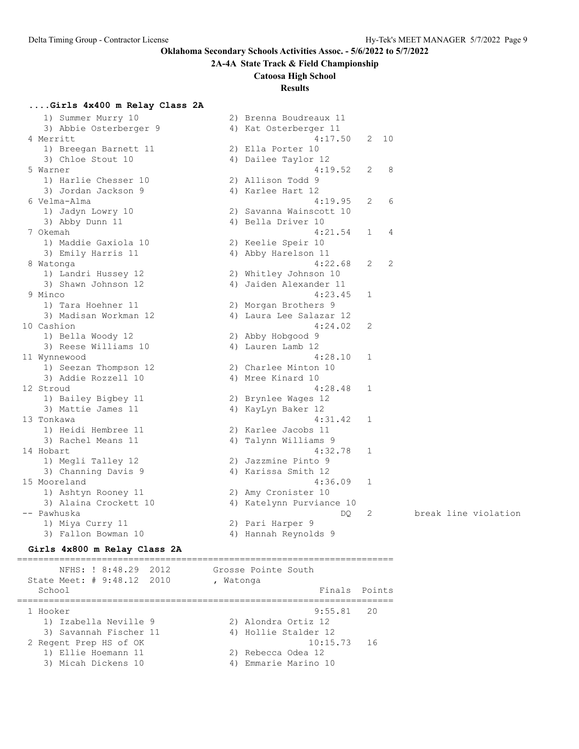### **2A-4A State Track & Field Championship**

### **Catoosa High School**

# **Results**

# **....Girls 4x400 m Relay Class 2A**

| 1) Summer Murry 10           |    | 2) Brenna Boudreaux 11   |                       |      |                      |
|------------------------------|----|--------------------------|-----------------------|------|----------------------|
| 3) Abbie Osterberger 9       |    | 4) Kat Osterberger 11    |                       |      |                      |
| 4 Merritt                    |    | 4:17.50                  |                       | 2 10 |                      |
| 1) Breegan Barnett 11        |    | 2) Ella Porter 10        |                       |      |                      |
| 3) Chloe Stout 10            |    | 4) Dailee Taylor 12      |                       |      |                      |
| 5 Warner                     |    | 4:19.52                  | 2                     | 8    |                      |
| 1) Harlie Chesser 10         |    | 2) Allison Todd 9        |                       |      |                      |
| 3) Jordan Jackson 9          |    | 4) Karlee Hart 12        |                       |      |                      |
| 6 Velma-Alma                 |    | 4:19.95                  | 2                     | 6    |                      |
| 1) Jadyn Lowry 10            |    | 2) Savanna Wainscott 10  |                       |      |                      |
| 3) Abby Dunn 11              |    | 4) Bella Driver 10       |                       |      |                      |
| 7 Okemah                     |    | 4:21.54                  | $\mathbf 1$           | 4    |                      |
| 1) Maddie Gaxiola 10         |    | 2) Keelie Speir 10       |                       |      |                      |
| 3) Emily Harris 11           |    | 4) Abby Harelson 11      |                       |      |                      |
| 8 Watonga                    |    | 4:22.68                  | $\mathbf{2}^{\prime}$ | 2    |                      |
| 1) Landri Hussey 12          |    | 2) Whitley Johnson 10    |                       |      |                      |
| 3) Shawn Johnson 12          |    | 4) Jaiden Alexander 11   |                       |      |                      |
| 9 Minco                      |    | 4:23.45                  | 1                     |      |                      |
| 1) Tara Hoehner 11           |    | 2) Morgan Brothers 9     |                       |      |                      |
| 3) Madisan Workman 12        |    | 4) Laura Lee Salazar 12  |                       |      |                      |
| 10 Cashion                   |    | 4:24.02                  | 2                     |      |                      |
| 1) Bella Woody 12            |    | 2) Abby Hobgood 9        |                       |      |                      |
| 3) Reese Williams 10         |    | 4) Lauren Lamb 12        |                       |      |                      |
| 11 Wynnewood                 |    | 4:28.10                  | 1                     |      |                      |
| 1) Seezan Thompson 12        |    | 2) Charlee Minton 10     |                       |      |                      |
| 3) Addie Rozzell 10          |    | 4) Mree Kinard 10        |                       |      |                      |
| 12 Stroud                    |    | 4:28.48                  | 1                     |      |                      |
| 1) Bailey Bigbey 11          |    | 2) Brynlee Wages 12      |                       |      |                      |
| 3) Mattie James 11           |    | 4) KayLyn Baker 12       |                       |      |                      |
| 13 Tonkawa                   |    | 4:31.42                  | 1                     |      |                      |
| 1) Heidi Hembree 11          |    | 2) Karlee Jacobs 11      |                       |      |                      |
| 3) Rachel Means 11           | 4) | Talynn Williams 9        |                       |      |                      |
| 14 Hobart                    |    | 4:32.78                  | 1                     |      |                      |
| 1) Megli Talley 12           |    | 2) Jazzmine Pinto 9      |                       |      |                      |
| 3) Channing Davis 9          |    | 4) Karissa Smith 12      |                       |      |                      |
| 15 Mooreland                 |    | 4:36.09                  | $\mathbf{1}$          |      |                      |
| 1) Ashtyn Rooney 11          |    | 2) Amy Cronister 10      |                       |      |                      |
| 3) Alaina Crockett 10        |    | 4) Katelynn Purviance 10 |                       |      |                      |
| -- Pawhuska                  |    | DQ                       | 2                     |      | break line violation |
| 1) Miya Curry 11             |    | 2) Pari Harper 9         |                       |      |                      |
| 3) Fallon Bowman 10          |    | 4) Hannah Reynolds 9     |                       |      |                      |
| Girls 4x800 m Relay Class 2A |    |                          |                       |      |                      |

======================================================================= NFHS: ! 8:48.29 2012 Grosse Pointe South State Meet: # 9:48.12 2010 , Watonga School Finals Points Points and Points Points Points Points Points Points Points Points Points Points Points Points Points Points Points Points Points Points Points Points Points Points Points Points Points Points Points P ======================================================================= 1 Hooker 9:55.81 20 1) Izabella Neville 9 2) Alondra Ortiz 12 3) Savannah Fischer 11 (a) 4) Hollie Stalder 12 2 Regent Prep HS of OK 10:15.73 16 1) Ellie Hoemann 11 2) Rebecca Odea 12 3) Micah Dickens 10 4) Emmarie Marino 10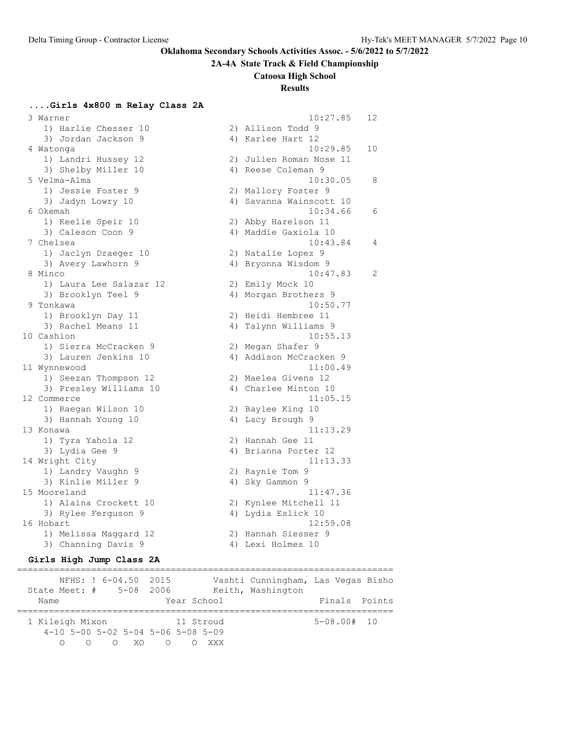**2A-4A State Track & Field Championship**

#### **Catoosa High School**

### **Results**

### **....Girls 4x800 m Relay Class 2A**

 3 Warner 10:27.85 12 1) Harlie Chesser 10 2) Allison Todd 9 3) Jordan Jackson 9 4) Karlee Hart 12 4 Watonga 10:29.85 10 1) Landri Hussey 12 2) Julien Roman Nose 11 3) Shelby Miller 10 4) Reese Coleman 9 5 Velma-Alma 10:30.05 8 1) Jessie Foster 9 2) Mallory Foster 9 3) Jadyn Lowry 10 4) Savanna Wainscott 10 6 Okemah 10:34.66 6 1) Keelie Speir 10 2) Abby Harelson 11 3) Caleson Coon 9 4) Maddie Gaxiola 10 7 Chelsea 10:43.84 4 1) Jaclyn Draeger 10 2) Natalie Lopez 9 3) Avery Lawhorn 9 4) Bryonna Wisdom 9 1) Laura Lee Salazar 12 2) Emily Mock 10 3) Brooklyn Teel 9 19 10 4) Morgan Brothers 9 1) Brooklyn Day 11 2) Heidi Hembree 11 3) Rachel Means 11 (4) Talynn Williams 9 1) Sierra McCracken 9 2) Megan Shafer 9 1) Seezan Thompson 12 2) Maelea Givens 12 3) Presley Williams 10 4) Charlee Minton 10 1) Raegan Wilson 10 2) Baylee King 10 3) Hannah Young 10 4) Lacy Brough 9 1) Tyra Yahola 12 2) Hannah Gee 11 3) Lydia Gee 9 122 122 122 122 123 123 124 125 126 127 128 129 12 1) Landry Vaughn 9 2) Raynie Tom 9 3) Kinlie Miller 9 1988 4) Sky Gammon 9 3) Rylee Ferguson 9 1920 12 4) Lydia Eslick 10 16 Hobart 12:59.08 1) Melissa Maggard 12 2) Hannah Siesser 9 3) Channing Davis 9 4) Lexi Holmes 10

# 8 Minco 10:47.83 2 9 Tonkawa 10:50.77 10 Cashion 10:55.13 3) Lauren Jenkins 10 4) Addison McCracken 9 11 Wynnewood 11:00.49 12 Commerce 11:05.15 13 Konawa 11:13.29 14 Wright City 11:13.33 15 Mooreland 11:47.36 1) Alaina Crockett 10 2) Kynlee Mitchell 11

### **Girls High Jump Class 2A**

======================================================================= NFHS: ! 6-04.50 2015 Vashti Cunningham, Las Vegas Bisho State Meet: # 5-08 2006 Keith, Washington Name **Name** Year School **Finals** Points ======================================================================= 1 Kileigh Mixon 11 Stroud 5-08.00# 10 4-10 5-00 5-02 5-04 5-06 5-08 5-09 O O O XO O O XXX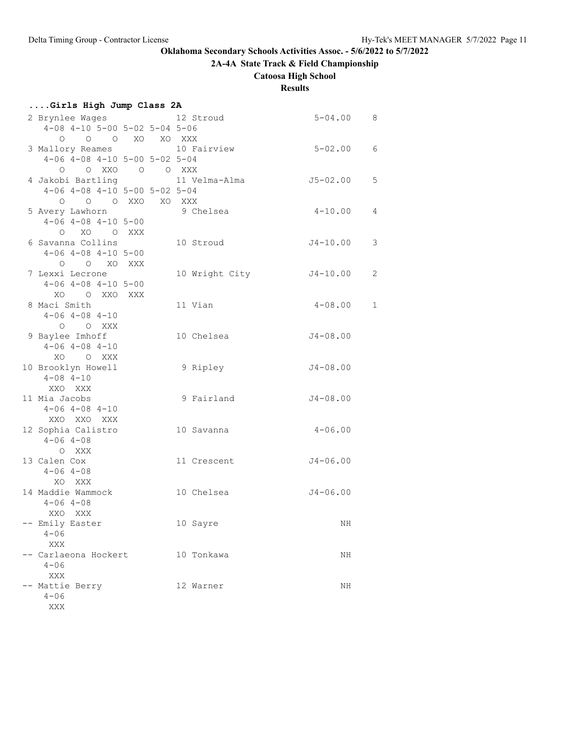# **2A-4A State Track & Field Championship**

**Catoosa High School**

# **Results**

| Girls High Jump Class 2A                                                     |  |             |                         |   |
|------------------------------------------------------------------------------|--|-------------|-------------------------|---|
| 2 Brynlee Wages<br>4-08 4-10 5-00 5-02 5-04 5-06                             |  | 12 Stroud   | $5 - 04.00$ 8           |   |
| 0 0 0 XO XO XXX<br>3 Mallory Reames                                          |  | 10 Fairview | $5 - 02.00$ 6           |   |
| $4-06$ $4-08$ $4-10$ $5-00$ $5-02$ $5-04$<br>0 0 XXO 0 0 XXX                 |  |             |                         |   |
| 4 Jakobi Bartling 11 Velma-Alma<br>$4-06$ $4-08$ $4-10$ $5-00$ $5-02$ $5-04$ |  |             | $J5 - 02.00$            | 5 |
| O O O XXO XO XXX<br>5 Avery Lawhorn<br>$4-06$ $4-08$ $4-10$ $5-00$           |  | 9 Chelsea   | $4 - 10.00$             | 4 |
| O XO O XXX<br>6 Savanna Collins                                              |  | 10 Stroud   | $J4-10.00$              | 3 |
| $4-06$ $4-08$ $4-10$ $5-00$<br>O O XO XXX                                    |  |             |                         |   |
| 7 Lexxi Lecrone<br>$4-06$ $4-08$ $4-10$ $5-00$                               |  |             | 10 Wright City J4-10.00 | 2 |
| XOO XXOXXX<br>8 Maci Smith<br>$4 - 06$ $4 - 08$ $4 - 10$                     |  | 11 Vian     | $4 - 08.00$             | 1 |
| O O XXX<br>9 Baylee Imhoff<br>$4 - 06$ $4 - 08$ $4 - 10$                     |  | 10 Chelsea  | $J4 - 08.00$            |   |
| XO O XXX<br>10 Brooklyn Howell<br>$4 - 08$ $4 - 10$                          |  | 9 Ripley    | $J4 - 08.00$            |   |
| XXO XXX<br>11 Mia Jacobs<br>$4 - 06$ $4 - 08$ $4 - 10$                       |  | 9 Fairland  | J4-08.00                |   |
| XXO XXO XXX<br>12 Sophia Calistro<br>$4 - 06$ $4 - 08$                       |  | 10 Savanna  | $4 - 06.00$             |   |
| O XXX<br>13 Calen Cox<br>$4 - 06$ $4 - 08$                                   |  | 11 Crescent | $J4 - 06.00$            |   |
| XO XXX<br>14 Maddie Wammock<br>$4 - 06$ $4 - 08$                             |  | 10 Chelsea  | $J4 - 06.00$            |   |
| XXO XXX<br>- Emily Easter<br>$4 - 06$                                        |  | 10 Sayre    | ΝH                      |   |
| <b>XXX</b><br>-- Carlaeona Hockert<br>$4 - 06$                               |  | 10 Tonkawa  | ΝH                      |   |
| XXX<br>-- Mattie Berry<br>$4 - 06$<br>XXX                                    |  | 12 Warner   | NH                      |   |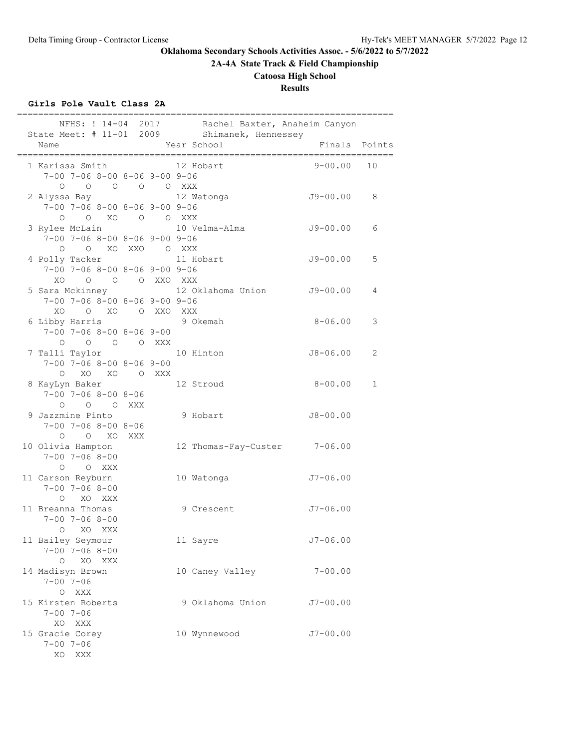**2A-4A State Track & Field Championship**

# **Catoosa High School**

**Results**

# **Girls Pole Vault Class 2A**

|                                                                                           |  | NFHS: ! 14-04 2017 Rachel Baxter, Anaheim Canyon<br>State Meet: # 11-01 2009 Shimanek, Hennessey |               |              |
|-------------------------------------------------------------------------------------------|--|--------------------------------------------------------------------------------------------------|---------------|--------------|
| Name                                                                                      |  | Year School                                                                                      | Finals Points |              |
| 1 Karissa Smith<br>$7-00$ $7-06$ $8-00$ $8-06$ $9-00$ $9-06$<br>0 0 0 0 0 XXX             |  | 12 Hobart                                                                                        | 9-00.00       | 10           |
| 2 Alyssa Bay<br>$7-00$ $7-06$ $8-00$ $8-06$ $9-00$ $9-06$<br>$0$ $0$ $X0$ $0$ $0$ $XXX$   |  | 12 Watonga                                                                                       | J9-00.00      | 8            |
| 3 Rylee McLain<br>$7-00$ $7-06$ $8-00$ $8-06$ $9-00$ $9-06$<br>O O XO XXO O XXX           |  | 10 Velma-Alma                                                                                    | J9-00.00      | 6            |
| 4 Polly Tacker 11 Hobart<br>$7-00$ $7-06$ $8-00$ $8-06$ $9-00$ $9-06$<br>XO O O O XXO XXX |  |                                                                                                  | $J9 - 00.00$  | 5            |
| $7-00$ $7-06$ $8-00$ $8-06$ $9-00$ $9-06$<br>XO O XO O XXO XXX                            |  | 5 Sara Mckinney 12 Oklahoma Union J9-00.00                                                       |               | 4            |
| 6 Libby Harris<br>$7 - 00$ $7 - 06$ $8 - 00$ $8 - 06$ $9 - 00$<br>0 0 0 0 XXX             |  | 9 Okemah                                                                                         | $8 - 06.00$   | 3            |
| 7 Talli Taylor<br>$7-00$ $7-06$ $8-00$ $8-06$ $9-00$<br>O XO XO O XXX                     |  | 10 Hinton                                                                                        | J8-06.00      | 2            |
| 8 KayLyn Baker<br>$7 - 00$ $7 - 06$ $8 - 00$ $8 - 06$<br>0 0 0 XXX                        |  | 12 Stroud                                                                                        | $8 - 00.00$   | $\mathbf{1}$ |
| 9 Jazzmine Pinto<br>$7 - 00$ $7 - 06$ $8 - 00$ $8 - 06$<br>O O XO XXX                     |  | 9 Hobart                                                                                         | $J8 - 00.00$  |              |
| 10 Olivia Hampton<br>$7 - 00$ $7 - 06$ $8 - 00$<br>O O XXX                                |  | 12 Thomas-Fay-Custer 7-06.00                                                                     |               |              |
| 11 Carson Reyburn<br>$7 - 00$ $7 - 06$ $8 - 00$<br>O XO XXX                               |  | 10 Watonga                                                                                       | $J7 - 06.00$  |              |
| 11 Breanna Thomas<br>$7 - 00$ $7 - 06$ $8 - 00$<br>O XO XXX                               |  | 9 Crescent                                                                                       | $J7 - 06.00$  |              |
| 11 Bailey Seymour<br>$7 - 00$ $7 - 06$ $8 - 00$<br>XO XXX<br>$\circ$                      |  | 11 Sayre                                                                                         | $J7 - 06.00$  |              |
| 14 Madisyn Brown<br>$7 - 00$ $7 - 06$<br>O XXX                                            |  | 10 Caney Valley                                                                                  | $7 - 00.00$   |              |
| 15 Kirsten Roberts<br>$7 - 00$ $7 - 06$<br>XO XXX                                         |  | 9 Oklahoma Union                                                                                 | $J7 - 00.00$  |              |
| 15 Gracie Corey<br>$7 - 00$ $7 - 06$<br>XO<br>XXX                                         |  | 10 Wynnewood                                                                                     | $J7 - 00.00$  |              |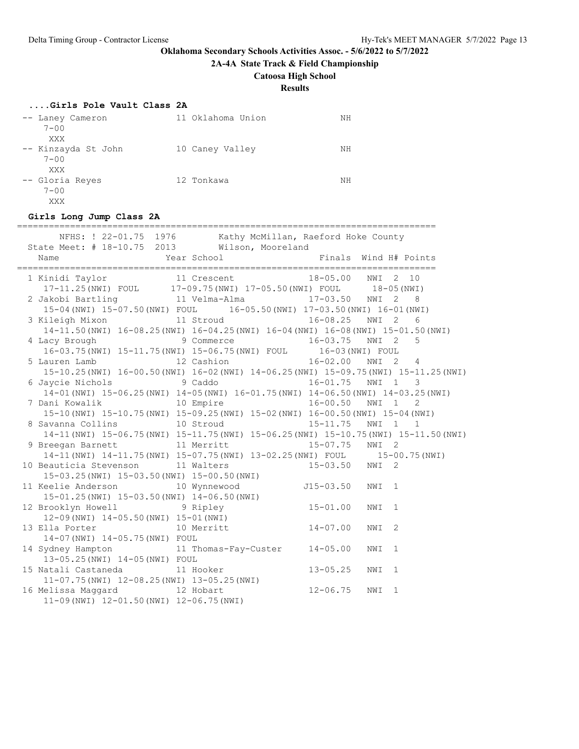**2A-4A State Track & Field Championship**

### **Catoosa High School**

**Results**

### **....Girls Pole Vault Class 2A**

| -- Laney Cameron<br>$7 - 00$ | 11 Oklahoma Union | NΗ |
|------------------------------|-------------------|----|
| XXX<br>-- Kinzayda St John   | 10 Caney Valley   | ΝH |
| $7 - 00$<br>XXX              |                   |    |
| -- Gloria Reyes<br>$7 - 00$  | 12 Tonkawa        | NΗ |
| XXX                          |                   |    |

#### **Girls Long Jump Class 2A**

=============================================================================== NFHS: ! 22-01.75 1976 Kathy McMillan, Raeford Hoke County State Meet: # 18-10.75 2013 Wilson, Mooreland Name The Year School The Finals Wind H# Points =============================================================================== 11 Crescent 18-05.00 NWI 2 10 17-11.25(NWI) FOUL 17-09.75(NWI) 17-05.50(NWI) FOUL 18-05(NWI) 2 Jakobi Bartling 11 Velma-Alma 17-03.50 NWI 2 8 15-04(NWI) 15-07.50(NWI) FOUL 16-05.50(NWI) 17-03.50(NWI) 16-01(NWI) 3 Kileigh Mixon 11 Stroud 16-08.25 NWI 2 6 14-11.50(NWI) 16-08.25(NWI) 16-04.25(NWI) 16-04(NWI) 16-08(NWI) 15-01.50(NWI) 4 Lacy Brough 9 Commerce 16-03.75 NWI 2 5 16-03.75(NWI) 15-11.75(NWI) 15-06.75(NWI) FOUL 16-03(NWI) FOUL 5 Lauren Lamb 12 Cashion 16-02.00 NWI 2 4 15-10.25(NWI) 16-00.50(NWI) 16-02(NWI) 14-06.25(NWI) 15-09.75(NWI) 15-11.25(NWI) 6 Jaycie Nichols 9 Caddo 16-01.75 NWI 1 3 14-01(NWI) 15-06.25(NWI) 14-05(NWI) 16-01.75(NWI) 14-06.50(NWI) 14-03.25(NWI) 7 Dani Kowalik 10 Empire 16-00.50 NWI 1 2 15-10(NWI) 15-10.75(NWI) 15-09.25(NWI) 15-02(NWI) 16-00.50(NWI) 15-04(NWI) 8 Savanna Collins 10 Stroud 15-11.75 NWI 1 1 14-11(NWI) 15-06.75(NWI) 15-11.75(NWI) 15-06.25(NWI) 15-10.75(NWI) 15-11.50(NWI) 9 Breegan Barnett 11 Merritt 15-07.75 NWI 2 14-11(NWI) 14-11.75(NWI) 15-07.75(NWI) 13-02.25(NWI) FOUL 15-00.75(NWI) 10 Beauticia Stevenson 11 Walters 15-03.50 NWI 2 15-03.25(NWI) 15-03.50(NWI) 15-00.50(NWI) 11 Keelie Anderson 10 Wynnewood J15-03.50 NWI 1 15-01.25(NWI) 15-03.50(NWI) 14-06.50(NWI) 12 Brooklyn Howell 9 Ripley 15-01.00 NWI 1 12-09(NWI) 14-05.50(NWI) 15-01(NWI) 13 Ella Porter 10 Merritt 14-07.00 NWI 2 14-07(NWI) 14-05.75(NWI) FOUL 14 Sydney Hampton 11 Thomas-Fay-Custer 14-05.00 NWI 1 13-05.25(NWI) 14-05(NWI) FOUL 15 Natali Castaneda 11 Hooker 13-05.25 NWI 1 11-07.75(NWI) 12-08.25(NWI) 13-05.25(NWI) 16 Melissa Maggard 12 Hobart 12-06.75 NWI 1 11-09(NWI) 12-01.50(NWI) 12-06.75(NWI)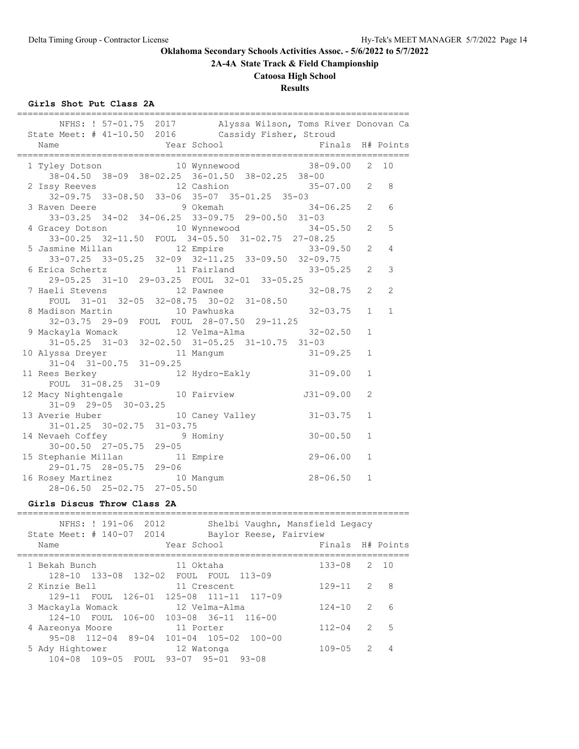**2A-4A State Track & Field Championship**

# **Catoosa High School**

# **Results**

## **Girls Shot Put Class 2A**

| NFHS: ! 57-01.75 2017 Alyssa Wilson, Toms River Donovan Ca<br>State Meet: # 41-10.50 2016 Cassidy Fisher, Stroud |                |                |                 |
|------------------------------------------------------------------------------------------------------------------|----------------|----------------|-----------------|
| Year School<br>Finals H# Points<br>Name                                                                          |                |                |                 |
| 1 Tyley Dotson    10 Wynnewood    38-09.00    2    10                                                            |                |                |                 |
| $38-04.50$ $38-09$ $38-02.25$ $36-01.50$ $38-02.25$ $38-00$                                                      |                |                |                 |
| 2 Issy Reeves 12 Cashion 35-07.00 2<br>32-09.75 33-08.50 33-06 35-07 35-01.25 35-03                              |                |                | 8               |
| 3 Raven Deere 30 9 Okemah 34-06.25 2                                                                             |                |                | $6\overline{6}$ |
| 33-03.25 34-02 34-06.25 33-09.75 29-00.50 31-03                                                                  |                |                |                 |
|                                                                                                                  | $34 - 05.50$ 2 |                | 5               |
| 4 Gracey Dotson 10 Wynnewood<br>33-00.25 32-11.50 FOUL 34-05.50 31-02.75 27-08.25                                |                |                |                 |
| 12 Empire<br>5 Jasmine Millan                                                                                    | $33 - 09.50$ 2 |                | 4               |
| 33-07.25 33-05.25 32-09 32-11.25 33-09.50 32-09.75                                                               |                |                |                 |
| 6 Erica Schertz                 11 Fairland                     33-05.25     2                                   |                |                | 3               |
| 29-05.25 31-10 29-03.25 FOUL 32-01 33-05.25                                                                      |                |                |                 |
| 12 Pawnee<br>7 Haeli Stevens                                                                                     | $32 - 08.75$ 2 |                | $\overline{c}$  |
| FOUL 31-01 32-05 32-08.75 30-02 31-08.50                                                                         |                |                |                 |
| 8 Madison Martin 10 Pawhuska                                                                                     | $32 - 03.75$ 1 |                | $\mathbf{1}$    |
| 32-03.75 29-09 FOUL FOUL 28-07.50 29-11.25                                                                       |                |                |                 |
|                                                                                                                  |                | $\mathbf{1}$   |                 |
| 9 Mackayla Womack 12 Velma-Alma 32-02.50<br>31-05.25 31-03 32-02.50 31-05.25 31-10.75 31-03                      |                |                |                 |
| 10 Alyssa Dreyer 11<br>31-04 31-00.75 31-09.25<br>11 Mangum 31-09.25                                             |                | $\mathbf{1}$   |                 |
|                                                                                                                  |                |                |                 |
| 11 Rees Berkey 12 Hydro-Eakly 31-09.00<br>FOUL 31-08.25 31-09                                                    |                | $\mathbf{1}$   |                 |
|                                                                                                                  |                |                |                 |
| 12 Macy Nightengale 10 Fairview 531-09.00                                                                        |                | $\overline{2}$ |                 |
| $31-09$ $29-05$ $30-03.25$                                                                                       |                |                |                 |
| 13 Averie Huber 10 Caney Valley 31-03.75                                                                         |                | $\mathbf{1}$   |                 |
| $31 - 01.25$ $30 - 02.75$ $31 - 03.75$                                                                           |                |                |                 |
| 14 Nevaeh Coffey 9 Hominy<br>30-00.50 27-05.75 29-05                                                             | $30 - 00.50$   | $\mathbf{1}$   |                 |
|                                                                                                                  | 29-06.00       | $\mathbf{1}$   |                 |
| 15 Stephanie Millan 11 Empire<br>29-01.75 28-05.75 29-06                                                         |                |                |                 |
|                                                                                                                  | $28 - 06.50$   | $\mathbf{1}$   |                 |
| 16 Rosey Martinez 10 Mangum<br>28-06.50 25-02.75 27-05.50                                                        |                |                |                 |
|                                                                                                                  |                |                |                 |

# **Girls Discus Throw Class 2A**

| NFHS: ! 191-06<br>State Meet: # 140-07 2014<br>Name | 2012<br>Year School | Shelbi Vaughn, Mansfield Legacy<br>Baylor Reese, Fairview | Finals     |               | H# Points |
|-----------------------------------------------------|---------------------|-----------------------------------------------------------|------------|---------------|-----------|
|                                                     |                     |                                                           |            |               |           |
| 1 Bekah Bunch                                       | 11 Oktaha           |                                                           | $133 - 08$ |               | 2, 10     |
| 128-10 133-08 132-02<br>2 Kinzie Bell               |                     | FOUL FOUL 113-09<br>11 Crescent                           | $129 - 11$ | $\mathcal{L}$ | 8         |
| 3 Mackayla Womack                                   |                     | 129-11 FOUL 126-01 125-08 111-11 117-09<br>12 Velma-Alma  | $124 - 10$ | $\mathcal{P}$ | 6         |
| 124-10 FOUL 106-00 103-08 36-11 116-00              |                     |                                                           |            | $\mathcal{P}$ |           |
| 4 Aareonya Moore<br>$95 - 08$ $112 - 04$ $89 - 04$  | 11 Porter           | $101 - 04$ $105 - 02$ $100 - 00$                          | $112 - 04$ |               | 5         |
| 5 Ady Hightower<br>104-08 109-05 FOUL               | 93-07 95-01         | 12 Watonga<br>$93 - 08$                                   | $109 - 05$ | $\mathcal{L}$ | 4         |
|                                                     |                     |                                                           |            |               |           |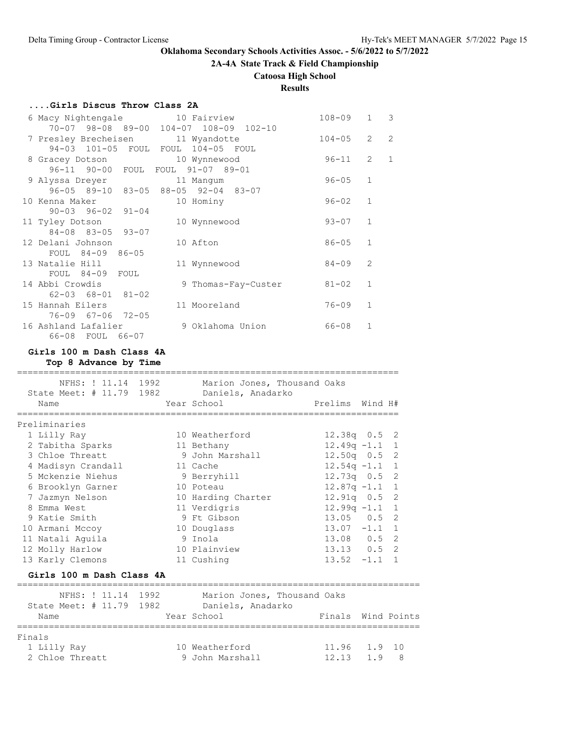**2A-4A State Track & Field Championship**

# **Catoosa High School**

# **Results**

# **....Girls Discus Throw Class 2A**

| 6 Macy Nightengale 10 Fairview    |                                        | $108 - 09$ | $\mathbf{1}$   | $\overline{\phantom{a}}$ |
|-----------------------------------|----------------------------------------|------------|----------------|--------------------------|
|                                   | 70-07 98-08 89-00 104-07 108-09 102-10 |            |                |                          |
| 7 Presley Brecheisen 11 Wyandotte |                                        | $104 - 05$ | $\overline{2}$ | $\overline{c}$           |
|                                   | 94-03 101-05 FOUL FOUL 104-05 FOUL     |            |                |                          |
| 8 Gracey Dotson                   | 10 Wynnewood                           | 96-11      | 2              | $\mathbf{1}$             |
| 96-11 90-00 FOUL FOUL 91-07 89-01 |                                        |            |                |                          |
| 9 Alyssa Dreyer                   | 11 Manqum                              | $96 - 05$  | $\mathbf{1}$   |                          |
|                                   | 96-05 89-10 83-05 88-05 92-04 83-07    |            |                |                          |
| 10 Kenna Maker                    | 10 Hominy                              | $96 - 02$  | $\mathbf{1}$   |                          |
| $90 - 03$ $96 - 02$ $91 - 04$     |                                        |            |                |                          |
| 11 Tyley Dotson                   | 10 Wynnewood                           | $93 - 07$  | $\mathbf{1}$   |                          |
| 84-08 83-05 93-07                 |                                        |            |                |                          |
| 12 Delani Johnson                 | 10 Afton                               | $86 - 05$  | $\mathbf{1}$   |                          |
| FOUL 84-09 86-05                  |                                        |            |                |                          |
| 13 Natalie Hill                   | 11 Wynnewood                           | $84 - 09$  | $\mathfrak{D}$ |                          |
| FOUL 84-09 FOUL                   |                                        |            |                |                          |
| 14 Abbi Crowdis                   | 9 Thomas-Fay-Custer                    | $81 - 02$  | $\mathbf{1}$   |                          |
| $62 - 03$ $68 - 01$ $81 - 02$     |                                        |            |                |                          |
| 15 Hannah Eilers                  | 11 Mooreland                           | $76 - 09$  | $\mathbf{1}$   |                          |
| 76-09 67-06 72-05                 |                                        |            |                |                          |
| 16 Ashland Lafalier               | 9 Oklahoma Union                       | $66 - 08$  | $\mathbf{1}$   |                          |
| 66-08 FOUL 66-07                  |                                        |            |                |                          |

### **Girls 100 m Dash Class 4A**

**Top 8 Advance by Time**

| NFHS: ! 11.14 1992               |          | Marion Jones, Thousand Oaks      |                                  |  |
|----------------------------------|----------|----------------------------------|----------------------------------|--|
| State Meet: # 11.79 1982<br>Name |          | Daniels, Anadarko<br>Year School | Prelims<br>Wind H#               |  |
| Preliminaries                    |          |                                  |                                  |  |
| 1 Lilly Ray                      |          | 10 Weatherford                   | $12.38q$ 0.5 2                   |  |
| 2 Tabitha Sparks                 |          | 11 Bethany                       | $12.49q - 1.1$<br>$\overline{1}$ |  |
| 3 Chloe Threatt                  |          | 9 John Marshall                  | $12.50q$ 0.5 2                   |  |
| 4 Madisyn Crandall               | 11 Cache |                                  | $12.54q - 1.1$ 1                 |  |
| 5 Mckenzie Niehus                |          | 9 Berryhill                      | $12.73q$ 0.5 2                   |  |
| 6 Brooklyn Garner                |          | 10 Poteau                        | $12.87q - 1.1$ 1                 |  |
| 7 Jazmyn Nelson                  |          | 10 Harding Charter               | $12.91q$ 0.5 2                   |  |
| 8 Emma West                      |          | 11 Verdigris                     | $12.99q -1.1$<br>$\overline{1}$  |  |
| 9 Katie Smith                    |          | 9 Ft Gibson                      | $13.05$ 0.5 2                    |  |
| 10 Armani Mccoy                  |          | 10 Douglass                      | $13.07 -1.1 1$                   |  |
| 11 Natali Aguila                 |          | 9 Inola                          | 13.08  0.5  2                    |  |
| 12 Molly Harlow                  |          | 10 Plainview                     | $13.13$ 0.5 2                    |  |
| 13 Karly Clemons                 |          | 11 Cushing                       | $13.52 -1.1$ 1                   |  |
| Girls 100 m Dash Class 4A        |          |                                  |                                  |  |

|             | State Meet: # 11.79 1982 | NFHS: ! 11.14 1992 |  | Marion Jones, Thousand Oaks<br>Daniels, Anadarko |  |                    |                                            |  |
|-------------|--------------------------|--------------------|--|--------------------------------------------------|--|--------------------|--------------------------------------------|--|
| Name        |                          |                    |  | Year School                                      |  | Finals Wind Points |                                            |  |
|             |                          |                    |  |                                                  |  |                    |                                            |  |
| Finals      |                          |                    |  |                                                  |  |                    |                                            |  |
| 1 Lilly Ray |                          |                    |  | 10 Weatherford                                   |  | 11.96 1.9 10       |                                            |  |
|             | 2 Chloe Threatt          |                    |  | 9 John Marshall                                  |  | 12 13              | $\begin{array}{ccc} & & 1 & 9 \end{array}$ |  |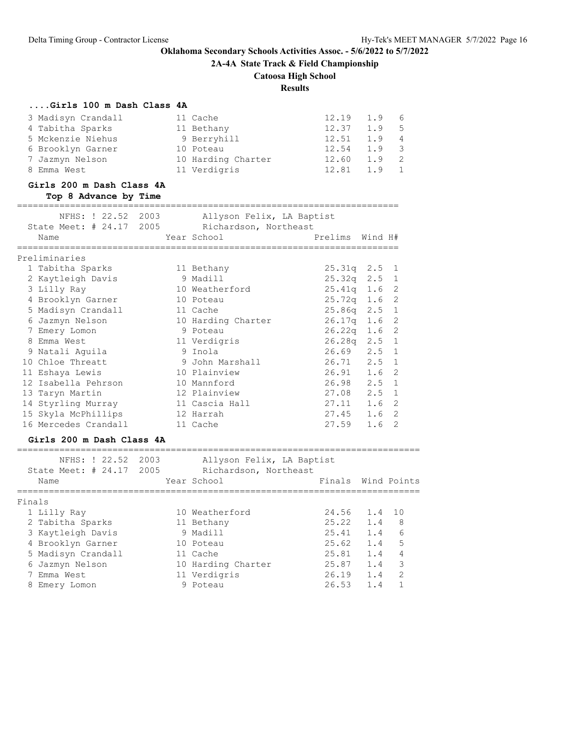**2A-4A State Track & Field Championship**

# **Catoosa High School**

**Results**

# **....Girls 100 m Dash Class 4A**

| 3 Madisyn Crandall | 11 Cache           | 12.19 | 1.9 6         |                |
|--------------------|--------------------|-------|---------------|----------------|
| 4 Tabitha Sparks   | 11 Bethany         | 12.37 | 1.9 5         |                |
| 5 Mckenzie Niehus  | 9 Berryhill        | 12.51 | 1.9           | $\overline{4}$ |
| 6 Brooklyn Garner  | 10 Poteau          | 12.54 | $1.9 \quad 3$ |                |
| 7 Jazmyn Nelson    | 10 Harding Charter | 12.60 | 1.9           | - 2            |
| 8 Emma West        | 11 Verdigris       | 12.81 | 1.9           |                |

#### **Girls 200 m Dash Class 4A**

### **Top 8 Advance by Time**

#### ========================================================================

| NFHS: ! 22.52 2003                    | Allyson Felix, LA Baptist |                  |                  |  |
|---------------------------------------|---------------------------|------------------|------------------|--|
| State Meet: # 24.17 2005              | Richardson, Northeast     |                  |                  |  |
| Name                                  | Year School               | Prelims Wind H#  |                  |  |
| ===================================== |                           |                  |                  |  |
| Preliminaries                         |                           |                  |                  |  |
| 1 Tabitha Sparks                      | 11 Bethany                | $25.31q$ $2.5$ 1 |                  |  |
| 2 Kaytleigh Davis                     | 9 Madill                  | $25.32q$ $2.5$ 1 |                  |  |
| 3 Lilly Ray                           | 10 Weatherford            | $25.41q$ 1.6 2   |                  |  |
| 4 Brooklyn Garner                     | 10 Poteau                 | $25.72q$ 1.6 2   |                  |  |
| 5 Madisyn Crandall                    | 11 Cache                  | $25.86q$ $2.5$ 1 |                  |  |
| 6 Jazmyn Nelson                       | 10 Harding Charter        | $26.17q$ 1.6 2   |                  |  |
| 7 Emery Lomon                         | 9 Poteau                  | $26.22q$ 1.6 2   |                  |  |
| 8 Emma West                           | 11 Verdigris              | $26.28q$ $2.5$ 1 |                  |  |
| 9 Natali Aquila                       | 9 Inola                   | $26.69$ $2.5$ 1  |                  |  |
| 10 Chloe Threatt                      | 9 John Marshall           | 26.71            | $2.5 \quad 1$    |  |
| 11 Eshaya Lewis                       | 10 Plainview              | 26.91            | 1.6 <sub>2</sub> |  |
| 12 Isabella Pehrson                   | 10 Mannford               | 26.98            | $2.5 \quad 1$    |  |
| 13 Taryn Martin                       | 12 Plainview              | 27.08            | $2.5 \quad 1$    |  |
| 14 Styrling Murray                    | 11 Cascia Hall            | 27.11            | 1.6 <sub>2</sub> |  |
| 15 Skyla McPhillips                   | 12 Harrah                 | 27.45            | 1.6 <sub>2</sub> |  |
| 16 Mercedes Crandall                  | 11 Cache                  | 27.59            | 1.6 <sub>2</sub> |  |

### **Girls 200 m Dash Class 4A**

|        | NFHS: ! 22.52<br>State Meet: $\#$ 24.17<br>Name | 2003<br>2005 | Allyson Felix, LA Baptist<br>Richardson, Northeast<br>Year School | Finals Wind Points |        |               |
|--------|-------------------------------------------------|--------------|-------------------------------------------------------------------|--------------------|--------|---------------|
| Finals |                                                 |              |                                                                   |                    |        |               |
|        | 1 Lilly Ray                                     |              | 10 Weatherford                                                    | 24.56              | 1.4 10 |               |
|        | 2 Tabitha Sparks                                |              | 11 Bethany                                                        | 25.22              | 1.4    | 8             |
|        | 3 Kaytleigh Davis                               |              | 9 Madill                                                          | 25.41              | 1.4    | 6             |
|        | 4 Brooklyn Garner                               |              | 10 Poteau                                                         | 25.62              | 1.4    | 5             |
|        | 5 Madisyn Crandall                              |              | 11 Cache                                                          | 25.81              | 1.4    | 4             |
| 6      | Jazmyn Nelson                                   |              | 10 Harding Charter                                                | 25.87              | 1.4    | 3             |
|        | 7 Emma West                                     |              | 11 Verdigris                                                      | 26.19              | 1.4    | $\mathcal{P}$ |
| 8      | Emery Lomon                                     |              | 9 Poteau                                                          | 26.53              | 1.4    |               |
|        |                                                 |              |                                                                   |                    |        |               |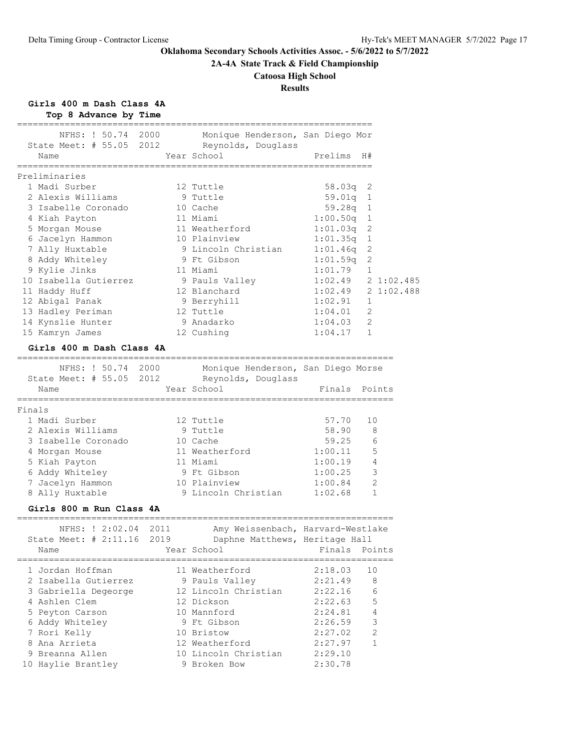**2A-4A State Track & Field Championship**

# **Catoosa High School**

# **Results**

**Girls 400 m Dash Class 4A**

**Top 8 Advance by Time**

|        | NFHS: ! 50.74<br>State Meet: $\#$ 55.05<br>2012 | 2000         | Monique Henderson, San Diego Mor<br>Reynolds, Douglass |                           |              |
|--------|-------------------------------------------------|--------------|--------------------------------------------------------|---------------------------|--------------|
|        | Name                                            |              | Year School                                            | Prelims                   | H#           |
|        | -------------------                             |              |                                                        | _________________________ |              |
|        | Preliminaries                                   |              |                                                        |                           |              |
|        | 1 Madi Surber                                   |              | 12 Tuttle                                              | 58.03q                    | 2            |
|        | 2 Alexis Williams                               |              | 9 Tuttle                                               | 59.01q                    | 1            |
|        | 3 Isabelle Coronado                             |              | 10 Cache                                               | 59.28q                    | 1            |
|        | 4 Kiah Payton                                   |              | 11 Miami                                               | 1:00.50q                  | 1            |
|        | 5 Morgan Mouse                                  |              | 11 Weatherford                                         | 1:01.03q                  | 2            |
|        | 6 Jacelyn Hammon                                |              | 10 Plainview                                           | 1:01.35q                  | 1            |
|        | 7 Ally Huxtable                                 |              | 9 Lincoln Christian                                    | 1:01.46q                  | 2            |
|        | 8 Addy Whiteley                                 |              | 9 Ft Gibson                                            | 1:01.59q                  | 2            |
|        | 9 Kylie Jinks                                   |              | 11 Miami                                               | 1:01.79                   | $\mathbf{1}$ |
|        | 10 Isabella Gutierrez                           |              |                                                        | 1:02.49                   | 21:02.485    |
|        |                                                 |              | 9 Pauls Valley<br>12 Blanchard                         | 1:02.49                   | 21:02.488    |
|        | 11 Haddy Huff                                   |              |                                                        | 1:02.91                   | $\mathbf{1}$ |
|        | 12 Abigal Panak                                 |              | 9 Berryhill                                            | 1:04.01                   |              |
|        | 13 Hadley Periman                               |              | 12 Tuttle                                              |                           | 2            |
|        | 14 Kynslie Hunter                               |              | 9 Anadarko                                             | 1:04.03                   | 2            |
|        | 15 Kamryn James                                 |              | 12 Cushing                                             | 1:04.17                   | $\mathbf{1}$ |
|        | Girls 400 m Dash Class 4A                       |              |                                                        |                           |              |
|        | NFHS: ! 50.74 2000                              |              | Monique Henderson, San Diego Morse                     |                           |              |
|        | State Meet: # 55.05 2012                        |              | Reynolds, Douglass                                     |                           |              |
|        | Name                                            |              | Year School                                            | Finals                    | Points       |
|        | ============                                    |              | ================                                       | :====================     |              |
| Finals |                                                 |              |                                                        |                           |              |
|        | 1 Madi Surber                                   |              | 12 Tuttle                                              | 57.70                     | 10           |
|        | 2 Alexis Williams                               |              | 9 Tuttle                                               | 58.90                     | 8            |
|        | 3 Isabelle Coronado                             |              | 10 Cache                                               | 59.25                     | 6            |
|        | 4 Morgan Mouse                                  |              | 11 Weatherford                                         | 1:00.11                   | 5            |
|        | 5 Kiah Payton                                   |              | 11 Miami                                               | 1:00.19                   | 4            |
|        | 6 Addy Whiteley                                 |              | 9 Ft Gibson                                            | 1:00.25                   | 3            |
|        | 7 Jacelyn Hammon                                |              | 10 Plainview                                           | 1:00.84                   | 2            |
|        | 8 Ally Huxtable                                 |              | 9 Lincoln Christian                                    | 1:02.68                   | 1            |
|        |                                                 |              |                                                        |                           |              |
|        | Girls 800 m Run Class 4A                        |              |                                                        |                           |              |
|        | NFHS: ! 2:02.04 2011                            |              | Amy Weissenbach, Harvard-Westlake                      |                           |              |
|        | State Meet: # 2:11.16                           | 2019         | Daphne Matthews, Heritage Hall                         |                           |              |
|        | Name                                            | ============ | Year School                                            | Finals Points             |              |
|        | 1 Jordan Hoffman                                |              | 11 Weatherford                                         | 2:18.03                   | 10           |
|        | 2 Isabella Gutierrez                            |              | 9 Pauls Valley                                         | 2:21.49                   | 8            |
|        | 3 Gabriella Degeorge                            |              | 12 Lincoln Christian                                   | 2:22.16                   | 6            |
|        | 4 Ashlen Clem                                   |              | 12 Dickson                                             | 2:22.63                   | 5            |
|        | 5 Peyton Carson                                 |              | 10 Mannford                                            | 2:24.81                   | 4            |
|        | 6 Addy Whiteley                                 |              | 9 Ft Gibson                                            | 2:26.59                   | 3            |
|        | 7 Rori Kelly                                    |              | 10 Bristow                                             | 2:27.02                   | $\mathbf{2}$ |
|        | 8 Ana Arrieta                                   |              | 12 Weatherford                                         | 2:27.97                   | $\mathbf{1}$ |
|        | 9 Breanna Allen                                 |              | 10 Lincoln Christian                                   | 2:29.10                   |              |
|        | 10 Haylie Brantley                              |              | 9 Broken Bow                                           | 2:30.78                   |              |
|        |                                                 |              |                                                        |                           |              |

===================================================================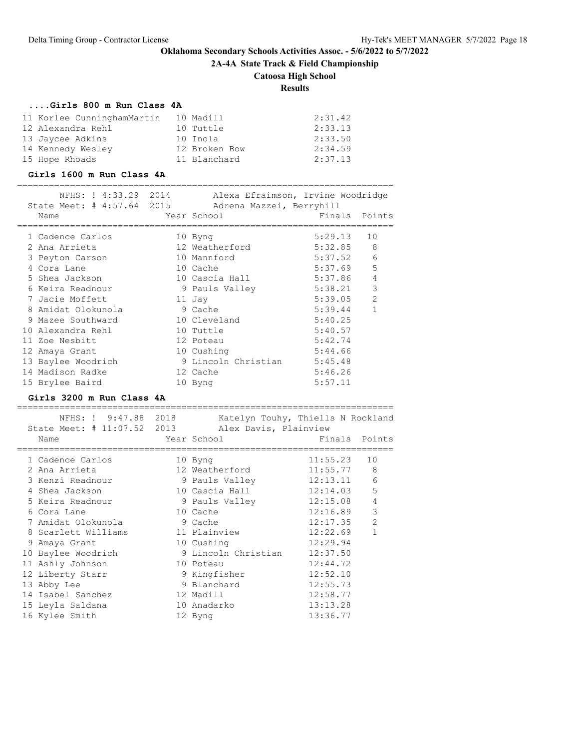**2A-4A State Track & Field Championship**

# **Catoosa High School**

**Results**

### **....Girls 800 m Run Class 4A**

| 11 Korlee CunninghamMartin | 10 Madill     | 2:31.42 |
|----------------------------|---------------|---------|
| 12 Alexandra Rehl          | 10 Tuttle     | 2:33.13 |
| 13 Jaycee Adkins           | 10 Inola      | 2:33.50 |
| 14 Kennedy Wesley          | 12 Broken Bow | 2:34.59 |
| 15 Hope Rhoads             | 11 Blanchard  | 2:37.13 |

### **Girls 1600 m Run Class 4A**

|   | NFHS: ! 4:33.29 2014<br>State Meet: # 4:57.64 2015 | Alexa Efraimson, Irvine Woodridge<br>Adrena Mazzei, Berryhill |               |                |
|---|----------------------------------------------------|---------------------------------------------------------------|---------------|----------------|
|   | Name                                               | Year School                                                   | Finals Points |                |
|   | 1 Cadence Carlos                                   | 10 Byng                                                       | 5:29.13       | 10             |
|   | 2 Ana Arrieta                                      | 12 Weatherford                                                | 5:32.85       | 8              |
|   | 3 Peyton Carson                                    | 10 Mannford                                                   | 5:37.52       | 6              |
|   | 4 Cora Lane                                        | 10 Cache                                                      | 5:37.69       | 5              |
|   | 5 Shea Jackson                                     | 10 Cascia Hall                                                | 5:37.86       | $\overline{4}$ |
|   | 6 Keira Readnour                                   | 9 Pauls Valley                                                | 5:38.21       | $\mathcal{E}$  |
|   | 7 Jacie Moffett                                    | 11 Jay                                                        | 5:39.05       | $\overline{2}$ |
| 8 | Amidat Olokunola                                   | 9 Cache                                                       | 5:39.44       | 1              |
|   | 9 Mazee Southward                                  | 10 Cleveland                                                  | 5:40.25       |                |
|   | 10 Alexandra Rehl                                  | 10 Tuttle                                                     | 5:40.57       |                |
|   | 11 Zoe Nesbitt                                     | 12 Poteau                                                     | 5:42.74       |                |
|   | 12 Amaya Grant                                     | 10 Cushing                                                    | 5:44.66       |                |
|   | 13 Baylee Woodrich                                 | 9 Lincoln Christian                                           | 5:45.48       |                |
|   | 14 Madison Radke                                   | 12 Cache                                                      | 5:46.26       |                |
|   | 15 Brylee Baird                                    | 10 Byng                                                       | 5:57.11       |                |
|   |                                                    |                                                               |               |                |

# **Girls 3200 m Run Class 4A**

| NFHS: ! 9:47.88 2018<br>State Meet: # 11:07.52 2013<br>Name |           | Katelyn Touhy, Thiells N Rockland<br>Alex Davis, Plainview<br>Year School<br>------------------ | Finals Points |                |
|-------------------------------------------------------------|-----------|-------------------------------------------------------------------------------------------------|---------------|----------------|
| 1 Cadence Carlos                                            |           | 10 Byng                                                                                         | 11:55.23      | 10             |
| 2 Ana Arrieta                                               |           | 12 Weatherford                                                                                  | 11:55.77      | 8              |
| 3 Kenzi Readnour                                            |           | 9 Pauls Valley                                                                                  | 12:13.11      | 6              |
| 4 Shea Jackson                                              |           | 10 Cascia Hall                                                                                  | 12:14.03      | 5              |
| 5 Keira Readnour                                            |           | 9 Pauls Valley                                                                                  | 12:15.08      | $\overline{4}$ |
| 6 Cora Lane                                                 | 10 Cache  |                                                                                                 | 12:16.89      | $\mathfrak{Z}$ |
| 7 Amidat Olokunola                                          |           | 9 Cache                                                                                         | 12:17.35      | $\overline{2}$ |
| 8 Scarlett Williams                                         |           | 11 Plainview                                                                                    | 12:22.69      | $\mathbf{1}$   |
| 9 Amaya Grant                                               |           | 10 Cushing                                                                                      | 12:29.94      |                |
| 10 Baylee Woodrich                                          |           | 9 Lincoln Christian                                                                             | 12:37.50      |                |
| 11 Ashly Johnson                                            | 10 Poteau |                                                                                                 | 12:44.72      |                |
| 12 Liberty Starr                                            |           | 9 Kingfisher                                                                                    | 12:52.10      |                |
| 13 Abby Lee                                                 |           | 9 Blanchard                                                                                     | 12:55.73      |                |
| 14 Isabel Sanchez                                           |           | 12 Madill                                                                                       | 12:58.77      |                |
| 15 Leyla Saldana                                            |           | 10 Anadarko                                                                                     | 13:13.28      |                |
| 16 Kylee Smith                                              |           | 12 Byng                                                                                         | 13:36.77      |                |
|                                                             |           |                                                                                                 |               |                |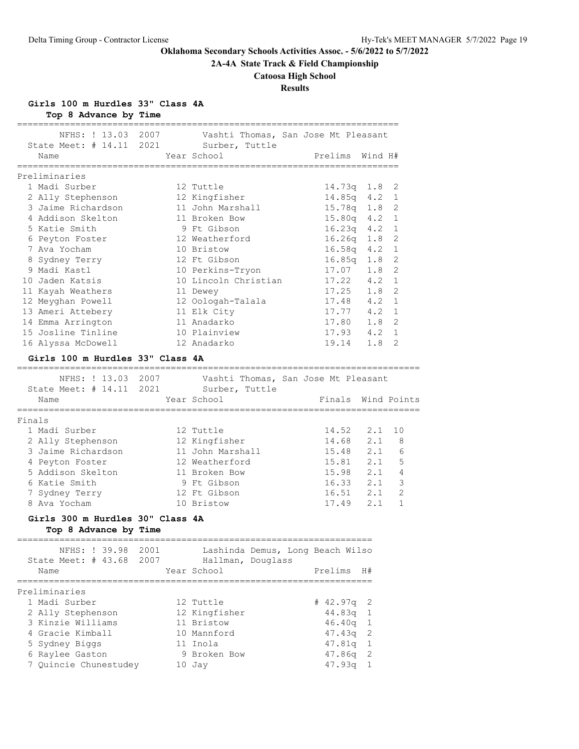**2A-4A State Track & Field Championship**

# **Catoosa High School**

# **Results**

**Girls 100 m Hurdles 33" Class 4A**

**Top 8 Advance by Time**

| State Meet: # 14.11 2021 Surber, Tuttle                   |      | NFHS: ! 13.03 2007 Vashti Thomas, San Jose Mt Pleasant |                                |     |                |
|-----------------------------------------------------------|------|--------------------------------------------------------|--------------------------------|-----|----------------|
| Name                                                      |      | Year School                                            | Prelims Wind H#                |     |                |
|                                                           |      |                                                        |                                |     |                |
| Preliminaries                                             |      |                                                        |                                |     |                |
| 1 Madi Surber                                             |      | 12 Tuttle                                              | 14.73q   1.8                   |     | 2              |
| 2 Ally Stephenson 12 Kingfisher                           |      |                                                        | 14.85q 4.2                     |     | 1              |
| 3 Jaime Richardson                                        |      | 11 John Marshall                                       | 15.78q 1.8                     |     | 2              |
| 4 Addison Skelton                                         |      | 11 Broken Bow                                          | $15.80q$ 4.2<br>16 22          |     | $\mathbf{1}$   |
| 5 Katie Smith                                             |      | 9 Ft Gibson                                            | $16.23q$ 4.2                   |     | 1              |
| 6 Peyton Foster                                           |      | 12 Weatherford                                         | $16.26q$ $1.8$                 |     | 2              |
| 7 Ava Yocham                                              |      | 10 Bristow                                             | $16.58q$ 4.2                   |     | 1              |
| 8 Sydney Terry                                            |      | 12 Ft Gibson                                           | 16.85q 1.8                     |     | 2              |
| 9 Madi Kastl                                              |      | 10 Perkins-Tryon                                       | 17.07 1.8                      |     | 2              |
| 10 Jaden Katsis                                           |      | 10 Lincoln Christian                                   | $17.22$ 4.2<br>$17.25$ 1.8     |     | $\mathbf{1}$   |
| 11 Kayah Weathers                                         |      | 11 Dewey                                               |                                |     | 2              |
| 12 Meyghan Powell                                         |      | 12 Oologah-Talala                                      | $17.48$ 4.2                    |     | 1              |
| 13 Ameri Attebery                                         |      | 11 Elk City                                            | $17.77$ 4.2                    |     | 1              |
| 14 Emma Arrington                                         |      | 11 Anadarko                                            | 17.80 1.8                      |     | 2              |
| 15 Josline Tinline                                        |      | 10 Plainview                                           | 17.93  4.2  1                  |     |                |
| 16 Alyssa McDowell                                        |      | 12 Anadarko                                            | 19.14 1.8                      |     | 2              |
| Girls 100 m Hurdles 33" Class 4A                          |      |                                                        |                                |     |                |
|                                                           |      |                                                        |                                |     |                |
|                                                           |      | NFHS: ! 13.03 2007 Vashti Thomas, San Jose Mt Pleasant |                                |     |                |
| State Meet: # 14.11 2021 Surber, Tuttle                   |      |                                                        |                                |     |                |
| Name<br>======================                            |      | Year School                                            | Finals Wind Points             |     |                |
| Finals                                                    |      |                                                        |                                |     |                |
| 1 Madi Surber                                             |      | 12 Tuttle                                              | 14.52                          | 2.1 | 10             |
| 2 Ally Stephenson 12 Kingfisher                           |      |                                                        | 14.68 2.1                      |     | 8              |
| 3 Jaime Richardson                                        |      | 11 John Marshall                                       |                                |     | 6              |
| 4 Peyton Foster                                           |      | 12 Weatherford                                         | $15.48$ $2.1$<br>$15.81$ $2.1$ |     | 5              |
| 5 Addison Skelton                                         |      | 11 Broken Bow                                          | $15.98$ 2.1                    |     | 4              |
| 6 Katie Smith                                             |      | 9 Ft Gibson                                            | $16.33$ $2.1$                  |     | 3              |
| 7 Sydney Terry                                            |      | 12 Ft Gibson                                           | 16.51 2.1                      |     | $\overline{2}$ |
| 8 Ava Yocham                                              |      | 10 Bristow                                             | 17.49 2.1                      |     | $\mathbf{1}$   |
|                                                           |      |                                                        |                                |     |                |
| Girls 300 m Hurdles 30" Class 4A<br>Top 8 Advance by Time |      |                                                        |                                |     |                |
|                                                           |      |                                                        |                                |     |                |
| NFHS: ! 39.98                                             | 2001 | Lashinda Demus, Long Beach Wilso                       |                                |     |                |
| State Meet: $\#$ 43.68                                    | 2007 | Hallman, Douglass                                      |                                |     |                |
| Name                                                      |      | Year School                                            | Prelims                        | H#  |                |
| ==========                                                |      |                                                        | ==========                     |     |                |
| Preliminaries                                             |      |                                                        |                                |     |                |
| 1 Madi Surber                                             |      | 12 Tuttle                                              | # 42.97q                       | 2   |                |
| 2 Ally Stephenson                                         |      | 12 Kingfisher                                          | 44.83q                         | 1   |                |
| 3 Kinzie Williams                                         |      | 11 Bristow                                             | 46.40q                         | 1   |                |
| 4 Gracie Kimball                                          |      | 10 Mannford                                            | 47.43q                         | 2   |                |
| 5 Sydney Biggs                                            |      | 11 Inola                                               | 47.81q                         | 1   |                |
| 6 Raylee Gaston                                           |      | 9 Broken Bow                                           | 47.86q                         | 2   |                |
| 7 Quincie Chunestudey                                     |      | 10 Jay                                                 | 47.93q                         | 1   |                |
|                                                           |      |                                                        |                                |     |                |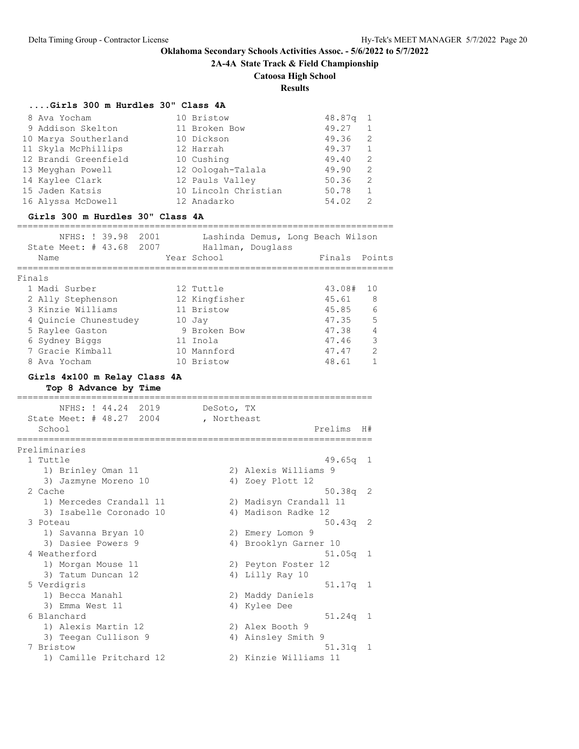**2A-4A State Track & Field Championship**

# **Catoosa High School**

**Results**

# **....Girls 300 m Hurdles 30" Class 4A**

| 8 Ava Yocham<br>9 Addison Skelton<br>10 Marya Southerland<br>11 Skyla McPhillips<br>12 Brandi Greenfield<br>13 Meyghan Powell<br>14 Kaylee Clark<br>15 Jaden Katsis<br>16 Alyssa McDowell<br>Girls 300 m Hurdles 30" Class 4A | 10 Bristow<br>11 Broken Bow<br>10 Dickson<br>12 Harrah<br>10 Cushing<br>12 Oologah-Talala<br>12 Pauls Valley<br>10 Lincoln Christian<br>12 Anadarko | 48.87q<br>49.27<br>49.36<br>49.37<br>49.40<br>49.90<br>50.36<br>50.78<br>54.02 | 1<br>1<br>2<br>1<br>$\overline{2}$<br>2<br>2<br>$\mathbf{1}$<br>2 |
|-------------------------------------------------------------------------------------------------------------------------------------------------------------------------------------------------------------------------------|-----------------------------------------------------------------------------------------------------------------------------------------------------|--------------------------------------------------------------------------------|-------------------------------------------------------------------|
| NFHS: ! 39.98<br>2001<br>State Meet: # 43.68 2007 Hallman, Douglass<br>Name                                                                                                                                                   | Year School                                                                                                                                         | Lashinda Demus, Long Beach Wilson<br>Finals                                    | Points                                                            |
| Finals<br>1 Madi Surber<br>2 Ally Stephenson<br>3 Kinzie Williams<br>4 Quincie Chunestudey<br>5 Raylee Gaston<br>6 Sydney Biggs<br>7 Gracie Kimball<br>8 Ava Yocham<br>Girls 4x100 m Relay Class 4A<br>Top 8 Advance by Time  | 12 Tuttle<br>12 Kingfisher<br>11 Bristow<br>10 Jay<br>9 Broken Bow<br>11 Inola<br>10 Mannford<br>10 Bristow                                         | 43.08#<br>45.61<br>45.85<br>47.35<br>47.38<br>47.46<br>47.47<br>48.61          | 10<br>8<br>6<br>5<br>4<br>3<br>2<br>1                             |
| ========================<br>NFHS: ! 44.24 2019<br>State Meet: # 48.27 2004<br>School                                                                                                                                          | DeSoto, TX<br>, Northeast                                                                                                                           | Prelims                                                                        | H#                                                                |
| ==================<br>Preliminaries<br>1 Tuttle<br>1) Brinley Oman 11<br>3) Jazmyne Moreno 10                                                                                                                                 |                                                                                                                                                     | 49.65g<br>2) Alexis Williams 9<br>4) Zoey Plott 12                             | 1                                                                 |
| 2 Cache<br>1) Mercedes Crandall 11<br>3) Isabelle Coronado 10<br>3 Poteau                                                                                                                                                     |                                                                                                                                                     | 50.38q<br>2) Madisyn Crandall 11<br>4) Madison Radke 12<br>50.43q              | 2<br>2                                                            |
| 1) Savanna Bryan 10<br>3) Dasiee Powers 9<br>4 Weatherford<br>1) Morgan Mouse 11                                                                                                                                              |                                                                                                                                                     | 2) Emery Lomon 9<br>4) Brooklyn Garner 10<br>51.05q<br>2) Peyton Foster 12     | 1                                                                 |
| 3) Tatum Duncan 12<br>5 Verdigris<br>1) Becca Manahl<br>3) Emma West 11                                                                                                                                                       |                                                                                                                                                     | 4) Lilly Ray 10<br>51.17q<br>2) Maddy Daniels<br>4) Kylee Dee                  | 1                                                                 |
| 6 Blanchard<br>1) Alexis Martin 12<br>3) Teegan Cullison 9                                                                                                                                                                    |                                                                                                                                                     | 51.24q<br>2) Alex Booth 9<br>4) Ainsley Smith 9                                | 1                                                                 |
| 7 Bristow<br>1) Camille Pritchard 12                                                                                                                                                                                          |                                                                                                                                                     | $51.31q$ 1<br>2) Kinzie Williams 11                                            |                                                                   |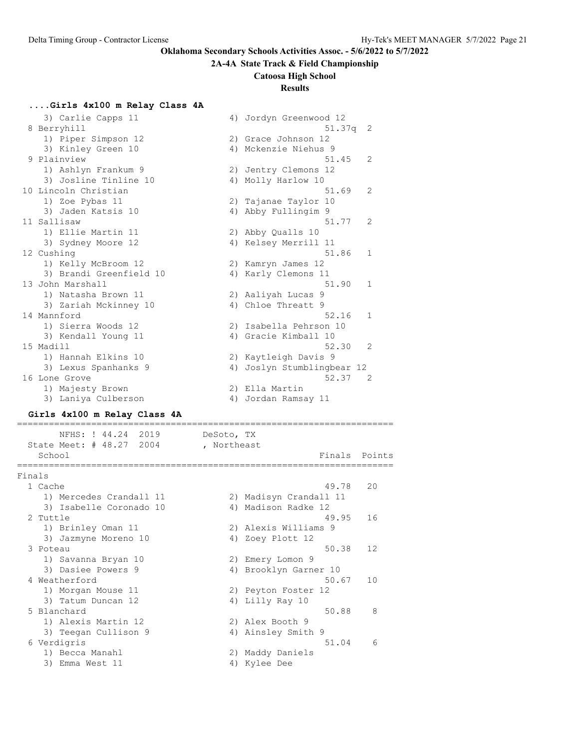### **2A-4A State Track & Field Championship**

#### **Catoosa High School**

# **Results**

### **....Girls 4x100 m Relay Class 4A**

|               | 3) Carlie Capps 11      |    | 4) Jordyn Greenwood 12  |                |
|---------------|-------------------------|----|-------------------------|----------------|
| 8 Berryhill   |                         |    | 51.37q                  | - 2            |
|               | 1) Piper Simpson 12     |    | 2) Grace Johnson 12     |                |
|               | 3) Kinley Green 10      |    | 4) Mckenzie Niehus 9    |                |
| 9 Plainview   |                         |    | 51.45                   | $\mathcal{L}$  |
|               | 1) Ashlyn Frankum 9     | 2) | Jentry Clemons 12       |                |
|               | 3) Josline Tinline 10   |    | 4) Molly Harlow 10      |                |
|               | 10 Lincoln Christian    |    | 51.69                   | $\mathcal{L}$  |
|               | 1) Zoe Pybas 11         |    | 2) Tajanae Taylor<br>10 |                |
|               | 3) Jaden Katsis 10      |    | 4) Abby Fullingim 9     |                |
| 11 Sallisaw   |                         |    | 51.77                   | $\mathcal{L}$  |
|               | 1) Ellie Martin 11      |    | 2) Abby Qualls 10       |                |
|               | 3) Sydney Moore 12      |    | 4) Kelsey Merrill 11    |                |
| 12 Cushing    |                         |    | 51.86                   | $\mathbf{1}$   |
|               | 1) Kelly McBroom 12     |    | 2) Kamryn James 12      |                |
|               | 3) Brandi Greenfield 10 |    | 4) Karly Clemons 11     |                |
|               | 13 John Marshall        |    | 51.90                   | $\mathbf{1}$   |
|               | 1) Natasha Brown 11     |    | 2) Aaliyah Lucas 9      |                |
|               | 3) Zariah Mckinney 10   |    | 4) Chloe Threatt 9      |                |
| 14 Mannford   |                         |    | 52.16                   | $\mathbf{1}$   |
|               | 1) Sierra Woods 12      |    | 2) Isabella Pehrson 10  |                |
|               | 3) Kendall Young 11     |    | 4) Gracie Kimball 10    |                |
| 15 Madill     |                         |    | 52.30                   | $\overline{2}$ |
|               | 1) Hannah Elkins 10     |    | 2) Kaytleigh Davis 9    |                |
|               | 3) Lexus Spanhanks 9    | 4) | Joslyn Stumblingbear 12 |                |
| 16 Lone Grove |                         |    | 52.37                   | - 2            |
|               | 1) Majesty Brown        |    | 2) Ella Martin          |                |
|               | 3) Laniya Culberson     | 4) | Jordan Ramsay 11        |                |

#### **Girls 4x100 m Relay Class 4A**

======================================================================= NFHS: ! 44.24 2019 DeSoto, TX State Meet: # 48.27 2004 , Northeast School Finals Points Points and Points Points Points Points Points Points Points Points Points Points Points Points Points Points Points Points Points Points Points Points Points Points Points Points Points Points Points P ======================================================================= Finals 1 Cache 49.78 20 1) Mercedes Crandall 11 2) Madisyn Crandall 11 3) Isabelle Coronado 10 (4) Madison Radke 12 2 Tuttle 49.95 16 1) Brinley Oman 11 2) Alexis Williams 9 3) Jazmyne Moreno 10  $\hskip1cm$  4) Zoey Plott 12 3 Poteau 50.38 12 1) Savanna Bryan 10 2) Emery Lomon 9 3) Dasiee Powers 9 4) Brooklyn Garner 10 4 Weatherford 50.67 10 1) Morgan Mouse 11 2) Peyton Foster 12 3) Tatum Duncan 12 4) Lilly Ray 10 5 Blanchard 50.88 8 1) Alexis Martin 12 2) Alex Booth 9 3) Teegan Cullison 9 4) Ainsley Smith 9 6 Verdigris 51.04 6 1) Becca Manahl 2) Maddy Daniels 3) Emma West 11 4) Kylee Dee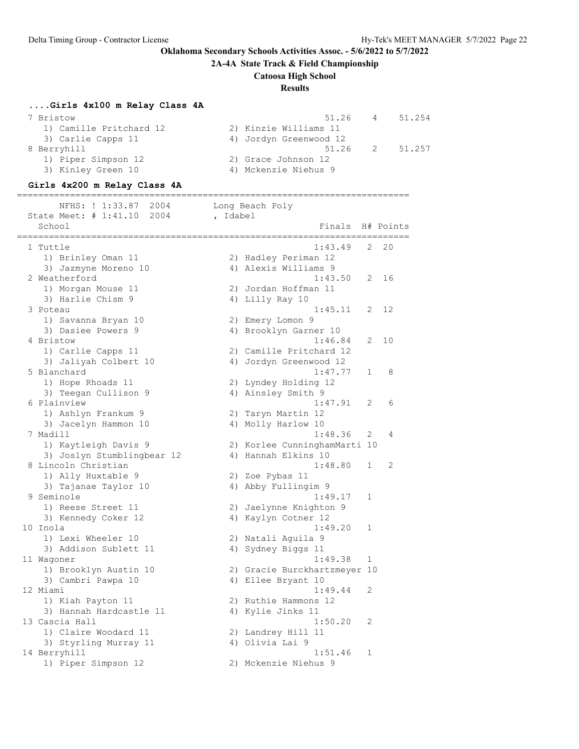**2A-4A State Track & Field Championship**

# **Catoosa High School**

# **Results**

# **....Girls 4x100 m Relay Class 4A**

| 7 Bristow               | 51.26                  | 4              | 51.254 |
|-------------------------|------------------------|----------------|--------|
| 1) Camille Pritchard 12 | 2) Kinzie Williams 11  |                |        |
| 3) Carlie Capps 11      | 4) Jordyn Greenwood 12 |                |        |
| 8 Berryhill             | 51.26                  | $\overline{2}$ | 51.257 |
| 1) Piper Simpson 12     | 2) Grace Johnson 12    |                |        |
| 3) Kinley Green 10      | 4) Mckenzie Niehus 9   |                |        |
|                         |                        |                |        |

# **Girls 4x200 m Relay Class 4A**

========================================================================== NFHS: ! 1:33.87 2004 Long Beach Poly

| <b>IVE 110.</b><br>LOUS INTERNATION<br>State Meet: # 1:41.10<br>2004 |          | nond neach roty                                     |   |           |
|----------------------------------------------------------------------|----------|-----------------------------------------------------|---|-----------|
| School                                                               | , Idabel | Finals                                              |   |           |
|                                                                      |          |                                                     |   | H# Points |
| 1 Tuttle                                                             |          | 1:43.49                                             | 2 | 20        |
| 1) Brinley Oman 11                                                   |          | 2) Hadley Periman 12                                |   |           |
| 3) Jazmyne Moreno 10                                                 |          | 4) Alexis Williams 9                                |   |           |
| 2 Weatherford                                                        |          | 1:43.50                                             | 2 | 16        |
| 1) Morgan Mouse 11                                                   |          | 2) Jordan Hoffman 11                                |   |           |
| 3) Harlie Chism 9                                                    |          | 4) Lilly Ray 10                                     |   |           |
| 3 Poteau                                                             |          | 1:45.11                                             | 2 | 12        |
| 1) Savanna Bryan 10                                                  |          | 2) Emery Lomon 9                                    |   |           |
| 3) Dasiee Powers 9                                                   |          | 4) Brooklyn Garner 10                               |   |           |
| 4 Bristow                                                            |          | 1:46.84                                             | 2 | 10        |
| 1) Carlie Capps 11                                                   |          | 2) Camille Pritchard 12                             |   |           |
| 3) Jaliyah Colbert 10                                                |          | 4) Jordyn Greenwood 12                              |   |           |
| 5 Blanchard                                                          |          | 1:47.77                                             | 1 | 8         |
| 1) Hope Rhoads 11                                                    |          | 2) Lyndey Holding 12                                |   |           |
| 3) Teegan Cullison 9                                                 |          | 4) Ainsley Smith 9                                  |   |           |
| 6 Plainview                                                          |          | 1:47.91                                             | 2 | 6         |
| 1) Ashlyn Frankum 9                                                  |          | 2) Taryn Martin 12                                  |   |           |
| 3) Jacelyn Hammon 10                                                 |          | 4) Molly Harlow 10                                  |   |           |
| 7 Madill                                                             |          | 1:48.36                                             | 2 | 4         |
|                                                                      |          |                                                     |   |           |
| 1) Kaytleigh Davis 9                                                 |          | 2) Korlee CunninghamMarti 10<br>4) Hannah Elkins 10 |   |           |
| 3) Joslyn Stumblingbear 12<br>8 Lincoln Christian                    |          | 1:48.80                                             | 1 | 2         |
|                                                                      |          |                                                     |   |           |
| 1) Ally Huxtable 9                                                   |          | 2) Zoe Pybas 11<br>4) Abby Fullingim 9              |   |           |
| 3) Tajanae Taylor 10<br>9 Seminole                                   |          | 1:49.17                                             | 1 |           |
| 1) Reese Street 11                                                   |          | 2) Jaelynne Knighton 9                              |   |           |
| 3) Kennedy Coker 12                                                  |          | 4) Kaylyn Cotner 12                                 |   |           |
| 10 Inola                                                             |          | 1:49.20                                             | 1 |           |
| 1) Lexi Wheeler 10                                                   |          | 2) Natali Aguila 9                                  |   |           |
| 3) Addison Sublett 11                                                |          | 4) Sydney Biggs 11                                  |   |           |
| 11 Waqoner                                                           |          | 1:49.38                                             | 1 |           |
| 1) Brooklyn Austin 10                                                |          | 2) Gracie Burckhartzmeyer 10                        |   |           |
| 3) Cambri Pawpa 10                                                   |          | 4) Ellee Bryant 10                                  |   |           |
| 12 Miami                                                             |          | 1:49.44                                             | 2 |           |
| 1) Kiah Payton 11                                                    |          | 2) Ruthie Hammons 12                                |   |           |
| 3) Hannah Hardcastle 11                                              |          | 4) Kylie Jinks 11                                   |   |           |
| 13 Cascia Hall                                                       |          | 1:50.20                                             | 2 |           |
| 1) Claire Woodard 11                                                 |          | 2) Landrey Hill 11                                  |   |           |
| 3) Styrling Murray 11                                                |          | 4) Olivia Lai 9                                     |   |           |
| 14 Berryhill                                                         |          | 1:51.46                                             | 1 |           |
| 1) Piper Simpson 12                                                  |          | 2) Mckenzie Niehus 9                                |   |           |
|                                                                      |          |                                                     |   |           |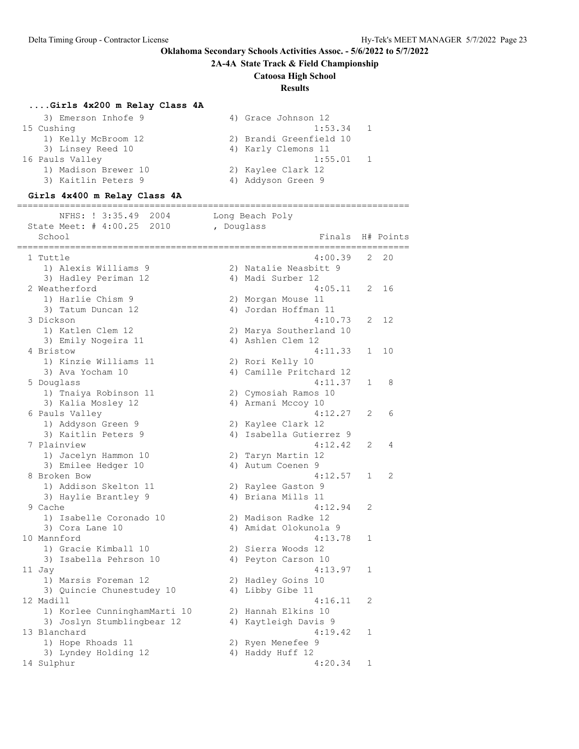**2A-4A State Track & Field Championship**

### **Catoosa High School**

### **Results**

### **....Girls 4x200 m Relay Class 4A**

| 4) Grace Johnson 12     |
|-------------------------|
| 1:53.34                 |
| 2) Brandi Greenfield 10 |
| 4) Karly Clemons 11     |
| 1:55.01                 |
| 2) Kaylee Clark 12      |
| 4) Addyson Green 9      |
|                         |

#### **Girls 4x400 m Relay Class 4A**

========================================================================== NFHS: ! 3:35.49 2004 Long Beach Poly State Meet: # 4:00.25 2010 , Douglass School **Finals H# Points** ========================================================================== 1 Tuttle 4:00.39 2 20 1) Alexis Williams 9 2) Natalie Neasbitt 9 3) Hadley Periman 12 4) Madi Surber 12 2 Weatherford 4:05.11 2 16 1) Harlie Chism 9 2) Morgan Mouse 11 3) Tatum Duncan 12 (4) Jordan Hoffman 11 3 Dickson 4:10.73 2 12 1) Katlen Clem 12 2) Marya Southerland 10 3) Emily Nogeira 11 4) Ashlen Clem 12 4 Bristow 4:11.33 1 10 1) Kinzie Williams 11 2) Rori Kelly 10 3) Ava Yocham 10 4) Camille Pritchard 12 5 Douglass 4:11.37 1 8 1) Tnaiya Robinson 11 2) Cymosiah Ramos 10 3) Kalia Mosley 12 (4) Armani Mccoy 10 6 Pauls Valley 4:12.27 2 6 1) Addyson Green 9 2) Kaylee Clark 12 3) Kaitlin Peters 9 4) Isabella Gutierrez 9 7 Plainview 4:12.42 2 4 1) Jacelyn Hammon 10 2) Taryn Martin 12 3) Emilee Hedger 10 <a>
4) Autum Coenen 9 8 Broken Bow 4:12.57 1 2 1) Addison Skelton 11 2) Raylee Gaston 9 3) Haylie Brantley 9  $\hskip1cm$  4) Briana Mills 11 9 Cache 4:12.94 2 1) Isabelle Coronado 10 2) Madison Radke 12 3) Cora Lane 10 4) Amidat Olokunola 9 10 Mannford 4:13.78 1 1) Gracie Kimball 10 2) Sierra Woods 12 3) Isabella Pehrson 10 4) Peyton Carson 10 11 Jay 4:13.97 1 1) Marsis Foreman 12 2) Hadley Goins 10 3) Quincie Chunestudey 10 <a>
4) Libby Gibe 11 12 Madill 4:16.11 2 1) Korlee CunninghamMarti 10 2) Hannah Elkins 10 3) Joslyn Stumblingbear 12 4) Kaytleigh Davis 9 13 Blanchard 4:19.42 1 1) Hope Rhoads 11 2) Ryen Menefee 9 3) Lyndey Holding 12 (4) Haddy Huff 12 14 Sulphur 4:20.34 1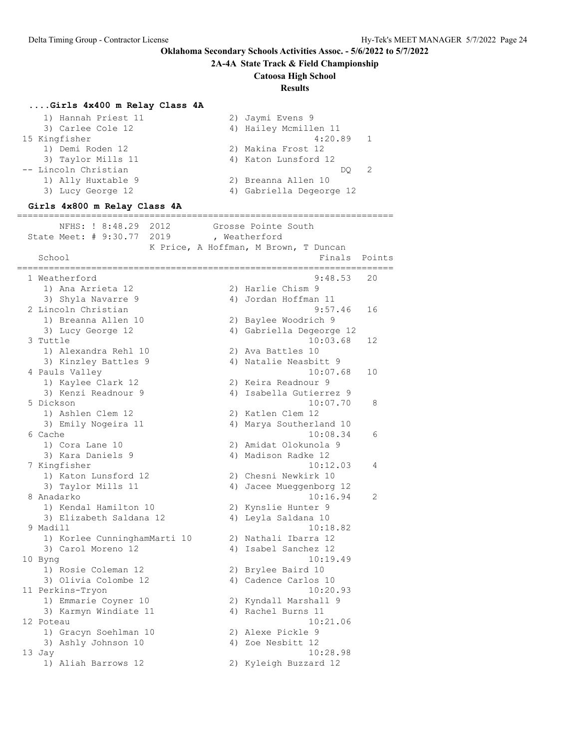**2A-4A State Track & Field Championship**

### **Catoosa High School**

## **Results**

### **....Girls 4x400 m Relay Class 4A**

| 1) Hannah Priest 11  | 2) Jaymi Evens 9         |  |
|----------------------|--------------------------|--|
| 3) Carlee Cole 12    | 4) Hailey Mcmillen 11    |  |
| 15 Kingfisher        | 4:20.89                  |  |
| 1) Demi Roden 12     | 2) Makina Frost 12       |  |
| 3) Taylor Mills 11   | 4) Katon Lunsford 12     |  |
| -- Lincoln Christian | DO                       |  |
| 1) Ally Huxtable 9   | 2) Breanna Allen 10      |  |
| 3) Lucy George 12    | 4) Gabriella Degeorge 12 |  |
|                      |                          |  |

### **Girls 4x800 m Relay Class 4A**

======================================================================= NFHS: ! 8:48.29 2012 Grosse Pointe South State Meet: # 9:30.77 2019 , Weatherford K Price, A Hoffman, M Brown, T Duncan School **Finals** Points ======================================================================= 1 Weatherford 9:48.53 20 1) Ana Arrieta 12 2) Harlie Chism 9 3) Shyla Navarre 9  $\hskip1cm$  4) Jordan Hoffman 11 2 Lincoln Christian 9:57.46 16 1) Breanna Allen 10 2) Baylee Woodrich 9 3) Lucy George 12 4) Gabriella Degeorge 12 3 Tuttle 10:03.68 12 1) Alexandra Rehl 10 2) Ava Battles 10 3) Kinzley Battles 9 4) Natalie Neasbitt 9 4 Pauls Valley 10:07.68 10 1) Kaylee Clark 12 2) Keira Readnour 9 3) Kenzi Readnour 9 4) Isabella Gutierrez 9 5 Dickson 10:07.70 8 1) Ashlen Clem 12 2) Katlen Clem 12 3) Emily Nogeira 11 4) Marya Southerland 10 6 Cache 10:08.34 6 1) Cora Lane 10 2) Amidat Olokunola 9 3) Kara Daniels 9 4) Madison Radke 12 7 Kingfisher 10:12.03 4 1) Katon Lunsford 12 2) Chesni Newkirk 10 3) Taylor Mills 11 4) Jacee Mueggenborg 12 8 Anadarko 10:16.94 2 1) Kendal Hamilton 10 2) Kynslie Hunter 9 3) Elizabeth Saldana 12 4) Leyla Saldana 10 9 Madill 10:18.82 1) Korlee CunninghamMarti 10 2) Nathali Ibarra 12 3) Carol Moreno 12 (4) Isabel Sanchez 12 10 Byng 10:19.49 1) Rosie Coleman 12 2) Brylee Baird 10 3) Olivia Colombe 12 (4) Cadence Carlos 10 11 Perkins-Tryon 10:20.93 1) Emmarie Coyner 10 2) Kyndall Marshall 9 3) Karmyn Windiate 11 (4) Rachel Burns 11 12 Poteau 10:21.06 1) Gracyn Soehlman 10 2) Alexe Pickle 9 3) Ashly Johnson 10 4) Zoe Nesbitt 12 13 Jay 10:28.98 1) Aliah Barrows 12 2) Kyleigh Buzzard 12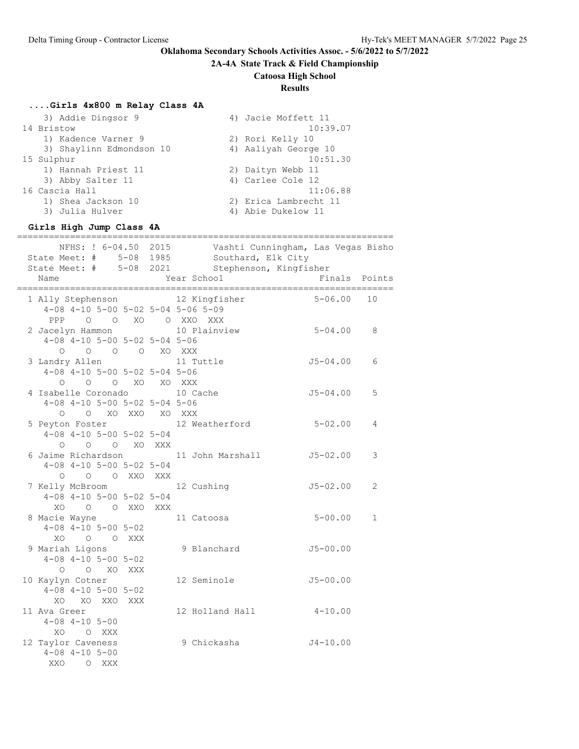# **2A-4A State Track & Field Championship**

# **Catoosa High School**

# **Results**

# **....Girls 4x800 m Relay Class 4A**

| 3) Addie Dingsor 9       | 4) Jacie Moffett 11   |
|--------------------------|-----------------------|
| 14 Bristow               | 10:39.07              |
| 1) Kadence Varner 9      | 2) Rori Kelly 10      |
| 3) Shaylinn Edmondson 10 | 4) Aaliyah George 10  |
| 15 Sulphur               | 10:51.30              |
| 1) Hannah Priest 11      | 2) Daityn Webb 11     |
| 3) Abby Salter 11        | 4) Carlee Cole 12     |
| 16 Cascia Hall           | 11:06.88              |
| 1) Shea Jackson 10       | 2) Erica Lambrecht 11 |
| 3) Julia Hulver          | 4) Abie Dukelow 11    |

### **Girls High Jump Class 4A**

|                                                                                            | NFHS: ! 6-04.50 2015 Vashti Cunningham, Las Vegas Bisho<br>State Meet: # 5-08 1985 Southard, Elk City<br>State Meet: # 5-08 2021 Stephenson, Kingfisher |               |              |
|--------------------------------------------------------------------------------------------|---------------------------------------------------------------------------------------------------------------------------------------------------------|---------------|--------------|
| Name                                                                                       | Year School                                                                                                                                             | Finals Points |              |
| 1 Ally Stephenson 12 Kingfisher<br>$4-08$ $4-10$ $5-00$ $5-02$ $5-04$ $5-06$ $5-09$        |                                                                                                                                                         | $5 - 06.00$   | 10           |
| PPP 0 0 XO 0 XXO XXX<br>2 Jacelyn Hammon                                                   | $5 - 04.00$<br>10 Plainview                                                                                                                             |               | 8            |
| $4-08$ $4-10$ $5-00$ $5-02$ $5-04$ $5-06$<br>0 0 0 0 XO XXX                                |                                                                                                                                                         |               |              |
| 3 Landry Allen 11 Tuttle<br>$4-08$ $4-10$ $5-00$ $5-02$ $5-04$ $5-06$<br>O O O XO XO XXX   |                                                                                                                                                         | $J5 - 04.00$  | 6            |
| 4 Isabelle Coronado 10 Cache<br>$4-08$ $4-10$ $5-00$ $5-02$ $5-04$ $5-06$                  |                                                                                                                                                         | $J5 - 04.00$  | 5            |
| O O XO XXO XO XXX<br>5 Peyton Foster                                                       | 12 Weatherford                                                                                                                                          | $5 - 02.00$   | 4            |
| $4-08$ $4-10$ $5-00$ $5-02$ $5-04$<br>O O O XO XXX                                         |                                                                                                                                                         |               |              |
| 6 Jaime Richardson 11 John Marshall<br>$4-08$ $4-10$ $5-00$ $5-02$ $5-04$<br>O O O XXO XXX |                                                                                                                                                         | $J5 - 02.00$  | 3            |
| 7 Kelly McBroom 12 Cushing<br>$4-08$ $4-10$ $5-00$ $5-02$ $5-04$                           |                                                                                                                                                         | $J5 - 02.00$  | 2            |
| XO O O XXO XXX<br>8 Macie Wayne<br>$4-08$ $4-10$ $5-00$ $5-02$                             | 11 Catoosa                                                                                                                                              | $5 - 00.00$   | $\mathbf{1}$ |
| XO O O XXX<br>9 Mariah Ligons                                                              | 9 Blanchard                                                                                                                                             | $J5 - 00.00$  |              |
| $4-08$ $4-10$ $5-00$ $5-02$<br>O O XO XXX                                                  |                                                                                                                                                         |               |              |
| 10 Kaylyn Cotner<br>$4-08$ $4-10$ $5-00$ $5-02$<br>XO XO XXO XXX                           | 12 Seminole                                                                                                                                             | $J5 - 00.00$  |              |
| 11 Ava Greer<br>$4 - 08$ $4 - 10$ $5 - 00$                                                 | 12 Holland Hall 4-10.00                                                                                                                                 |               |              |
| XO O XXX<br>12 Taylor Caveness<br>$4 - 08$ $4 - 10$ $5 - 00$<br>XXQ<br>O XXX               | 9 Chickasha                                                                                                                                             | $J4 - 10.00$  |              |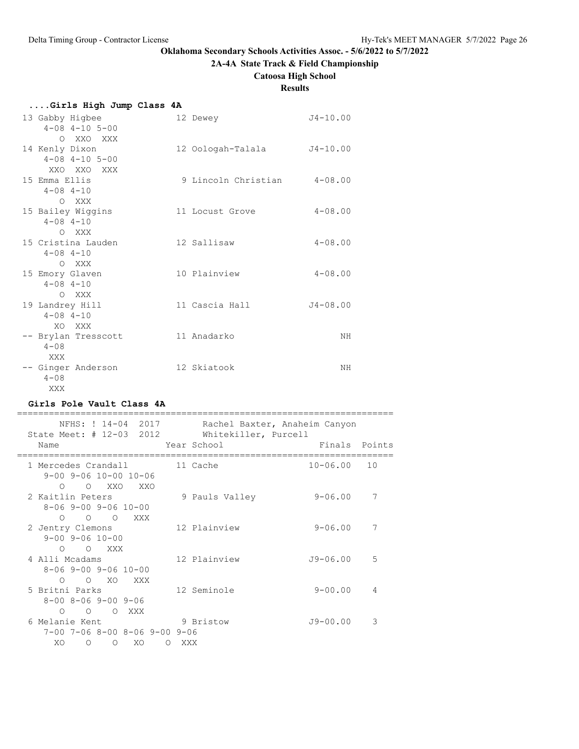# **2A-4A State Track & Field Championship**

**Catoosa High School**

# **Results**

| Girls High Jump Class 4A |  |  |  |  |
|--------------------------|--|--|--|--|
|--------------------------|--|--|--|--|

| 13 Gabby Higbee<br>$4 - 08$ $4 - 10$ $5 - 00$             | 12 Dewey            | $J4 - 10.00$ |
|-----------------------------------------------------------|---------------------|--------------|
| O XXO XXX<br>14 Kenly Dixon<br>$4 - 08$ $4 - 10$ $5 - 00$ | 12 Oologah-Talala   | $J4 - 10.00$ |
| XXO XXO XXX<br>15 Emma Ellis<br>$4 - 08$ $4 - 10$         | 9 Lincoln Christian | $4 - 08.00$  |
| O XXX<br>15 Bailey Wiggins<br>$4 - 08$ $4 - 10$           | 11 Locust Grove     | $4 - 08.00$  |
| O XXX<br>15 Cristina Lauden<br>$4 - 08$ $4 - 10$          | 12 Sallisaw         | $4 - 08.00$  |
| O XXX<br>15 Emory Glaven<br>$4 - 08$ $4 - 10$             | 10 Plainview        | $4 - 08.00$  |
| O XXX<br>19 Landrey Hill<br>$4 - 08$ $4 - 10$<br>XO XXX   | 11 Cascia Hall      | $J4 - 08.00$ |
| -- Brylan Tresscott<br>$4 - 0.8$<br>XXX                   | 11 Anadarko         | ΝH           |
| -- Ginger Anderson<br>$4 - 08$<br>XXX                     | 12 Skiatook         | ΝH           |

# **Girls Pole Vault Class 4A**

| NFHS: ! 14-04 2017<br>State Meet: # 12-03 2012                                                            | Rachel Baxter, Anaheim Canyon<br>Whitekiller, Purcell |                    |
|-----------------------------------------------------------------------------------------------------------|-------------------------------------------------------|--------------------|
| Name                                                                                                      | Year School                                           | Finals Points      |
| 1 Mercedes Crandall<br>$9 - 00$ $9 - 06$ $10 - 00$ $10 - 06$<br>O XXO<br>$\bigcirc$<br>XXO                | 11 Cache                                              | $10 - 06.00$<br>10 |
| 2 Kaitlin Peters<br>$8 - 06$ 9-00 9-06 10-00<br>$0\qquad 0\qquad 0$<br>XXX X                              | 9 Pauls Valley                                        | $9 - 06.00$<br>7   |
| 2 Jentry Clemons<br>$9 - 00$ $9 - 06$ $10 - 00$<br>O O XXX                                                | 12 Plainview                                          | $9 - 06.00$<br>7   |
| 4 Alli Mcadams<br>$8 - 06$ 9-00 9-06 10-00<br>$\circ$ xo<br>$\bigcirc$<br>XXX                             | 12 Plainview                                          | $J9 - 06.00$<br>.5 |
| 5 Britni Parks<br>$8 - 00$ $8 - 06$ $9 - 00$ $9 - 06$<br>$\circ$ 0<br>$\bigcirc$<br>$\bigcap$<br>XXX      | 12 Seminole                                           | $9 - 00.00$<br>4   |
| 6 Melanie Kent<br>$7-00$ $7-06$ $8-00$ $8-06$ $9-00$ $9-06$<br>XO<br>XO<br>$\circ$<br>$\Omega$<br>$\circ$ | 9 Bristow<br>XXX                                      | $J9 - 00.00$<br>3  |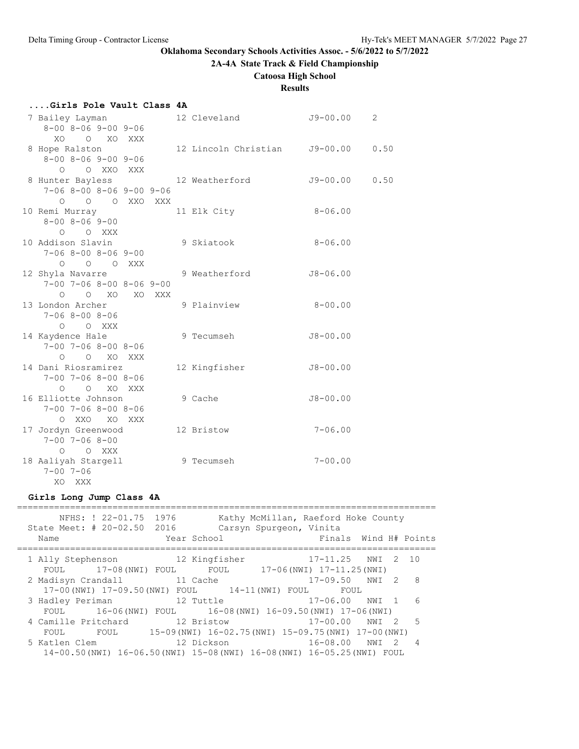# **2A-4A State Track & Field Championship**

**Catoosa High School**

# **Results**

### **....Girls Pole Vault Class 4A**

| 7 Bailey Layman                     |            | 12 Cleveland                  | $J9 - 00.00$ | 2    |
|-------------------------------------|------------|-------------------------------|--------------|------|
| $8 - 00$ $8 - 06$ $9 - 00$ $9 - 06$ |            |                               |              |      |
| XO O XO                             | XXX        |                               |              |      |
| 8 Hope Ralston                      |            | 12 Lincoln Christian J9-00.00 |              | 0.50 |
| $8 - 00$ $8 - 06$ $9 - 00$ $9 - 06$ |            |                               |              |      |
| O XXO<br>$\bigcirc$                 | <b>XXX</b> |                               |              |      |
| 8 Hunter Bayless                    |            | 12 Weatherford                | $J9 - 00.00$ | 0.50 |
| $7-06$ 8-00 8-06 9-00 9-06          |            |                               |              |      |
| O O O XXO XXX                       |            |                               |              |      |
| 10 Remi Murray                      |            | 11 Elk City                   | $8 - 06.00$  |      |
| $8 - 00$ $8 - 06$ $9 - 00$          |            |                               |              |      |
| $O$ $O$ XXX                         |            |                               |              |      |
| 10 Addison Slavin                   |            | 9 Skiatook                    | $8 - 06.00$  |      |
| $7 - 068 - 008 - 069 - 00$          |            |                               |              |      |
| $\circ$ $\circ$ $\circ$             | XXX        |                               |              |      |
| 12 Shyla Navarre                    |            | 9 Weatherford                 | $J8 - 06.00$ |      |
| $7-00$ $7-06$ $8-00$ $8-06$ $9-00$  |            |                               |              |      |
| $O$ XO<br>$\circ$                   | XO XXX     |                               |              |      |
| 13 London Archer                    |            | 9 Plainview                   | $8 - 00.00$  |      |
| $7 - 068 - 008 - 06$                |            |                               |              |      |
| O O XXX                             |            |                               |              |      |
| 14 Kaydence Hale                    |            | 9 Tecumseh                    | $J8 - 00.00$ |      |
| $7 - 00$ $7 - 06$ $8 - 00$ $8 - 06$ |            |                               |              |      |
| O O XO XXX                          |            |                               |              |      |
| 14 Dani Riosramirez                 |            | 12 Kingfisher                 | $J8 - 00.00$ |      |
| $7 - 00$ $7 - 06$ $8 - 00$ $8 - 06$ |            |                               |              |      |
| $O$ $O$ $XO$                        | XXX        |                               |              |      |
| 16 Elliotte Johnson                 |            | 9 Cache                       | $J8 - 00.00$ |      |
| $7 - 00$ $7 - 06$ $8 - 00$ $8 - 06$ |            |                               |              |      |
| $O$ XX $O$<br>XO                    | XXX        |                               |              |      |
| 17 Jordyn Greenwood                 |            | 12 Bristow                    | $7 - 06.00$  |      |
| $7 - 00$ $7 - 06$ $8 - 00$          |            |                               |              |      |
| O O XXX                             |            |                               |              |      |
| 18 Aaliyah Stargell                 |            | 9 Tecumseh                    | $7 - 00.00$  |      |
| $7 - 00$ $7 - 06$                   |            |                               |              |      |
| XO XXX                              |            |                               |              |      |
|                                     |            |                               |              |      |

# **Girls Long Jump Class 4A**

| State Meet: # 20-02.50 2016<br>Name                      | NFHS: ! 22-01.75 1976 |               | Year School                                                                                                                                                                           | Kathy McMillan, Raeford Hoke County<br>Carsyn Spurgeon, Vinita | Finals Wind H# Points  |           |                |
|----------------------------------------------------------|-----------------------|---------------|---------------------------------------------------------------------------------------------------------------------------------------------------------------------------------------|----------------------------------------------------------------|------------------------|-----------|----------------|
| 1 Ally Stephenson 12 Kingfisher<br>FOUL 17-08 (NWI) FOUL |                       |               | FOUL 17-06 (NWI) 17-11.25 (NWI)                                                                                                                                                       |                                                                | 17-11.25 NWI 2 10      |           |                |
| 2 Madisyn Crandall                                       |                       | 11 Cache      |                                                                                                                                                                                       |                                                                | $17 - 09.50$ NWI 2     |           | - 8            |
| 3 Hadley Periman                                         |                       | and 12 Tuttle | 17-00(NWI) 17-09.50(NWI) FOUL 14-11(NWI) FOUL                                                                                                                                         |                                                                | FOUL<br>17-06.00 NWI 1 |           | 6              |
|                                                          |                       |               | FOUL 16-06 (NWI) FOUL 16-08 (NWI) 16-09.50 (NWI) 17-06 (NWI)                                                                                                                          |                                                                |                        |           |                |
| 4 Camille Pritchard                                      |                       |               | 12 Bristow                                                                                                                                                                            |                                                                | $17 - 00.00$           | NWI 2     | $-5$           |
|                                                          |                       |               | FOUL FOUL 15-09 (NWI) 16-02.75 (NWI) 15-09.75 (NWI) 17-00 (NWI)                                                                                                                       |                                                                |                        |           |                |
| 5 Katlen Clem                                            |                       |               | 12 Dickson and the state of the state of the state of the state of the state of the state of the state of the<br>14-00.50(NWI) 16-06.50(NWI) 15-08(NWI) 16-08(NWI) 16-05.25(NWI) FOUL |                                                                | 16-08.00               | NWI<br>-2 | $\overline{4}$ |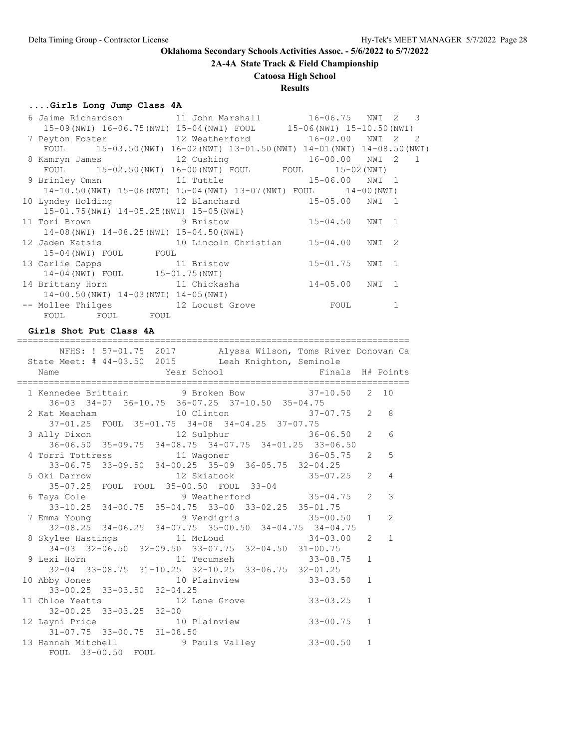**2A-4A State Track & Field Championship**

### **Catoosa High School**

## **Results**

#### **....Girls Long Jump Class 4A**

| 6 Jaime Richardson 11 John Marshall 16-06.75 NWI 2 3                 |                                                                           |                |   |  |
|----------------------------------------------------------------------|---------------------------------------------------------------------------|----------------|---|--|
|                                                                      | 15-09 (NWI) 16-06.75 (NWI) 15-04 (NWI) FOUL 15-06 (NWI) 15-10.50 (NWI)    |                |   |  |
| 7 Peyton Foster 12 Weatherford 16-02.00 NWI 2 2                      |                                                                           |                |   |  |
|                                                                      | FOUL 15-03.50 (NWI) 16-02 (NWI) 13-01.50 (NWI) 14-01 (NWI) 14-08.50 (NWI) |                |   |  |
| 8 Kamryn James 12 Cushing 16-00.00 NWI 2 1                           |                                                                           |                |   |  |
|                                                                      | FOUL 15-02.50 (NWI) 16-00 (NWI) FOUL FOUL 15-02 (NWI)                     |                |   |  |
| 9 Brinley Oman 11 Tuttle 15-06.00 NWI 1                              |                                                                           |                |   |  |
|                                                                      | 14-10.50 (NWI) 15-06 (NWI) 15-04 (NWI) 13-07 (NWI) FOUL 14-00 (NWI)       |                |   |  |
| 10 Lyndey Holding 12 Blanchard 15-05.00 NWI 1                        |                                                                           |                |   |  |
| 15-01.75(NWI) 14-05.25(NWI) 15-05(NWI)                               |                                                                           |                |   |  |
| 11 Tori Brown                 9 Bristow             15-04.50   NWI 1 |                                                                           |                |   |  |
| 14-08 (NWI) 14-08.25 (NWI) 15-04.50 (NWI)                            |                                                                           |                |   |  |
| 12 Jaden Katsis 10 Lincoln Christian 15-04.00 NWI 2                  |                                                                           |                |   |  |
| 15-04 (NWI) FOUL FOUL                                                |                                                                           |                |   |  |
| 13 Carlie Capps 11 Bristow                                           |                                                                           | 15-01.75 NWI 1 |   |  |
| 14-04 (NWI) FOUL 15-01.75 (NWI)                                      |                                                                           |                |   |  |
| 14 Brittany Horn 11 Chickasha                                        |                                                                           | 14-05.00 NWI 1 |   |  |
| $14-00.50$ (NWI) $14-03$ (NWI) $14-05$ (NWI)                         |                                                                           |                |   |  |
| -- Mollee Thilges 12 Locust Grove 600L                               |                                                                           |                | 1 |  |
| FOUL FOUL FOUL                                                       |                                                                           |                |   |  |

#### **Girls Shot Put Class 4A**

 NFHS: ! 57-01.75 2017 Alyssa Wilson, Toms River Donovan Ca State Meet: # 44-03.50 2015 Leah Knighton, Seminole Name The Year School The Finals H# Points ========================================================================== 1 Kennedee Brittain 9 Broken Bow 37-10.50 2 10 36-03 34-07 36-10.75 36-07.25 37-10.50 35-04.75 2 Kat Meacham 10 Clinton 37-01.25 FOUL 35-01.75 34-08 34-04.25 37-07.75 3 Ally Dixon 12 Sulphur 36-06.50 2 6 36-06.50 35-09.75 34-08.75 34-07.75 34-01.25 33-06.50 4 Torri Tottress 11 Wagoner 36-05.75 2 5 33-06.75 33-09.50 34-00.25 35-09 36-05.75 32-04.25 5 Oki Darrow 12 Skiatook 35-07.25 2 4 35-07.25 FOUL FOUL 35-00.50 FOUL 33-04 6 Taya Cole 9 Weatherford 35-04.75 2 3 33-10.25 34-00.75 35-04.75 33-00 33-02.25 35-01.75 7 Emma Young 19 9 Verdigris 32-08.25 34-06.25 34-07.75 35-00.50 34-04.75 34-04.75 8 Skylee Hastings 31 McLoud 34-03 32-06.50 32-09.50 33-07.75 32-04.50 31-00.75 9 Lexi Horn 11 Tecumseh 33-08.75 1 32-04 33-08.75 31-10.25 32-10.25 33-06.75 32-01.25<br>10 Abby Jones 10 Plainview 33-03.5 10 Plainview 33-03.50 1 33-00.25 33-03.50 32-04.25 11 Chloe Yeatts 12 Lone Grove 33-03.25 1 32-00.25 33-03.25 32-00 12 Layni Price 10 Plainview 33-00.75 1 31-07.75 33-00.75 31-08.50 13 Hannah Mitchell 9 Pauls Valley 33-00.50 1 FOUL 33-00.50 FOUL

==========================================================================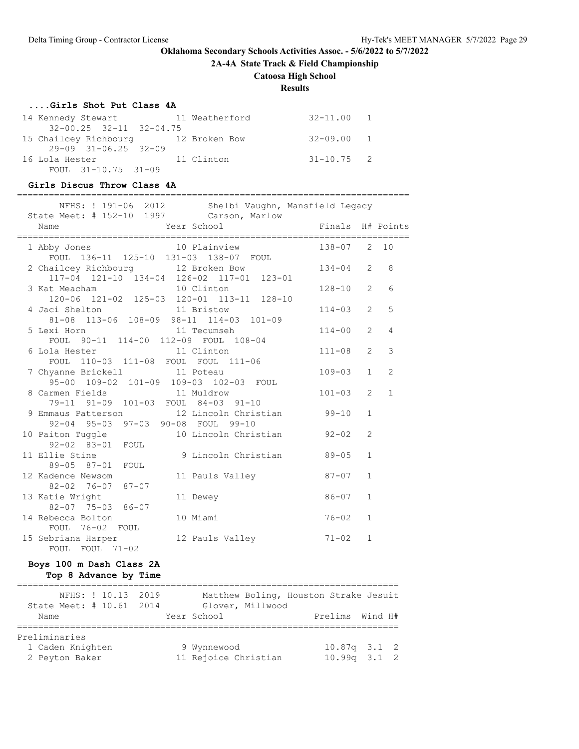**2A-4A State Track & Field Championship**

# **Catoosa High School**

# **Results**

# **....Girls Shot Put Class 4A**

| 14 Kennedy Stewart                  | 11 Weatherford | 32-11.00 1     |
|-------------------------------------|----------------|----------------|
| $32 - 00.25$ $32 - 11$ $32 - 04.75$ |                |                |
| 15 Chailcey Richbourg 12 Broken Bow |                | $32 - 09.00$ 1 |
| $29-09$ $31-06.25$ $32-09$          |                |                |
| 16 Lola Hester                      | 11 Clinton     | $31 - 10.75$ 2 |
| FOUL 31-10.75 31-09                 |                |                |

#### **Girls Discus Throw Class 4A**

|                 |                                        |                               | NFHS: ! 191-06 2012 Shelbi Vaughn, Mansfield Legacy<br>State Meet: # 152-10 1997 Carson, Marlow |                  |                |                |
|-----------------|----------------------------------------|-------------------------------|-------------------------------------------------------------------------------------------------|------------------|----------------|----------------|
| Name            |                                        | <b>Example 21 Year School</b> |                                                                                                 | Finals H# Points |                |                |
|                 |                                        |                               | 1 Abby Jones 10 Plainview<br>FOUL 136-11 125-10 131-03 138-07 FOUL                              | 138-07 2 10      |                |                |
|                 |                                        |                               | 2 Chailcey Richbourg 12 Broken Bow<br>117-04 121-10 134-04 126-02 117-01 123-01                 | $134 - 04$ 2     |                | 8              |
|                 |                                        |                               | 3 Kat Meacham 10 Clinton<br>120-06 121-02 125-03 120-01 113-11 128-10                           | $128 - 10$       | $\overline{2}$ | 6              |
|                 | 4 Jaci Shelton 11 Bristow              |                               | 81-08 113-06 108-09 98-11 114-03 101-09                                                         | $114 - 03$       | $\overline{2}$ | 5              |
|                 |                                        |                               | 5 Lexi Horn 11 Tecumseh<br>FOUL 90-11 114-00 112-09 FOUL 108-04                                 | $114 - 00$       | $\overline{2}$ | $\overline{4}$ |
|                 |                                        |                               | 6 Lola Hester 11 Clinton<br>FOUL 110-03 111-08 FOUL FOUL 111-06                                 | $111 - 08$ 2     |                | 3              |
|                 | 7 Chyanne Brickell 11 Poteau           |                               | 95-00 109-02 101-09 109-03 102-03 FOUL                                                          | $109 - 03$       | $\mathbf{1}$   | 2              |
|                 |                                        |                               | 8 Carmen Fields 11 Muldrow<br>79-11 91-09 101-03 FOUL 84-03 91-10                               | $101 - 03$       | $\overline{2}$ | $\mathbf{1}$   |
|                 |                                        |                               | 9 Emmaus Patterson 12 Lincoln Christian<br>92-04 95-03 97-03 90-08 FOUL 99-10                   | $99 - 10$        | $\mathbf{1}$   |                |
|                 | 92-02 83-01 FOUL                       |                               | 10 Paiton Tuggle 10 Lincoln Christian 92-02                                                     |                  | 2              |                |
|                 | 89-05 87-01 FOUL                       |                               | 11 Ellie Stine 10 9 Lincoln Christian 199-05                                                    |                  | $\mathbf{1}$   |                |
|                 | 12 Kadence Newsom<br>82-02 76-07 87-07 |                               | 11 Pauls Valley 87-07                                                                           |                  | $\mathbf{1}$   |                |
| 13 Katie Wright | 82-07 75-03 86-07                      |                               | 11 Dewey                                                                                        | $86 - 07$        | $\mathbf{1}$   |                |
|                 | 14 Rebecca Bolton<br>FOUL 76-02 FOUL   |                               | 10 Miami                                                                                        | $76 - 02$        | $\mathbf{1}$   |                |
|                 | FOUL FOUL 71-02                        |                               | 15 Sebriana Harper 12 Pauls Valley 21-02                                                        |                  | $\mathbf{1}$   |                |
|                 |                                        |                               |                                                                                                 |                  |                |                |

# **Boys 100 m Dash Class 2A Top 8 Advance by Time**

| NFHS: ! 10.13 2019       | Matthew Boling, Houston Strake Jesuit |                 |                  |
|--------------------------|---------------------------------------|-----------------|------------------|
| State Meet: # 10.61 2014 | Glover, Millwood                      |                 |                  |
| Name                     | Year School                           | Prelims Wind H# |                  |
|                          |                                       |                 |                  |
| Preliminaries            |                                       |                 |                  |
| 1 Caden Knighten         | 9 Wynnewood                           |                 | $10.87q$ 3.1 2   |
| 2 Peyton Baker           | 11 Rejoice Christian                  |                 | $10.99q$ $3.1$ 2 |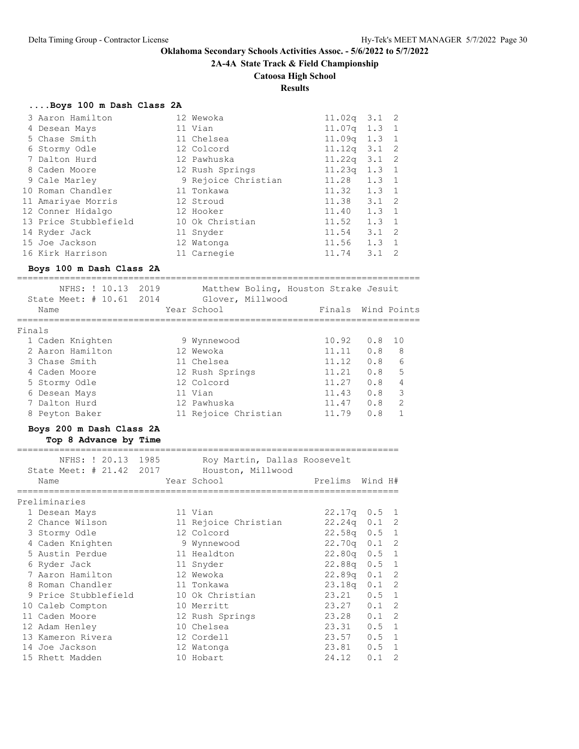**2A-4A State Track & Field Championship**

# **Catoosa High School**

**Results**

# **....Boys 100 m Dash Class 2A**

| 3 Aaron Hamilton      | 12 Wewoka           | 11.02 <sub>q</sub> | 3.1           | - 2 |
|-----------------------|---------------------|--------------------|---------------|-----|
| 4 Desean Mays         | 11 Vian             | $11.07q$ 1.3 1     |               |     |
| 5 Chase Smith         | 11 Chelsea          | 11.09 <sub>q</sub> | 1.3 1         |     |
| 6 Stormy Odle         | 12 Colcord          | 11.12 <sub>q</sub> | $3.1 \quad 2$ |     |
| 7 Dalton Hurd         | 12 Pawhuska         | 11.22q             | $3.1 \quad 2$ |     |
| 8 Caden Moore         | 12 Rush Springs     | 11.23q             | $1.3 \quad 1$ |     |
| 9 Cale Marley         | 9 Rejoice Christian | 11.28              | $1.3 \quad 1$ |     |
| 10 Roman Chandler     | 11 Tonkawa          | 11.32              | $1.3 \quad 1$ |     |
| 11 Amariyae Morris    | 12 Stroud           | 11.38              | $3.1 \quad 2$ |     |
| 12 Conner Hidalgo     | 12 Hooker           | 11.40              | $1.3 \quad 1$ |     |
| 13 Price Stubblefield | 10 Ok Christian     | 11.52              | $1.3 \quad 1$ |     |
| 14 Ryder Jack         | 11 Snyder           | 11.54              | $3.1 \quad 2$ |     |
| 15 Joe Jackson        | 12 Watonga          | 11.56              | $1.3 \quad 1$ |     |
| 16 Kirk Harrison      | 11 Carnegie         | 11.74              | 3.1           | 2   |

### **Boys 100 m Dash Class 2A**

|        | NFHS: ! 10.13<br>State Meet: # 10.61 2014 | 2019 | Matthew Boling, Houston Strake Jesuit<br>Glover, Millwood |        |     |               |
|--------|-------------------------------------------|------|-----------------------------------------------------------|--------|-----|---------------|
|        | Name                                      |      | Year School                                               | Finals |     | Wind Points   |
| Finals |                                           |      |                                                           |        |     |               |
|        | 1 Caden Knighten                          |      | 9 Wynnewood                                               | 10.92  | 0.8 | 10            |
|        | 2 Aaron Hamilton                          |      | 12 Wewoka                                                 | 11.11  | 0.8 | - 8           |
|        | 3 Chase Smith                             |      | 11 Chelsea                                                | 11.12  | 0.8 | 6             |
|        | 4 Caden Moore                             |      | 12 Rush Springs                                           | 11.21  | 0.8 | 5             |
|        | 5 Stormy Odle                             |      | 12 Colcord                                                | 11.27  | 0.8 | 4             |
|        | 6 Desean Mays                             |      | 11 Vian                                                   | 11.43  | 0.8 | 3             |
|        | 7 Dalton Hurd                             |      | 12 Pawhuska                                               | 11.47  | 0.8 | $\mathcal{L}$ |
|        | 8 Peyton Baker                            |      | 11 Rejoice Christian                                      | 11.79  | 0.8 |               |
|        |                                           |      |                                                           |        |     |               |

### **Boys 200 m Dash Class 2A**

### **Top 8 Advance by Time**

|      |                                                                                                                                                                                                                                                                                                             | Houston, Millwood                              |                                                                                                                                                                                                                                               |                              |                                                                                                                                                                                                                |
|------|-------------------------------------------------------------------------------------------------------------------------------------------------------------------------------------------------------------------------------------------------------------------------------------------------------------|------------------------------------------------|-----------------------------------------------------------------------------------------------------------------------------------------------------------------------------------------------------------------------------------------------|------------------------------|----------------------------------------------------------------------------------------------------------------------------------------------------------------------------------------------------------------|
| Name |                                                                                                                                                                                                                                                                                                             |                                                |                                                                                                                                                                                                                                               |                              |                                                                                                                                                                                                                |
|      |                                                                                                                                                                                                                                                                                                             |                                                |                                                                                                                                                                                                                                               |                              |                                                                                                                                                                                                                |
|      |                                                                                                                                                                                                                                                                                                             |                                                |                                                                                                                                                                                                                                               |                              |                                                                                                                                                                                                                |
|      |                                                                                                                                                                                                                                                                                                             |                                                |                                                                                                                                                                                                                                               | $0.5 \quad 1$                |                                                                                                                                                                                                                |
|      |                                                                                                                                                                                                                                                                                                             |                                                |                                                                                                                                                                                                                                               | $0.1 \quad 2$                |                                                                                                                                                                                                                |
|      |                                                                                                                                                                                                                                                                                                             |                                                |                                                                                                                                                                                                                                               | $0.5 \quad 1$                |                                                                                                                                                                                                                |
|      |                                                                                                                                                                                                                                                                                                             |                                                |                                                                                                                                                                                                                                               | 0.1                          | -2                                                                                                                                                                                                             |
|      |                                                                                                                                                                                                                                                                                                             |                                                |                                                                                                                                                                                                                                               | $0.5 \quad 1$                |                                                                                                                                                                                                                |
|      |                                                                                                                                                                                                                                                                                                             |                                                |                                                                                                                                                                                                                                               | $0.5 \quad 1$                |                                                                                                                                                                                                                |
|      |                                                                                                                                                                                                                                                                                                             |                                                |                                                                                                                                                                                                                                               | $0.1 \quad 2$                |                                                                                                                                                                                                                |
|      |                                                                                                                                                                                                                                                                                                             |                                                |                                                                                                                                                                                                                                               | $0.1 \quad 2$                |                                                                                                                                                                                                                |
|      |                                                                                                                                                                                                                                                                                                             |                                                |                                                                                                                                                                                                                                               | $0.5 \quad 1$                |                                                                                                                                                                                                                |
|      |                                                                                                                                                                                                                                                                                                             |                                                |                                                                                                                                                                                                                                               | $0.1 \quad 2$                |                                                                                                                                                                                                                |
|      |                                                                                                                                                                                                                                                                                                             |                                                |                                                                                                                                                                                                                                               | $0.1 \quad 2$                |                                                                                                                                                                                                                |
|      |                                                                                                                                                                                                                                                                                                             |                                                |                                                                                                                                                                                                                                               | $0.5 \quad 1$                |                                                                                                                                                                                                                |
|      |                                                                                                                                                                                                                                                                                                             |                                                |                                                                                                                                                                                                                                               | $0.5 \quad 1$                |                                                                                                                                                                                                                |
|      |                                                                                                                                                                                                                                                                                                             |                                                |                                                                                                                                                                                                                                               | $0.5 \quad 1$                |                                                                                                                                                                                                                |
|      |                                                                                                                                                                                                                                                                                                             |                                                |                                                                                                                                                                                                                                               | 0.1                          | $\mathcal{L}$                                                                                                                                                                                                  |
|      | Preliminaries<br>1 Desean Mays<br>2 Chance Wilson<br>3 Stormy Odle<br>4 Caden Knighten<br>5 Austin Perdue<br>6 Ryder Jack<br>7 Aaron Hamilton<br>8 Roman Chandler<br>9 Price Stubblefield<br>10 Caleb Compton<br>11 Caden Moore<br>12 Adam Henley<br>13 Kameron Rivera<br>14 Joe Jackson<br>15 Rhett Madden | NFHS: ! 20.13 1985<br>State Meet: # 21.42 2017 | Year School<br>11 Vian<br>11 Rejoice Christian<br>12 Colcord<br>9 Wynnewood<br>11 Healdton<br>11 Snyder<br>12 Wewoka<br>11 Tonkawa<br>10 Ok Christian<br>10 Merritt<br>12 Rush Springs<br>10 Chelsea<br>12 Cordell<br>12 Watonga<br>10 Hobart | Roy Martin, Dallas Roosevelt | Prelims Wind H#<br>22.17q<br>22,24q<br>22.58 <sub>q</sub><br>22.70q<br>22.80q<br>22.88 <sub>q</sub><br>22.89 <sub>q</sub><br>23.18 <sub>q</sub><br>23.21<br>23.27<br>23.28<br>23.31<br>23.57<br>23.81<br>24.12 |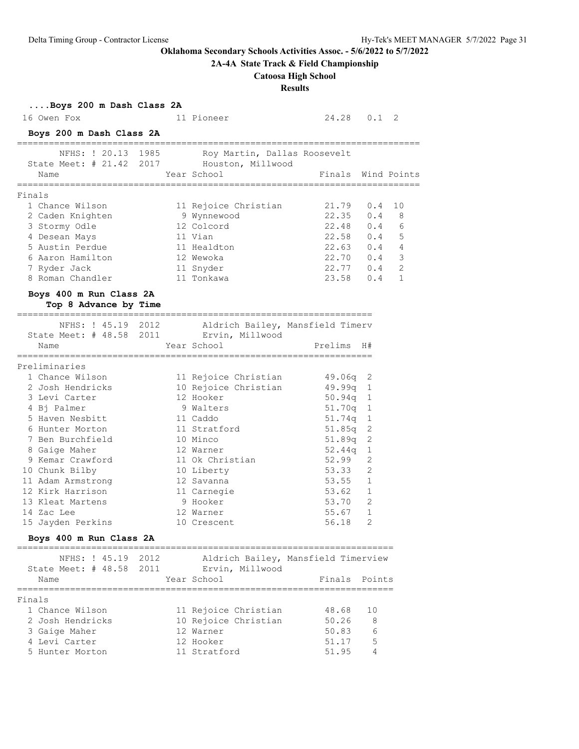# **2A-4A State Track & Field Championship**

# **Catoosa High School**

**Results**

|        | Boys 200 m Dash Class 2A                              |      |                                                                                               |                        |                |                |
|--------|-------------------------------------------------------|------|-----------------------------------------------------------------------------------------------|------------------------|----------------|----------------|
|        | 16 Owen Fox                                           |      | 11 Pioneer                                                                                    | 24.28 0.1 2            |                |                |
|        | Boys 200 m Dash Class 2A<br>------------------------- |      |                                                                                               |                        |                |                |
|        |                                                       |      | NFHS: ! 20.13 1985 Roy Martin, Dallas Roosevelt<br>State Meet: # 21.42 2017 Houston, Millwood |                        |                |                |
|        | Name                                                  |      | Year School                                                                                   | Finals Wind Points     |                |                |
| Finals |                                                       |      |                                                                                               |                        |                |                |
|        | 1 Chance Wilson                                       |      | 11 Rejoice Christian                                                                          | 21.79                  | 0.4            | 10             |
|        | 2 Caden Knighten                                      |      | 9 Wynnewood                                                                                   | $22.35$ 0.4            |                | 8              |
|        | 3 Stormy Odle                                         |      | 12 Colcord                                                                                    | 22.48 0.4              |                | 6              |
|        | 4 Desean Mays                                         |      | 11 Vian                                                                                       | 22.58 0.4              |                | 5              |
|        | 5 Austin Perdue                                       |      | 11 Healdton                                                                                   | $22.63$ 0.4 4          |                |                |
|        | 6 Aaron Hamilton                                      |      | 12 Wewoka                                                                                     | 22.70 0.4              |                | 3              |
|        | 7 Ryder Jack                                          |      | 11 Snyder                                                                                     | 22.77 0.4              |                | $\overline{c}$ |
|        | 8 Roman Chandler                                      |      | 11 Tonkawa                                                                                    | 23.58 0.4              |                | 1              |
|        | Boys 400 m Run Class 2A                               |      |                                                                                               |                        |                |                |
|        | Top 8 Advance by Time                                 |      | ===========================                                                                   |                        |                |                |
|        |                                                       |      | NFHS: ! 45.19 2012 Aldrich Bailey, Mansfield Timerv                                           |                        |                |                |
|        | State Meet: # 48.58 2011 Ervin, Millwood              |      |                                                                                               |                        |                |                |
|        | Name                                                  |      | Year School                                                                                   | Prelims                | H#             |                |
|        |                                                       |      |                                                                                               |                        |                |                |
|        | Preliminaries<br>1 Chance Wilson                      |      |                                                                                               |                        |                |                |
|        | 2 Josh Hendricks                                      |      | 11 Rejoice Christian<br>10 Rejoice Christian                                                  | $49.06q$ 2<br>49.99q 1 |                |                |
|        | 3 Levi Carter                                         |      | 12 Hooker                                                                                     | $50.94q$ 1             |                |                |
|        | 4 Bj Palmer                                           |      | 9 Walters                                                                                     | $51.70q$ 1             |                |                |
|        | 5 Haven Nesbitt                                       |      | 11 Caddo                                                                                      | 51.74q                 | 1              |                |
|        | 6 Hunter Morton                                       |      | 11 Stratford                                                                                  | 51.85q                 | 2              |                |
|        | 7 Ben Burchfield                                      |      | 10 Minco                                                                                      | 51.89q                 | 2              |                |
|        | 8 Gaige Maher                                         |      | 12 Warner                                                                                     | 52.44q                 | 1              |                |
|        | 9 Kemar Crawford                                      |      | 11 Ok Christian                                                                               | 52.99                  | 2              |                |
|        | 10 Chunk Bilby                                        |      | 10 Liberty                                                                                    | 53.33                  | $\overline{2}$ |                |
|        | 11 Adam Armstrong                                     |      | 12 Savanna                                                                                    |                        |                |                |
|        | 12 Kirk Harrison                                      |      | 11 Carnegie                                                                                   | 53.55 1<br>53.62 1     |                |                |
|        | 13 Kleat Martens                                      |      | 9 Hooker                                                                                      | 53.70                  | 2              |                |
|        | 14 Zac Lee                                            |      | 12 Warner                                                                                     | 55.67                  | $\mathbf{1}$   |                |
|        | 15 Jayden Perkins                                     |      | 10 Crescent                                                                                   | 56.18                  | 2              |                |
|        | Boys 400 m Run Class 2A                               |      |                                                                                               |                        |                |                |
|        | NFHS: ! 45.19                                         | 2012 | Aldrich Bailey, Mansfield Timerview                                                           |                        |                |                |
|        | State Meet: # 48.58 2011                              |      | Ervin, Millwood                                                                               |                        |                |                |
|        | Name                                                  |      | Year School                                                                                   | Finals                 | Points         |                |
|        |                                                       |      |                                                                                               |                        |                |                |
| Finals | 1 Chance Wilson                                       |      |                                                                                               | 48.68                  | 10             |                |
|        | 2 Josh Hendricks                                      |      | 11 Rejoice Christian<br>10 Rejoice Christian                                                  | 50.26                  | 8              |                |
|        | 3 Gaige Maher                                         |      | 12 Warner                                                                                     | 50.83                  | 6              |                |
|        | 4 Levi Carter                                         |      | 12 Hooker                                                                                     | 51.17                  | 5              |                |
|        | 5 Hunter Morton                                       |      | 11 Stratford                                                                                  | 51.95                  | 4              |                |
|        |                                                       |      |                                                                                               |                        |                |                |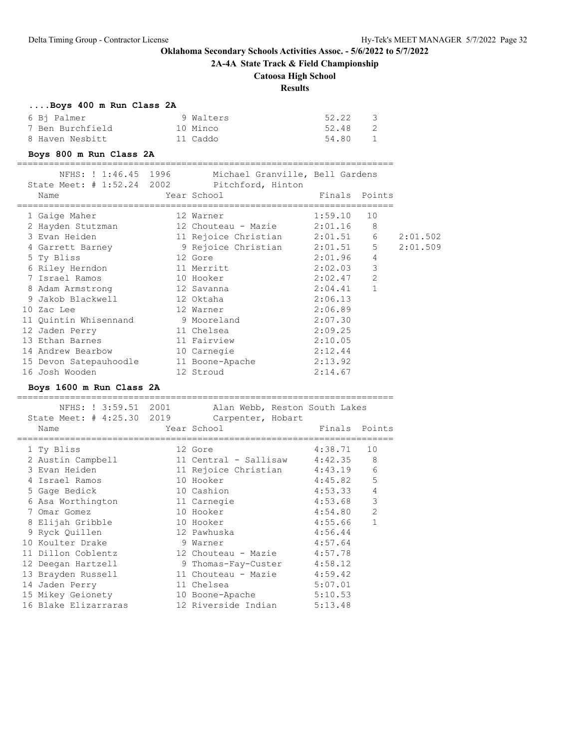**2A-4A State Track & Field Championship**

# **Catoosa High School**

# **Results**

# **....Boys 400 m Run Class 2A**

| 6 Bi Palmer      | 9 Walters | 52.22 |
|------------------|-----------|-------|
| 7 Ben Burchfield | 10 Minco  | 52.48 |
| 8 Haven Nesbitt  | 11 Caddo  | 54.80 |

# **Boys 800 m Run Class 2A**

| NFHS: ! 1:46.45 1996<br>State Meet: # 1:52.24 2002 | Michael Granville, Bell Gardens<br>Pitchford, Hinton |             |                |          |
|----------------------------------------------------|------------------------------------------------------|-------------|----------------|----------|
| Name                                               | Year School                                          |             | Finals Points  |          |
| 1 Gaige Maher                                      | 12 Warner                                            | 1:59.10     | 10             |          |
| 2 Hayden Stutzman                                  | 12 Chouteau - Mazie                                  | 2:01.16     | 8              |          |
| 3 Evan Heiden                                      | 11 Rejoice Christian                                 | $2:01.51$ 6 |                | 2:01.502 |
| 4 Garrett Barney                                   | 9 Rejoice Christian                                  | 2:01.51     | 5              | 2:01.509 |
| 5 Ty Bliss                                         | 12 Gore                                              | 2:01.96     | $\overline{4}$ |          |
| 6 Riley Herndon                                    | 11 Merritt                                           | 2:02.03     | $\mathbf{3}$   |          |
| 7 Israel Ramos                                     | 10 Hooker                                            | 2:02.47     | 2              |          |
| 8 Adam Armstrong                                   | 12 Savanna                                           | 2:04.41     | $\mathbf{1}$   |          |
| 9 Jakob Blackwell – Santon State                   | 12 Oktaha                                            | 2:06.13     |                |          |
| 10 Zac Lee                                         | 12 Warner                                            | 2:06.89     |                |          |
| 11 Quintin Whisennand                              | 9 Mooreland                                          | 2:07.30     |                |          |
| 12 Jaden Perry                                     | 11 Chelsea                                           | 2:09.25     |                |          |
| 13 Ethan Barnes                                    | 11 Fairview                                          | 2:10.05     |                |          |
| 14 Andrew Bearbow                                  | 10 Carnegie                                          | 2:12.44     |                |          |
| 15 Devon Satepauhoodle                             | 11 Boone-Apache                                      | 2:13.92     |                |          |
| 16 Josh Wooden                                     | 12 Stroud                                            | 2:14.67     |                |          |

### **Boys 1600 m Run Class 2A**

| State Meet: # 4:25.30 2019 | NFHS: ! 3:59.51 2001 Alan Webb, Reston South Lakes<br>Carpenter, Hobart |         |                |
|----------------------------|-------------------------------------------------------------------------|---------|----------------|
| Name                       | Year School                                                             | Finals  | Points         |
| 1 Ty Bliss                 | 12 Gore                                                                 | 4:38.71 | 10             |
| 2 Austin Campbell          | 11 Central - Sallisaw 4:42.35                                           |         | 8              |
| 3 Evan Heiden              | 11 Rejoice Christian 4:43.19                                            |         | 6              |
| 4 Israel Ramos             | 10 Hooker                                                               | 4:45.82 | 5              |
| 5 Gage Bedick              | 10 Cashion                                                              | 4:53.33 | 4              |
| 6 Asa Worthington          | 11 Carnegie                                                             | 4:53.68 | 3              |
| 7 Omar Gomez               | 10 Hooker                                                               | 4:54.80 | $\overline{2}$ |
| 8 Elijah Gribble           | 10 Hooker                                                               | 4:55.66 | $\mathbf{1}$   |
| 9 Ryck Quillen             | 12 Pawhuska                                                             | 4:56.44 |                |
| 10 Koulter Drake           | 9 Warner                                                                | 4:57.64 |                |
| 11 Dillon Coblentz         | 12 Chouteau - Mazie 4:57.78                                             |         |                |
| 12 Deegan Hartzell         | 9 Thomas-Fay-Custer 4:58.12                                             |         |                |
| 13 Brayden Russell         | 11 Chouteau - Mazie                                                     | 4:59.42 |                |
| 14 Jaden Perry             | 11 Chelsea                                                              | 5:07.01 |                |
| 15 Mikey Geionety          | 10 Boone-Apache                                                         | 5:10.53 |                |
| 16 Blake Elizarraras       | 12 Riverside Indian                                                     | 5:13.48 |                |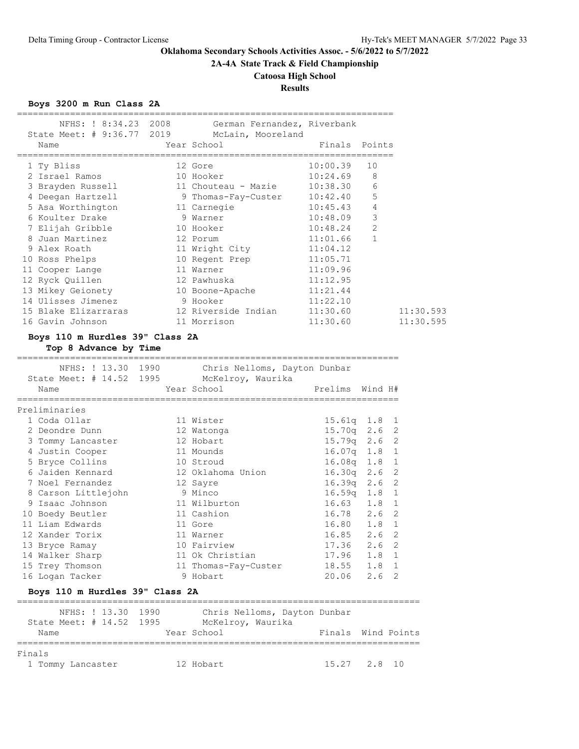# **2A-4A State Track & Field Championship**

# **Catoosa High School**

# **Results**

# **Boys 3200 m Run Class 2A**

| ==================                                       | NFHS: ! 8:34.23 2008 German Fernandez, Riverbank                                              | --------------- |                |
|----------------------------------------------------------|-----------------------------------------------------------------------------------------------|-----------------|----------------|
| Name<br>================================                 | State Meet: # 9:36.77 2019 McLain, Mooreland<br>Year School<br>Einals Points                  |                 |                |
| 1 Ty Bliss                                               | 12 Gore                                                                                       | 10:00.39        | 10             |
| 2 Israel Ramos                                           | 10 Hooker                                                                                     | 10:24.69        | 8              |
|                                                          | 3 Brayden Russell 11 Chouteau - Mazie 10:38.30                                                |                 | 6              |
|                                                          | 4 Deegan Hartzell 9 Thomas-Fay-Custer 10:42.40                                                |                 | 5              |
|                                                          | 5 Asa Worthington 5 annegie                                                                   | 10:45.43        | $\overline{4}$ |
| 6 Koulter Drake                                          | 9 Warner                                                                                      | 10:48.09        | 3              |
| 7 Elijah Gribble 10 Hooker                               |                                                                                               | 10:48.24        | $\overline{c}$ |
| 8 Juan Martinez                                          | and 12 Porum                                                                                  | 11:01.66        | $\mathbf{1}$   |
| 9 Alex Roath                                             | 11 Wright City                                                                                | 11:04.12        |                |
| 10 Ross Phelps                                           | 10 Regent Prep 11:05.71                                                                       |                 |                |
| 11 Cooper Lange                                          | 11 Warner                                                                                     | 11:09.96        |                |
| 12 Ryck Quillen                                          | 12 Pawhuska                                                                                   | 11:12.95        |                |
|                                                          | 13 Mikey Geionety 10 Boone-Apache 11:21.44                                                    |                 |                |
| 14 Ulisses Jimenez                                       | 9 Hooker                                                                                      | 11:22.10        |                |
|                                                          | 15 Blake Elizarraras             12 Riverside Indian         11:30.60                         |                 | 11:30.593      |
| 16 Gavin Johnson                                         | 11 Morrison                                                                                   | 11:30.60        | 11:30.595      |
| Boys 110 m Hurdles 39" Class 2A<br>Top 8 Advance by Time |                                                                                               |                 |                |
|                                                          | NFHS: ! 13.30 1990 Chris Nelloms, Dayton Dunbar<br>State Meet: # 14.52 1995 McKelroy, Waurika |                 |                |
| Name                                                     | Year School                                                                                   | Prelims         | Wind H#        |
| Preliminaries                                            |                                                                                               |                 |                |

| -----------------               |  |                      |                  |                  |   |  |  |
|---------------------------------|--|----------------------|------------------|------------------|---|--|--|
| 1 Coda Ollar                    |  | 11 Wister            | $15.61q$ $1.8$ 1 |                  |   |  |  |
| 2 Deondre Dunn                  |  | 12 Watonga           | $15.70q$ 2.6 2   |                  |   |  |  |
| 3 Tommy Lancaster               |  | 12 Hobart            | $15.79q$ 2.6 2   |                  |   |  |  |
| 4 Justin Cooper                 |  | 11 Mounds            | $16.07q$ 1.8 1   |                  |   |  |  |
| 5 Bryce Collins                 |  | 10 Stroud            | $16.08q$ 1.8 1   |                  |   |  |  |
| 6 Jaiden Kennard                |  | 12 Oklahoma Union    | $16.30q$ 2.6 2   |                  |   |  |  |
| 7 Noel Fernandez                |  | 12 Sayre             | $16.39q$ 2.6 2   |                  |   |  |  |
| 8 Carson Littlejohn             |  | 9 Minco              | $16.59q$ 1.8 1   |                  |   |  |  |
| 9 Isaac Johnson                 |  | 11 Wilburton         | $16.63$ $1.8$ 1  |                  |   |  |  |
| 10 Boedy Beutler                |  | 11 Cashion           | 16.78 2.6 2      |                  |   |  |  |
| 11 Liam Edwards                 |  | 11 Gore              | 16.80 1.8 1      |                  |   |  |  |
| 12 Xander Torix                 |  | 11 Warner            | 16.85            | 2.6 <sub>2</sub> |   |  |  |
| 13 Bryce Ramay                  |  | 10 Fairview          | 17.36            | $2.6 \quad 2$    |   |  |  |
| 14 Walker Sharp                 |  | 11 Ok Christian      | 17.96            | 1.8 1            |   |  |  |
| 15 Trey Thomson                 |  | 11 Thomas-Fay-Custer | 18.55            | $1.8 \quad 1$    |   |  |  |
| 16 Logan Tacker                 |  | 9 Hobart             | 20.06            | 2.6              | 2 |  |  |
| Boys 110 m Hurdles 39" Class 2A |  |                      |                  |                  |   |  |  |

| NFHS: ! 13.30 1990       | Chris Nelloms, Dayton Dunbar |                    |
|--------------------------|------------------------------|--------------------|
| State Meet: # 14.52 1995 | McKelroy, Waurika            |                    |
| Name                     | Year School                  | Finals Wind Points |
|                          |                              |                    |
| Finals                   |                              |                    |
| 1 Tommy Lancaster        | 12 Hobart                    | $15.27$ $2.8$ 10   |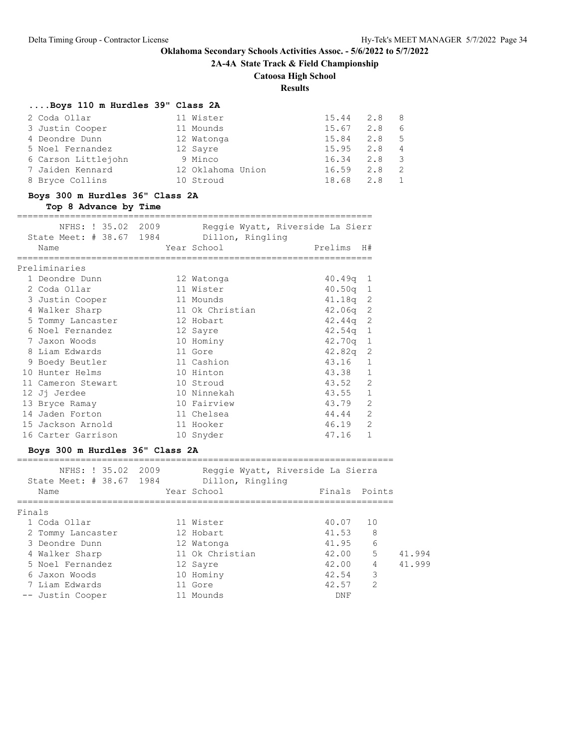**2A-4A State Track & Field Championship**

# **Catoosa High School**

**Results**

# **....Boys 110 m Hurdles 39" Class 2A**

| 2 Coda Ollar        | 11 Wister         | 15.44 | 2.8 8 |             |
|---------------------|-------------------|-------|-------|-------------|
| 3 Justin Cooper     | 11 Mounds         | 15.67 | 2.8   | -6          |
| 4 Deondre Dunn      | 12 Watonga        | 15.84 | 2.8   | $5^{\circ}$ |
| 5 Noel Fernandez    | 12 Sayre          | 15.95 | 2.8   |             |
| 6 Carson Littlejohn | 9 Minco           | 16.34 | 2.8   |             |
| 7 Jaiden Kennard    | 12 Oklahoma Union | 16.59 | 2.8   |             |
| 8 Bryce Collins     | 10 Stroud         | 18.68 | 2.8   |             |

# **Boys 300 m Hurdles 36" Class 2A**

**Top 8 Advance by Time**

| NFHS: ! 35.02 2009       |                  | Reggie Wyatt, Riverside La Sierr |
|--------------------------|------------------|----------------------------------|
| State Meet: # 38.67 1984 | Dillon, Ringling |                                  |
| Name                     | Year School      | Prelims<br>H#                    |
|                          |                  |                                  |
| Preliminaries            |                  |                                  |
| 1 Deondre Dunn           | 12 Watonga       | 40.49q<br>1                      |
| 2 Coda Ollar             | 11 Wister        | 40.50q<br>1                      |
| 3 Justin Cooper          | 11 Mounds        | 2<br>41.18a                      |
| 4 Walker Sharp           | 11 Ok Christian  | $42.06q$ 2                       |
| 5 Tommy Lancaster        | 12 Hobart        | 2<br>42.44q                      |
| 6 Noel Fernandez         | 12 Sayre         | 42.54g<br>1                      |
| 7 Jaxon Woods            | 10 Hominy        | 42.70g<br>$\mathbf{1}$           |
| 8 Liam Edwards           | 11 Gore          | 42.82q<br>2                      |
| 9 Boedy Beutler          | 11 Cashion       | 43.16<br>$\mathbf{1}$            |
| Hunter Helms<br>1 O      | 10 Hinton        | $\mathbf{1}$<br>43.38            |
| 11 Cameron Stewart       | 10 Stroud        | $\overline{2}$<br>43.52          |
| 12 Jj Jerdee             | 10 Ninnekah      | $\mathbf{1}$<br>43.55            |
| 13 Bryce Ramay           | 10 Fairview      | $\overline{2}$<br>43.79          |
| 14 Jaden Forton          | 11 Chelsea       | $\overline{2}$<br>44.44          |
| 15 Jackson Arnold        | 11 Hooker        | $\overline{2}$<br>46.19          |
| 16 Carter Garrison       | Snyder<br>10     | $\mathbf{1}$<br>47.16            |
|                          |                  |                                  |

### **Boys 300 m Hurdles 36" Class 2A**

| NFHS: ! 35.02 2009<br>State Meet: # 38.67 1984 |             | Dillon, Ringling | Reggie Wyatt, Riverside La Sierra |                          |
|------------------------------------------------|-------------|------------------|-----------------------------------|--------------------------|
| Name                                           | Year School |                  | Finals Points                     |                          |
|                                                |             |                  |                                   |                          |
| Finals                                         |             |                  |                                   |                          |
| 1 Coda Ollar                                   |             | 11 Wister        | 40.07 10                          |                          |
| 2 Tommy Lancaster                              |             | 12 Hobart        | 41.53                             | -8                       |
| 3 Deondre Dunn                                 |             | 12 Watonga       | 41.95                             | 6                        |
| 4 Walker Sharp                                 |             | 11 Ok Christian  | 42.00                             | $\overline{5}$<br>41.994 |
| 5 Noel Fernandez                               |             | 12 Sayre         | 42.00                             | 41.999<br>$\overline{4}$ |
| 6 Jaxon Woods                                  |             | 10 Hominy        | 42.54                             | 3                        |
| 7 Liam Edwards                                 |             | 11 Gore          | 42.57                             | $\mathcal{L}$            |
| -- Justin Cooper                               |             | Mounds           | DNF                               |                          |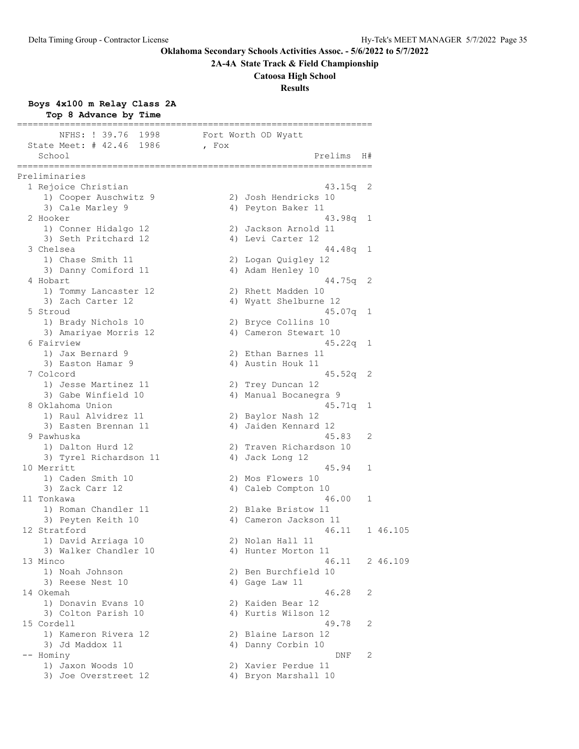# **2A-4A State Track & Field Championship**

**Catoosa High School**

# **Results**

# **Boys 4x100 m Relay Class 2A**

| Top 8 Advance by Time                          |                                              |          |
|------------------------------------------------|----------------------------------------------|----------|
| NFHS: ! 39.76 1998<br>State Meet: # 42.46 1986 | Fort Worth OD Wyatt<br>, Fox                 |          |
| School                                         | Prelims                                      | H#       |
| Preliminaries                                  |                                              |          |
| 1 Rejoice Christian                            | $43.15q$ 2                                   |          |
| 1) Cooper Auschwitz 9                          | 2) Josh Hendricks 10                         |          |
| 3) Cale Marley 9                               | 4) Peyton Baker 11                           |          |
| 2 Hooker                                       | 43.98a                                       | 1        |
| 1) Conner Hidalgo 12                           | 2) Jackson Arnold 11                         |          |
| 3) Seth Pritchard 12                           | 4) Levi Carter 12                            |          |
| 3 Chelsea                                      | 44.48q                                       | 1        |
| 1) Chase Smith 11                              | 2) Logan Quigley 12                          |          |
| 3) Danny Comiford 11                           | 4) Adam Henley 10                            |          |
| 4 Hobart                                       | 44.75q                                       | 2        |
| 1) Tommy Lancaster 12                          | 2) Rhett Madden 10                           |          |
| 3) Zach Carter 12                              | 4) Wyatt Shelburne 12                        |          |
| 5 Stroud                                       | $45.07q$ 1                                   |          |
| 1) Brady Nichols 10                            | 2) Bryce Collins 10                          |          |
| 3) Amariyae Morris 12                          | 4) Cameron Stewart 10                        |          |
| 6 Fairview                                     | 45.22q                                       | 1        |
| 1) Jax Bernard 9                               | 2) Ethan Barnes 11                           |          |
| 3) Easton Hamar 9                              | 4) Austin Houk 11                            |          |
| 7 Colcord                                      | 45.52q                                       | 2        |
| 1) Jesse Martinez 11                           | 2) Trey Duncan 12                            |          |
| 3) Gabe Winfield 10                            | 4) Manual Bocanegra 9                        |          |
| 8 Oklahoma Union                               | 45.71q                                       | 1        |
| 1) Raul Alvidrez 11                            | 2) Baylor Nash 12                            |          |
| 3) Easten Brennan 11                           | 4) Jaiden Kennard 12                         |          |
| 9 Pawhuska                                     | 45.83                                        | 2        |
| 1) Dalton Hurd 12                              | 2) Traven Richardson 10                      |          |
| 3) Tyrel Richardson 11                         | 4) Jack Long 12                              |          |
| 10 Merritt                                     | 45.94                                        | 1        |
| 1) Caden Smith 10                              | 2) Mos Flowers 10                            |          |
| 3) Zack Carr 12                                | 4) Caleb Compton 10                          |          |
| 11 Tonkawa                                     | 46.00                                        | 1        |
| 1) Roman Chandler 11                           | 2) Blake Bristow 11<br>4) Cameron Jackson 11 |          |
| 3) Peyten Keith 10                             |                                              |          |
| 12 Stratford                                   | 46.11<br>2) Nolan Hall 11                    | 1 46.105 |
| 1) David Arriaga 10<br>3) Walker Chandler 10   | 4) Hunter Morton 11                          |          |
| 13 Minco                                       | 46.11                                        | 2 46.109 |
| 1) Noah Johnson                                | 2) Ben Burchfield 10                         |          |
| 3) Reese Nest 10                               | 4) Gage Law 11                               |          |
| 14 Okemah                                      | 46.28                                        | 2        |
| 1) Donavin Evans 10                            | 2) Kaiden Bear 12                            |          |
| 3) Colton Parish 10                            | 4) Kurtis Wilson 12                          |          |
| 15 Cordell                                     | 49.78                                        | 2        |
| 1) Kameron Rivera 12                           | 2) Blaine Larson 12                          |          |
| 3) Jd Maddox 11                                | 4) Danny Corbin 10                           |          |
| -- Hominy                                      | DNF                                          | 2        |
| 1) Jaxon Woods 10                              | 2) Xavier Perdue 11                          |          |
| 3) Joe Overstreet 12                           | 4) Bryon Marshall 10                         |          |
|                                                |                                              |          |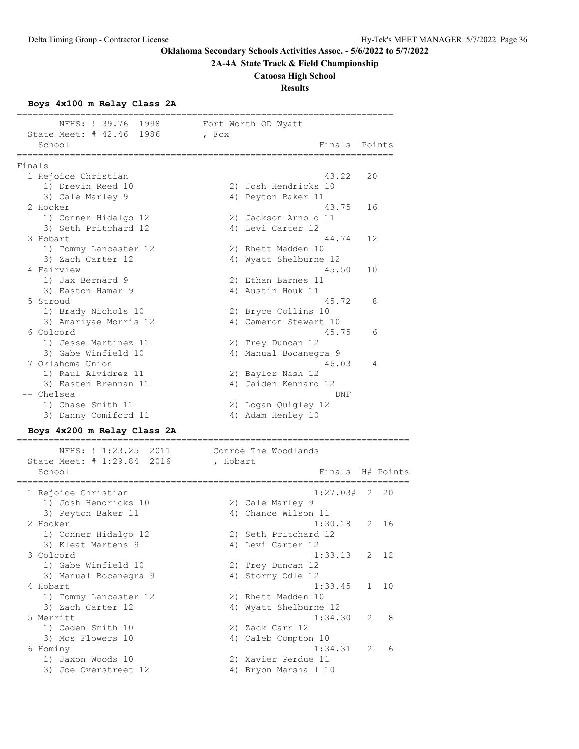**2A-4A State Track & Field Championship**

#### **Catoosa High School**

**Results**

#### **Boys 4x100 m Relay Class 2A**

|                                                |       | ============================== |        |
|------------------------------------------------|-------|--------------------------------|--------|
| NFHS: ! 39.76 1998<br>State Meet: # 42.46 1986 | , Fox | Fort Worth OD Wyatt            |        |
| School                                         |       | Finals                         | Points |
| Finals                                         |       |                                |        |
| 1 Rejoice Christian                            |       | 43.22                          | 20     |
| 1) Drevin Reed 10                              |       | 2) Josh Hendricks 10           |        |
| 3) Cale Marley 9                               |       | 4) Peyton Baker 11             |        |
| 2 Hooker                                       |       | 43.75                          | 16     |
| 1) Conner Hidalgo 12                           |       | 2) Jackson Arnold 11           |        |
| 3) Seth Pritchard 12                           |       | 4) Levi Carter 12              |        |
| 3 Hobart                                       |       | 44.74                          | 12     |
| 1) Tommy Lancaster 12                          |       | 2) Rhett Madden 10             |        |
| 3) Zach Carter 12                              |       | 4) Wyatt Shelburne 12          |        |
| 4 Fairview                                     |       | 45.50                          | 10     |
| 1) Jax Bernard 9                               |       | 2) Ethan Barnes 11             |        |
| 3) Easton Hamar 9                              |       | 4) Austin Houk 11              |        |
| 5 Stroud                                       |       | 45.72                          | 8      |
| 1) Brady Nichols 10                            |       | 2) Bryce Collins 10            |        |
| 3) Amariyae Morris 12                          |       | 4) Cameron Stewart 10          |        |
| 6 Colcord                                      |       | 45.75                          | 6      |
| 1) Jesse Martinez 11                           |       | 2) Trey Duncan 12              |        |
| 3) Gabe Winfield 10                            |       | 4) Manual Bocanegra 9          |        |
| 7 Oklahoma Union                               |       | 46.03                          | 4      |
| 1) Raul Alvidrez 11                            |       | 2) Baylor Nash 12              |        |
| 3) Easten Brennan 11                           | 4)    | Jaiden Kennard 12              |        |
| -- Chelsea                                     |       | <b>DNF</b>                     |        |
| 1) Chase Smith 11                              |       | 2) Logan Quigley 12            |        |
| 3) Danny Comiford 11                           |       | 4) Adam Henley 10              |        |

# **Boys 4x200 m Relay Class 2A**

 NFHS: ! 1:23.25 2011 Conroe The Woodlands State Meet: # 1:29.84 2016 , Hobart School **Finals** H# Points ========================================================================== 1 Rejoice Christian 1) Josh Hendricks 10 2) Cale Marley 9 3) Peyton Baker 11 4) Chance Wilson 11 2 Hooker 1:30.18 2 16 1) Conner Hidalgo 12 2) Seth Pritchard 12 3) Kleat Martens 9 4) Levi Carter 12 3 Colcord 1:33.13 2 12 1) Gabe Winfield 10 2) Trey Duncan 12 3) Manual Bocanegra 9  $\hskip1cm \hskip1cm 4$ ) Stormy Odle 12 4 Hobart 1:33.45 1 10 1) Tommy Lancaster 12 2) Rhett Madden 10 3) Zach Carter 12 4) Wyatt Shelburne 12 5 Merritt 1:34.30 2 8 1) Caden Smith 10 2) Zack Carr 12 3) Mos Flowers 10 (4) Caleb Compton 10 6 Hominy 1:34.31 2 6 1) Jaxon Woods 10 2) Xavier Perdue 11 3) Joe Overstreet 12  $\hskip1cm$  4) Bryon Marshall 10

==========================================================================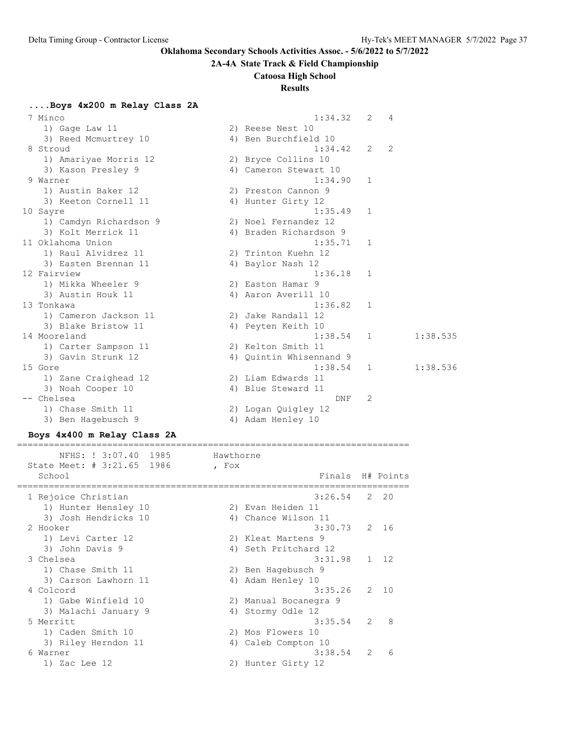#### **2A-4A State Track & Field Championship**

### **Catoosa High School**

## **Results**

**....Boys 4x200 m Relay Class 2A**

| 7 Minco                | 1:34.32                 | 2            | 4 |          |
|------------------------|-------------------------|--------------|---|----------|
| 1) Gage Law 11         | 2) Reese Nest 10        |              |   |          |
| 3) Reed Mcmurtrey 10   | 4) Ben Burchfield 10    |              |   |          |
| 8 Stroud               | 1:34.42                 | 2            | 2 |          |
| 1) Amariyae Morris 12  | 2) Bryce Collins 10     |              |   |          |
| 3) Kason Presley 9     | 4) Cameron Stewart 10   |              |   |          |
| 9 Warner               | 1:34.90                 | 1            |   |          |
| 1) Austin Baker 12     | 2) Preston Cannon 9     |              |   |          |
| 3) Keeton Cornell 11   | 4) Hunter Girty 12      |              |   |          |
| 10 Sayre               | 1:35.49                 | 1            |   |          |
| 1) Camdyn Richardson 9 | 2) Noel Fernandez 12    |              |   |          |
| 3) Kolt Merrick 11     | 4) Braden Richardson 9  |              |   |          |
| 11 Oklahoma Union      | 1:35.71                 | 1            |   |          |
| 1) Raul Alvidrez 11    | 2) Trinton Kuehn 12     |              |   |          |
| 3) Easten Brennan 11   | 4) Baylor Nash 12       |              |   |          |
| 12 Fairview            | 1:36.18                 | 1            |   |          |
| 1) Mikka Wheeler 9     | 2) Easton Hamar 9       |              |   |          |
| 3) Austin Houk 11      | 4) Aaron Averill 10     |              |   |          |
| 13 Tonkawa             | 1:36.82                 | 1            |   |          |
| 1) Cameron Jackson 11  | 2) Jake Randall 12      |              |   |          |
| 3) Blake Bristow 11    | 4) Peyten Keith 10      |              |   |          |
| 14 Mooreland           | 1:38.54                 | $\mathbf{1}$ |   | 1:38.535 |
| 1) Carter Sampson 11   | 2) Kelton Smith 11      |              |   |          |
| 3) Gavin Strunk 12     | 4) Quintin Whisennand 9 |              |   |          |
| 15 Gore                | 1:38.54                 | 1            |   | 1:38.536 |
| 1) Zane Craighead 12   | 2) Liam Edwards 11      |              |   |          |
| 3) Noah Cooper 10      | 4) Blue Steward 11      |              |   |          |
| -- Chelsea             | DNF                     | 2            |   |          |
| 1) Chase Smith 11      | 2) Logan Quigley 12     |              |   |          |
| 3) Ben Hagebusch 9     | 4) Adam Henley 10       |              |   |          |

# **Boys 4x400 m Relay Class 2A**

========================================================================== NFHS: ! 3:07.40 1985 Hawthorne State Meet: # 3:21.65 1986 , Fox School Finals H# Points ========================================================================== 1 Rejoice Christian 3:26.54 2 20 1) Hunter Hensley 10 2) Evan Heiden 11 3) Josh Hendricks 10 (4) Chance Wilson 11 2 Hooker 3:30.73 2 16 1) Levi Carter 12 2) Kleat Martens 9 3) John Davis 9 19 10 10 10 10 10 10 10 10 10 10 10 11 12 3 Chelsea 3:31.98 1 12 1) Chase Smith 11 2) Ben Hagebusch 9 3) Carson Lawhorn 11 4) Adam Henley 10 4 Colcord 3:35.26 2 10 1) Gabe Winfield 10 2) Manual Bocanegra 9 3) Malachi January 9 4) Stormy Odle 12 5 Merritt 3:35.54 2 8 1) Caden Smith 10 2) Mos Flowers 10 3) Riley Herndon 11 (4) Caleb Compton 10 6 Warner 3:38.54 2 6 1) Zac Lee 12 2) Hunter Girty 12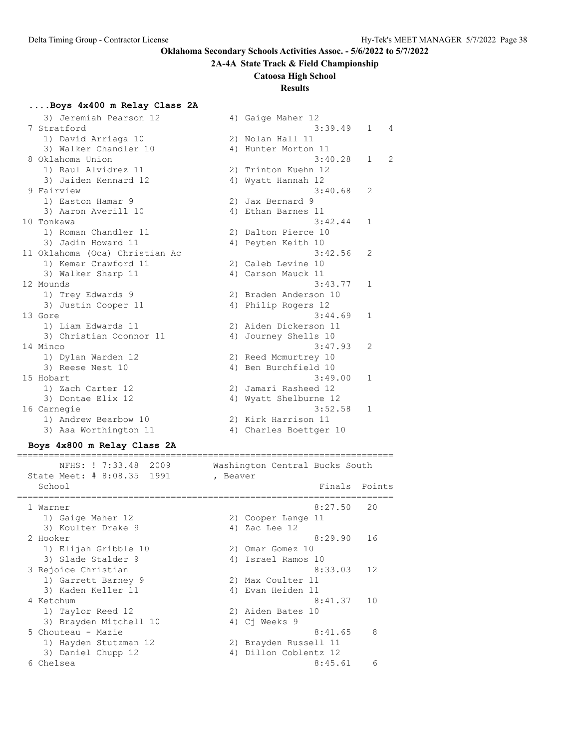#### **2A-4A State Track & Field Championship**

#### **Catoosa High School**

### **Results**

### **....Boys 4x400 m Relay Class 2A**

| 3) Jeremiah Pearson 12         |    | 4) Gaige Maher 12      |                |                |
|--------------------------------|----|------------------------|----------------|----------------|
| 7 Stratford                    |    | 3:39.49                | $\mathbf{1}$   | 4              |
| 1) David Arriaga 10            |    | 2) Nolan Hall 11       |                |                |
| 3) Walker Chandler 10          |    | 4) Hunter Morton 11    |                |                |
| 8 Oklahoma Union               |    | 3:40.28                | $\mathbf{1}$   | $\overline{2}$ |
| 1) Raul Alvidrez 11            |    | 2) Trinton Kuehn 12    |                |                |
| 3) Jaiden Kennard 12           |    | 4) Wyatt Hannah 12     |                |                |
| 9 Fairview                     |    | 3:40.68                | $\overline{2}$ |                |
| 1) Easton Hamar 9              |    | 2) Jax Bernard 9       |                |                |
| 3) Aaron Averill 10            |    | 4) Ethan Barnes 11     |                |                |
| 10 Tonkawa                     |    | 3:42.44                | $\mathbf{1}$   |                |
| 1) Roman Chandler 11           |    | 2) Dalton Pierce 10    |                |                |
| 3) Jadin Howard 11             |    | 4) Peyten Keith 10     |                |                |
| 11 Oklahoma (Oca) Christian Ac |    | 3:42.56                | 2              |                |
| 1) Kemar Crawford 11           |    | 2) Caleb Levine 10     |                |                |
| 3) Walker Sharp 11             |    | 4) Carson Mauck 11     |                |                |
| 12 Mounds                      |    | 3:43.77                | $\mathbf{1}$   |                |
| 1) Trey Edwards 9              |    | 2) Braden Anderson 10  |                |                |
| 3) Justin Cooper 11            | 4) | Philip Rogers 12       |                |                |
| 13 Gore                        |    | 3:44.69                | $\mathbf{1}$   |                |
| 1) Liam Edwards 11             |    | 2) Aiden Dickerson 11  |                |                |
| 3) Christian Oconnor 11        |    | 4) Journey Shells 10   |                |                |
| 14 Minco                       |    | 3:47.93                | 2              |                |
| 1) Dylan Warden 12             |    | 2) Reed Mcmurtrey 10   |                |                |
| 3) Reese Nest 10               |    | 4) Ben Burchfield 10   |                |                |
| 15 Hobart                      |    | 3:49.00                | $\mathbf{1}$   |                |
| 1) Zach Carter 12              |    | 2) Jamari Rasheed 12   |                |                |
| 3) Dontae Elix 12              | 4) | Wyatt Shelburne 12     |                |                |
| 16 Carnegie                    |    | 3:52.58                | $\mathbf{1}$   |                |
| 1) Andrew Bearbow 10           |    | 2) Kirk Harrison 11    |                |                |
| 3) Asa Worthington 11          |    | 4) Charles Boettger 10 |                |                |

#### **Boys 4x800 m Relay Class 2A**

# ======================================================================= NFHS: ! 7:33.48 2009 Washington Central Bucks South State Meet: # 8:08.35 1991 , Beaver School **Finals** Points ======================================================================= 1 Warner 8:27.50 20<br>
1) Gaige Maher 12 2) Cooper Lange 11<br>
3) Koulter Drake 9 3 4) Zac Lee 12 1) Gaige Maher 12 2) Cooper Lange 11 3) Koulter Drake 9 4) Zac Lee 12 2 Hooker 8:29.90 16 1) Elijah Gribble 10 2) Omar Gomez 10 3) Slade Stalder 9 4) Israel Ramos 10 3 Rejoice Christian 8:33.03 12 1) Garrett Barney 9 2) Max Coulter 11 3) Kaden Keller 11 1920 (4) Evan Heiden 11 4 Ketchum 8:41.37 10 1) Taylor Reed 12 2) Aiden Bates 10 3) Brayden Mitchell 10 4) Cj Weeks 9 5 Chouteau - Mazie 8:41.65 8 1) Hayden Stutzman 12 2) Brayden Russell 11 3) Daniel Chupp 12 4) Dillon Coblentz 12 6 Chelsea 8:45.61 6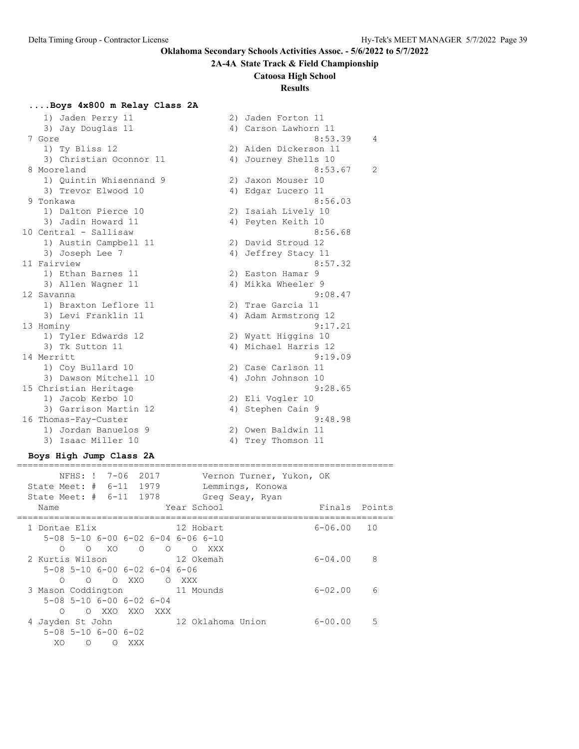# **2A-4A State Track & Field Championship**

# **Catoosa High School**

# **Results**

# **....Boys 4x800 m Relay Class 2A**

| 1) Jaden Perry 11       |    | 2) Jaden Forton 11    |                |
|-------------------------|----|-----------------------|----------------|
| 3) Jay Douglas 11       |    | 4) Carson Lawhorn 11  |                |
| 7 Gore                  |    | 8:53.39               | 4              |
| 1) Ty Bliss 12          |    | 2) Aiden Dickerson 11 |                |
| 3) Christian Oconnor 11 | 4) | Journey Shells 10     |                |
| 8 Mooreland             |    | 8:53.67               | $\overline{2}$ |
| 1) Ouintin Whisennand 9 |    | 2) Jaxon Mouser 10    |                |
| 3) Trevor Elwood 10     |    | 4) Edgar Lucero 11    |                |
| 9 Tonkawa               |    | 8:56.03               |                |
| 1) Dalton Pierce 10     |    | 2) Isaiah Lively 10   |                |
| 3) Jadin Howard 11      |    | 4) Peyten Keith 10    |                |
| 10 Central - Sallisaw   |    | 8:56.68               |                |
| 1) Austin Campbell 11   |    | 2) David Stroud 12    |                |
| 3) Joseph Lee 7         | 4) | Jeffrey Stacy 11      |                |
| 11 Fairview             |    | 8:57.32               |                |
| 1) Ethan Barnes 11      |    | 2) Easton Hamar 9     |                |
| 3) Allen Wagner 11      |    | 4) Mikka Wheeler 9    |                |
| 12 Savanna              |    | 9:08.47               |                |
| 1) Braxton Leflore 11   |    | 2) Trae Garcia 11     |                |
| 3) Levi Franklin 11     |    | 4) Adam Armstrong 12  |                |
| 13 Hominy               |    | 9:17.21               |                |
| 1) Tyler Edwards 12     |    | 2) Wyatt Higgins 10   |                |
| 3) Tk Sutton 11         |    | 4) Michael Harris 12  |                |
| 14 Merritt              |    | 9:19.09               |                |
| 1) Coy Bullard 10       |    | 2) Case Carlson 11    |                |
| 3) Dawson Mitchell 10   | 4) | John Johnson 10       |                |
| 15 Christian Heritage   |    | 9:28.65               |                |
| 1) Jacob Kerbo 10       |    | 2) Eli Vogler 10      |                |
| 3) Garrison Martin 12   | 4) | Stephen Cain 9        |                |
| 16 Thomas-Fay-Custer    |    | 9:48.98               |                |
| 1) Jordan Banuelos 9    |    | 2) Owen Baldwin 11    |                |
| 3) Isaac Miller 10      |    | 4) Trey Thomson 11    |                |

#### **Boys High Jump Class 2A** =======================================================================

| NFHS: ! 7-06<br>2017<br>Vernon Turner, Yukon, OK<br>State Meet: $\#$ 6-11<br>1979<br>Lemmings, Konowa<br>State Meet: # 6-11 1978<br>Greg Seay, Ryan<br>Year School<br>Name | Finals      | Points |
|----------------------------------------------------------------------------------------------------------------------------------------------------------------------------|-------------|--------|
|                                                                                                                                                                            |             |        |
| 1 Dontae Elix<br>12 Hobart                                                                                                                                                 | $6 - 06.00$ | 10     |
| $5-08$ $5-10$ $6-00$ $6-02$ $6-04$ $6-06$ $6-10$                                                                                                                           |             |        |
| $O$ XO<br>$\Omega$<br>$\circ$<br>XXX<br>$\overline{\phantom{0}}$<br>$\Omega$                                                                                               |             |        |
| 2 Kurtis Wilson Care Constantinopolis<br>12 Okemah                                                                                                                         | $6 - 04.00$ | 8      |
| 5-08 5-10 6-00 6-02 6-04 6-06                                                                                                                                              |             |        |
| XXO<br>∩<br>$\bigcirc$<br>$\Omega$<br>O XXX                                                                                                                                |             |        |
| 11 Mounds<br>3 Mason Coddington                                                                                                                                            | $6 - 02.00$ | 6      |
| $5-08$ $5-10$ $6-00$ $6-02$ $6-04$                                                                                                                                         |             |        |
| O XXO XXO XXX<br>$\Omega$                                                                                                                                                  |             |        |
| 12 Oklahoma Union<br>4 Jayden St John                                                                                                                                      | $6 - 00.00$ | .5     |
| $5-08$ $5-10$ $6-00$ $6-02$                                                                                                                                                |             |        |
| XO<br>∩<br>XXX<br>$\left($                                                                                                                                                 |             |        |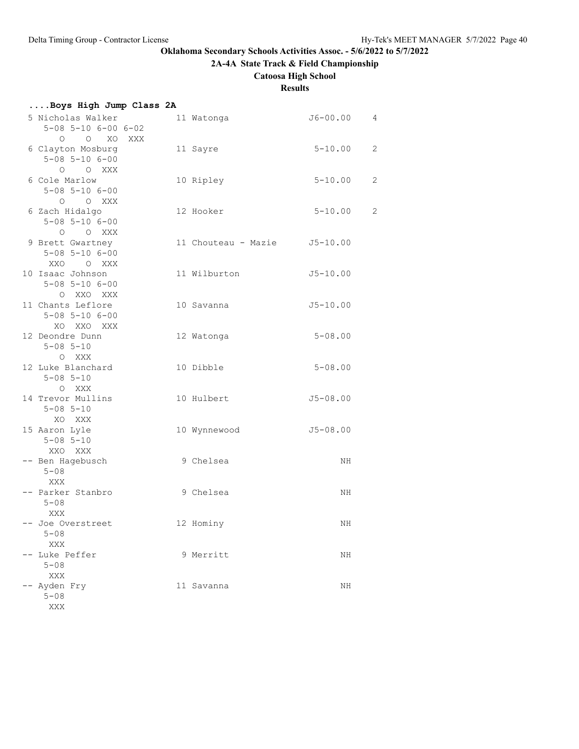**2A-4A State Track & Field Championship**

# **Catoosa High School**

# **Results**

| Boys High Jump Class 2A                                                |                              |              |                |
|------------------------------------------------------------------------|------------------------------|--------------|----------------|
| 5 Nicholas Walker<br>$5 - 08$ $5 - 10$ $6 - 00$ $6 - 02$               | 11 Watonga                   | J6-00.00     | $\overline{4}$ |
| $O$ $O$ $XO$<br>XXX<br>6 Clayton Mosburg<br>$5 - 08$ $5 - 10$ $6 - 00$ | 11 Sayre                     | $5 - 10.00$  | 2              |
| O O XXX<br>6 Cole Marlow<br>$5 - 08$ $5 - 10$ $6 - 00$                 | 10 Ripley                    | $5 - 10.00$  | $\overline{c}$ |
| O O XXX<br>6 Zach Hidalgo                                              | 12 Hooker                    | $5 - 10.00$  | $\overline{c}$ |
| $5 - 08$ $5 - 10$ $6 - 00$<br>O O XXX<br>9 Brett Gwartney              | 11 Chouteau - Mazie J5-10.00 |              |                |
| $5 - 08$ $5 - 10$ $6 - 00$<br>XXO O XXX<br>10 Isaac Johnson            | 11 Wilburton                 | $J5 - 10.00$ |                |
| $5 - 08$ $5 - 10$ $6 - 00$<br>O XXO XXX                                |                              |              |                |
| 11 Chants Leflore<br>$5 - 08$ $5 - 10$ $6 - 00$<br>XO XXO XXX          | 10 Savanna                   | $J5 - 10.00$ |                |
| 12 Deondre Dunn<br>$5 - 08$ $5 - 10$<br>O XXX                          | 12 Watonga                   | $5 - 08.00$  |                |
| 12 Luke Blanchard<br>$5 - 08$ $5 - 10$                                 | 10 Dibble                    | $5 - 08.00$  |                |
| O XXX<br>14 Trevor Mullins<br>$5 - 08$ $5 - 10$                        | 10 Hulbert                   | $J5 - 08.00$ |                |
| XO XXX<br>15 Aaron Lyle<br>$5 - 08$ $5 - 10$                           | 10 Wynnewood                 | $J5 - 08.00$ |                |
| XXO XXX<br>-- Ben Hagebusch<br>$5 - 08$                                | 9 Chelsea                    | NH           |                |
| XXX<br>-- Parker Stanbro<br>$5 - 08$                                   | 9 Chelsea                    | ΝH           |                |
| XXX<br>-- Joe Overstreet<br>$5 - 08$                                   | 12 Hominy                    | ΝH           |                |
| XXX<br>Luke Peffer<br>$5 - 08$                                         | 9 Merritt                    | ΝH           |                |
| XXX<br>-- Ayden Fry<br>$5 - 08$<br>XXX                                 | 11 Savanna                   | ΝH           |                |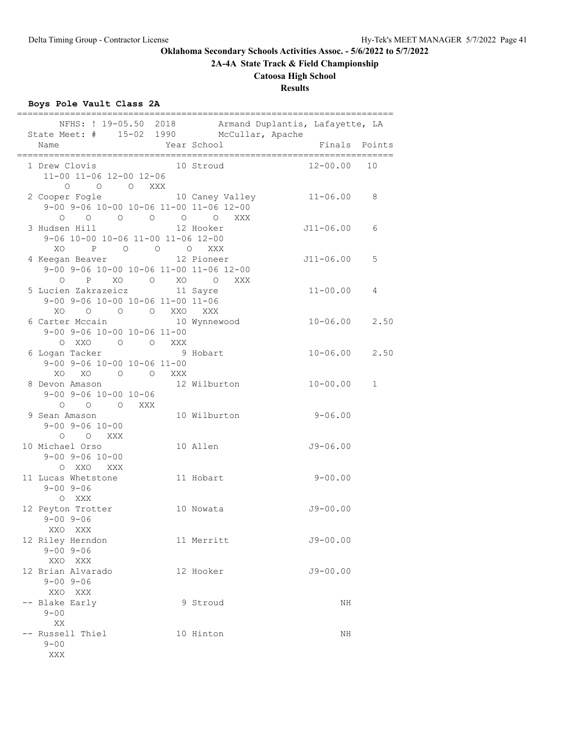**2A-4A State Track & Field Championship**

# **Catoosa High School**

**Results**

# **Boys Pole Vault Class 2A**

| NFHS: ! 19-05.50 2018 Armand Duplantis, Lafayette, LA<br>State Meet: # 15-02 1990 McCullar, Apache                                                                                                                                                           |              |                   |             |
|--------------------------------------------------------------------------------------------------------------------------------------------------------------------------------------------------------------------------------------------------------------|--------------|-------------------|-------------|
| Name                                                                                                                                                                                                                                                         | Year School  | Finals Points     |             |
| 1 Drew Clovis 10 Stroud<br>11-00 11-06 12-00 12-06<br>$\begin{matrix} \mathsf{O} \qquad & \mathsf{O} \qquad & \mathsf{O} \qquad & \mathsf{XXX} \end{matrix}$                                                                                                 |              | 12-00.00          | 10          |
| 2 Cooper Fogle 10 Caney Valley 11-06.00<br>9-00 9-06 10-00 10-06 11-00 11-06 12-00                                                                                                                                                                           |              |                   | 8           |
| $\begin{matrix} \mathsf{O} & \mathsf{O} & \mathsf{O} & \mathsf{O} & \mathsf{O} & \mathsf{O} & \mathsf{X} \mathsf{X} \mathsf{X} \end{matrix}$<br>3 Hudsen Hill<br>9-06 10-00 10-06 11-00 11-06 12-00                                                          | 12 Hooker    | J11-06.00         | 6           |
| P 0 0 0 XXX<br>XO<br>4 Keegan Beaver 12 Pioneer<br>9-00 9-06 10-00 10-06 11-00 11-06 12-00<br>$\begin{matrix} \mathsf{O} & \mathsf{P} & \mathsf{X}\mathsf{O} & \mathsf{O} & \mathsf{X}\mathsf{O} & \mathsf{O} & \mathsf{X}\mathsf{X}\mathsf{X} \end{matrix}$ |              | $J11-06.00$       | 5           |
| 5 Lucien Zakrazeicz 11 Sayre<br>9-00 9-06 10-00 10-06 11-00 11-06<br>XO O O O XXO XXX                                                                                                                                                                        |              | $11 - 00.00$      | 4           |
| 6 Carter Mccain 10 Wynnewood<br>$9-00$ $9-06$ $10-00$ $10-06$ $11-00$                                                                                                                                                                                        |              | $10 - 06.00$ 2.50 |             |
| 6 Logan Tacker<br>$9-00$ $9-06$ $10-00$ $10-06$ $11-00$<br>XO XO O O XXX                                                                                                                                                                                     |              | $10 - 06.00$ 2.50 |             |
| 8 Devon Amason 12 Wilburton<br>$9 - 00$ $9 - 06$ $10 - 00$ $10 - 06$<br>0 0 0 XXX                                                                                                                                                                            |              | $10 - 00.00$      | $\mathbf 1$ |
| 9 Sean Amason<br>$9 - 00$ $9 - 06$ $10 - 00$<br>O O XXX                                                                                                                                                                                                      | 10 Wilburton | $9 - 06.00$       |             |
| 10 Michael Orso<br>$9 - 00$ $9 - 06$ $10 - 00$<br>O XXO XXX                                                                                                                                                                                                  | 10 Allen     | $J9 - 06.00$      |             |
| 11 Lucas Whetstone<br>$9 - 00$ $9 - 06$<br>O XXX                                                                                                                                                                                                             | 11 Hobart    | $9 - 00.00$       |             |
| 12 Peyton Trotter<br>$9 - 00$ $9 - 06$<br>XXO XXX                                                                                                                                                                                                            | 10 Nowata    | $J9 - 00.00$      |             |
| 12 Riley Herndon<br>$9 - 00$ $9 - 06$<br>XXO XXX                                                                                                                                                                                                             | 11 Merritt   | $J9 - 00.00$      |             |
| 12 Brian Alvarado<br>$9 - 00$ $9 - 06$<br>XXO XXX                                                                                                                                                                                                            | 12 Hooker    | $J9 - 00.00$      |             |
| -- Blake Early<br>$9 - 00$<br>XX                                                                                                                                                                                                                             | 9 Stroud     | NH                |             |
| -- Russell Thiel<br>$9 - 00$<br>XXX                                                                                                                                                                                                                          | 10 Hinton    | NH                |             |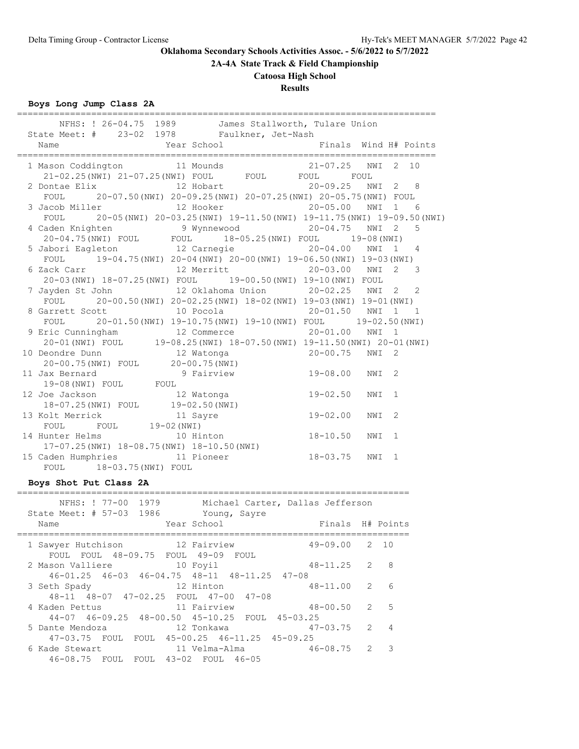**2A-4A State Track & Field Championship**

# **Catoosa High School**

# **Results**

**Boys Long Jump Class 2A**

| ================<br>NFHS: ! 26-04.75 1989 James Stallworth, Tulare Union<br>State Meet: # 23-02 1978 Faulkner, Jet-Nash                                 |              |     |              |
|---------------------------------------------------------------------------------------------------------------------------------------------------------|--------------|-----|--------------|
| Year School <a> Finals Wind H# Points</a><br>Name                                                                                                       |              |     |              |
| 1 Mason Coddington 11 Mounds 21-07.25 NWI 2 10<br>21-02.25(NWI) 21-07.25(NWI) FOUL FOUL FOUL FOUL FOUL                                                  |              |     |              |
| 2 Dontae Elix 12 Hobart 20-09.25 NWI 2 8                                                                                                                |              |     |              |
| FOUL 20-07.50 (NWI) 20-09.25 (NWI) 20-07.25 (NWI) 20-05.75 (NWI) FOUL                                                                                   |              |     |              |
| 3 Jacob Miller               12 Hooker                 20-05.00   NWI 1   6                                                                             |              |     |              |
| FOUL 20-05 (NWI) 20-03.25 (NWI) 19-11.50 (NWI) 19-11.75 (NWI) 19-09.50 (NWI)                                                                            |              |     |              |
| 4 Caden Knighten 9 Wynnewood 20-04.75 NWI 2 5<br>20-04.75 NWI POUL FOUL 18-05.25 (NWI) FOUL 19-08 (NWI)                                                 |              |     |              |
|                                                                                                                                                         |              |     |              |
| 5 Jabori Eagleton 12 Carnegie 12 0 20-04.00 NWI 1 4                                                                                                     |              |     |              |
| FOUL 19-04.75 (NWI) 20-04 (NWI) 20-00 (NWI) 19-06.50 (NWI) 19-03 (NWI)                                                                                  |              |     |              |
| 6 Zack Carr                 12 Merritt                 20-03.00   NWI   2                                                                               |              |     | $\mathbf{3}$ |
| 20-03 (NWI) 18-07.25 (NWI) FOUL 19-00.50 (NWI) 19-10 (NWI) FOUL                                                                                         |              |     |              |
| 7 Jayden St John 12 Oklahoma Union 20-02.25 NWI 2 2                                                                                                     |              |     |              |
| FOUL 20-00.50 (NWI) 20-02.25 (NWI) 18-02 (NWI) 19-03 (NWI) 19-01 (NWI)                                                                                  |              |     |              |
| 8 Garrett Scott 10 Pocola 20-01.50 NWI 1 1                                                                                                              |              |     |              |
| FOUL 20-01.50 (NWI) 19-10.75 (NWI) 19-10 (NWI) FOUL 19-02.50 (NWI)                                                                                      |              |     |              |
| 9 Eric Cunningham 12 Commerce 20-01.00 NWI 1                                                                                                            |              |     |              |
| 20-01 (NWI) FOUL 19-08.25 (NWI) $18-07.50$ (NWI) $19-11.50$ (NWI) $20-01$ (NWI)                                                                         |              |     |              |
|                                                                                                                                                         |              |     |              |
| 10 Deondre Dunn 12 Watonga 20-00.75 NWI 2<br>20-00.75 (NWI) FOUL 20-00.75 (NWI)                                                                         |              |     |              |
| 11 Jax Bernard <b>19-08.00</b> NWI 2                                                                                                                    |              |     |              |
| 19-08(NWI) FOUL FOUL FOUL                                                                                                                               |              |     |              |
|                                                                                                                                                         |              |     |              |
| 12 Joe Jackson<br>12 Watonga<br>13 Got Jackson<br>13 Kolt Merrick<br>19-02.50 (NWI)<br>13 Kolt Merrick<br>19-02 (NWI)<br>19-02 (NWI)<br>19-02 -00 NWI 2 |              |     |              |
|                                                                                                                                                         |              |     |              |
|                                                                                                                                                         |              |     |              |
| 14 Hunter Helms 10 Hinton 18-10.50 NWI 1                                                                                                                |              |     |              |
| $17-07.25$ (NWI) $18-08.75$ (NWI) $18-10.50$ (NWI)                                                                                                      |              |     |              |
| 15 Caden Humphries 11 Pioneer                                                                                                                           | $18 - 03.75$ | NWI | $\mathbf{1}$ |
| FOUL 18-03.75 (NWI) FOUL                                                                                                                                |              |     |              |
|                                                                                                                                                         |              |     |              |

# **Boys Shot Put Class 2A**

# ==========================================================================

| NFHS: ! 77-00 1979<br>Michael Carter, Dallas Jefferson<br>State Meet: # 57-03 1986<br>Young, Sayre<br>Year School<br>Name   | Finals H# Points  |   |                          |
|-----------------------------------------------------------------------------------------------------------------------------|-------------------|---|--------------------------|
| 12 Fairview<br>1 Sawyer Hutchison                                                                                           | $49 - 09.00$ 2 10 |   |                          |
| FOUL FOUL 48-09.75 FOUL 49-09 FOUL<br>2 Mason Valliere 10 Foyil<br>$46-01.25$ $46-03$ $46-04.75$ $48-11$ $48-11.25$ $47-08$ | $48 - 11.25$ 2    |   | - 8                      |
| 12 Hinton<br>3 Seth Spady                                                                                                   | 48-11.00 2        |   | 6                        |
| 48-11 48-07 47-02.25 FOUL 47-00 47-08<br>11 Fairview<br>4 Kaden Pettus<br>44-07 46-09.25 48-00.50 45-10.25 FOUL 45-03.25    | $48 - 00.50$      | 2 | $5^{\circ}$              |
| 5 Dante Mendoza<br>12 Tonkawa                                                                                               | $47-03.75$ 2      |   | $\overline{4}$           |
| 47-03.75 FOUL FOUL 45-00.25 46-11.25 45-09.25<br>6 Kade Stewart<br>46-08.75 FOUL FOUL 43-02 FOUL 46-05                      |                   | 2 | $\overline{\phantom{a}}$ |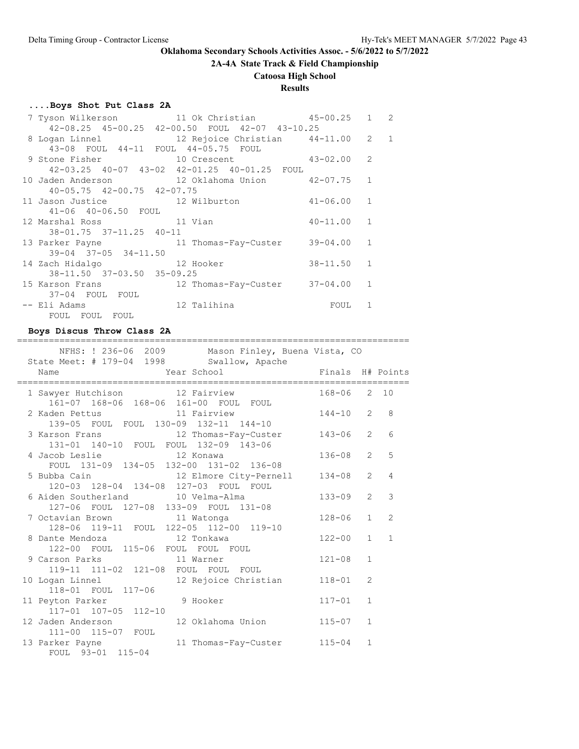**2A-4A State Track & Field Championship**

# **Catoosa High School**

# **Results**

# **....Boys Shot Put Class 2A**

|                                        | 7 Tyson Wilkerson 11 Ok Christian 45-00.25 1 2   |                                                         |              |  |
|----------------------------------------|--------------------------------------------------|---------------------------------------------------------|--------------|--|
|                                        | 42-08.25 45-00.25 42-00.50 FOUL 42-07 43-10.25   |                                                         |              |  |
|                                        | 8 Logan Linnel 12 Rejoice Christian 44-11.00 2 1 |                                                         |              |  |
| 43-08 FOUL 44-11 FOUL 44-05.75 FOUL    |                                                  |                                                         |              |  |
|                                        | 9 Stone Fisher 10 Crescent 43-02.00              |                                                         | 2            |  |
|                                        | 42-03.25 40-07 43-02 42-01.25 40-01.25 FOUL      |                                                         |              |  |
|                                        | 10 Jaden Anderson 12 Oklahoma Union 42-07.75     |                                                         | $\mathbf{1}$ |  |
| $40 - 05.75$ $42 - 00.75$ $42 - 07.75$ |                                                  |                                                         |              |  |
| 11 Jason Justice 12 Wilburton          |                                                  | $41 - 06.00$ 1                                          |              |  |
| 41-06 40-06.50 FOUL                    |                                                  |                                                         |              |  |
| 12 Marshal Ross 11 Vian                |                                                  | $40 - 11.00$ 1                                          |              |  |
| 38-01.75 37-11.25 40-11                |                                                  |                                                         |              |  |
|                                        | 13 Parker Payne 11 Thomas-Fay-Custer 39-04.00 1  |                                                         |              |  |
| $39-04$ $37-05$ $34-11.50$             |                                                  |                                                         |              |  |
| 14 Zach Hidalgo 12 Hooker              |                                                  | $38 - 11.50$                                            | $\mathbf{1}$ |  |
| 38-11.50 37-03.50 35-09.25             |                                                  |                                                         |              |  |
|                                        | 15 Karson Frans 12 Thomas-Fay-Custer 37-04.00 1  |                                                         |              |  |
| 37-04 FOUL FOUL                        |                                                  |                                                         |              |  |
| -- Eli Adams                           | 12 Talihina                                      | <b>EQUIPE TO THE EQUIPMENT OF STREET AND RESPONDENT</b> | 1            |  |
| FOUL FOUL FOUL                         |                                                  |                                                         |              |  |

==========================================================================

### **Boys Discus Throw Class 2A**

| NFHS: ! 236-06 2009 Mason Finley, Buena Vista, CO<br>State Meet: # 179-04 1998 Swallow, Apache               |              |                |                |
|--------------------------------------------------------------------------------------------------------------|--------------|----------------|----------------|
| Year School<br>Finals H# Points<br>Name                                                                      |              |                |                |
| 1 Sawyer Hutchison 12 Fairview                                                                               | 168-06 2 10  |                |                |
| 161-07 168-06 168-06 161-00 FOUL FOUL<br>2 Kaden Pettus 11 Fairview<br>139-05 FOUL FOUL 130-09 132-11 144-10 | $144 - 10$ 2 |                | 8              |
| 3 Karson Frans 12 Thomas-Fay-Custer<br>131-01 140-10 FOUL FOUL 132-09 143-06                                 | $143 - 06$ 2 |                | 6              |
| 4 Jacob Leslie and 12 Konawa<br>FOUL 131-09 134-05 132-00 131-02 136-08                                      | $136 - 08$ 2 |                | 5              |
| 5 Bubba Cain 12 Elmore City-Pernell<br>120-03 128-04 134-08 127-03 FOUL FOUL                                 | $134 - 08$ 2 |                | $\overline{4}$ |
| 6 Aiden Southerland 10 Velma-Alma<br>127-06 FOUL 127-08 133-09 FOUL 131-08                                   | $133 - 09$   | 2              | 3              |
| 7 Octavian Brown 11 Watonga<br>128-06 119-11 FOUL 122-05 112-00 119-10                                       | $128 - 06$   | $\mathbf{1}$   | $\overline{2}$ |
| 8 Dante Mendoza 12 Tonkawa<br>122-00 FOUL 115-06 FOUL FOUL FOUL                                              | $122 - 00$   | $\mathbf{1}$   | $\mathbf{1}$   |
| 9 Carson Parks 11 Warner<br>119-11 111-02 121-08 FOUL FOUL FOUL                                              | $121 - 08$   | $\mathbf{1}$   |                |
| 12 Rejoice Christian<br>10 Logan Linnel                                                                      | $118 - 01$   | $\overline{2}$ |                |
| 118-01 FOUL 117-06<br>11 Peyton Parker<br>9 Hooker<br>117-01 107-05 112-10                                   | $117 - 01$   | $\mathbf{1}$   |                |
| 12 Jaden Anderson<br>12 Oklahoma Union                                                                       | $115 - 07$   | $\mathbf{1}$   |                |
| 111-00 115-07 FOUL<br>13 Parker Payne<br>11 Thomas-Fay-Custer<br>FOUL 93-01 115-04                           | $115 - 04$   | $\mathbf{1}$   |                |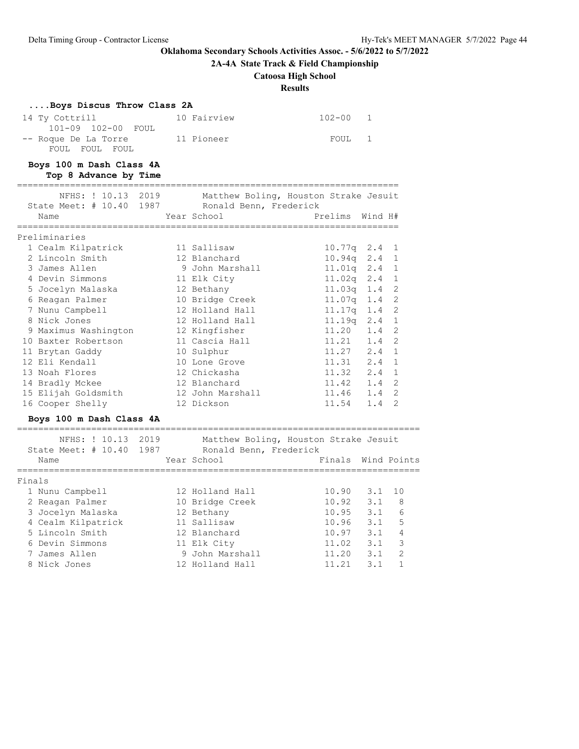**2A-4A State Track & Field Championship**

# **Catoosa High School**

**Results**

| Boys Discus Throw Class 2A     |                                     |                                       |         |                |
|--------------------------------|-------------------------------------|---------------------------------------|---------|----------------|
| 14 Ty Cottrill                 | 10 Fairview                         | $102 - 00$                            | 1       |                |
| $102 - 00$<br>101-09<br>FOUL   |                                     |                                       |         |                |
| -- Roque De La Torre           | 11 Pioneer                          | FOUL                                  | 1       |                |
| FOUL FOUL FOUL                 |                                     |                                       |         |                |
| Boys 100 m Dash Class 4A       |                                     |                                       |         |                |
| Top 8 Advance by Time          |                                     |                                       |         |                |
| NFHS: ! 10.13<br>2019          |                                     | Matthew Boling, Houston Strake Jesuit |         |                |
| State Meet: $\#$ 10.40<br>1987 | Ronald Benn, Frederick              |                                       |         |                |
| Name                           | Year School                         | Prelims                               | Wind H# |                |
|                                |                                     | -----------------------               |         |                |
| Preliminaries                  |                                     |                                       |         |                |
| 1 Cealm Kilpatrick             | 11 Sallisaw                         | $10.77q$ 2.4                          |         | 1              |
| 2 Lincoln Smith                | 12 Blanchard                        | 10.94q                                | 2.4     | 1              |
| 3 James Allen                  | 9 John Marshall                     | $11.01q$ $2.4$                        |         | 1              |
| 4 Devin Simmons                | 11 Elk City                         | $11.02q$ 2.4                          |         | 1              |
| 5 Jocelyn Malaska              | 12 Bethany                          | 11.03q 1.4                            |         | 2              |
| 6 Reagan Palmer                | 10 Bridge Creek                     | 11.07q   1.4                          |         | $\overline{2}$ |
| 7 Nunu Campbell                | 12 Holland Hall                     | 11.17q 1.4                            |         | 2              |
| 8 Nick Jones                   | 12 Holland Hall                     | 11.19q                                | 2.4     | 1              |
| 9 Maximus Washington           | 12 Kingfisher                       | 11.20                                 | 1.4     | $\overline{2}$ |
| 10 Baxter Robertson            | 11 Cascia Hall                      | 11.21                                 | 1.4     | 2              |
| 11 Brytan Gaddy                | 10 Sulphur                          | 11.27 2.4                             |         | $\mathbf{1}$   |
| 12 Eli Kendall                 | 10 Lone Grove                       | 11.31 2.4                             |         | $\mathbf{1}$   |
| 13 Noah Flores                 | 12 Chickasha                        | 11.32 2.4                             |         | 1              |
| 14 Bradly Mckee                | 12 Blanchard                        | 11.42 1.4                             |         | 2              |
| 15 Elijah Goldsmith            | 12 John Marshall                    | 11.46                                 | 1.4     | $\overline{2}$ |
| 16 Cooper Shelly               | 12 Dickson                          | 11.54                                 | 1.4     | 2              |
|                                |                                     |                                       |         |                |
| Boys 100 m Dash Class 4A       | =================================== |                                       |         |                |
| NFHS: ! 10.13<br>2019          |                                     | Matthew Boling, Houston Strake Jesuit |         |                |
| State Meet: $\#$ 10.40<br>1987 | Ronald Benn, Frederick              |                                       |         |                |
| Name                           | Year School                         | Finals                                |         | Wind Points    |
| =====================          | =========================           | ________________________              |         |                |
| Finals                         |                                     |                                       |         |                |
| 1 Nunu Campbell                | 12 Holland Hall                     | 10.90                                 | 3.1     | 10             |
| 2 Reagan Palmer                | 10 Bridge Creek                     | 10.92                                 | 3.1     | 8              |
| 3 Jocelyn Malaska              | 12 Bethany                          | 10.95                                 | 3.1     | 6              |
| 4 Cealm Kilpatrick             | 11 Sallisaw                         | 10.96                                 | 3.1     | 5              |
| 5 Lincoln Smith                | 12 Blanchard                        | 10.97                                 | 3.1     | $\overline{4}$ |
| 6 Devin Simmons                | 11 Elk City                         | 11.02                                 | 3.1     | 3              |
| 7 James Allen                  | 9 John Marshall                     | 11.20                                 | 3.1     | 2              |
| 8 Nick Jones                   | 12 Holland Hall                     | 11.21                                 | 3.1     | $\mathbf{1}$   |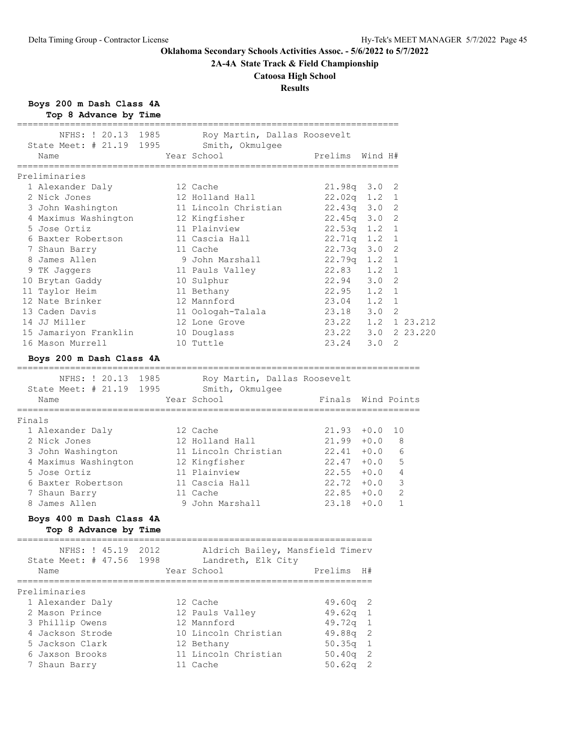**2A-4A State Track & Field Championship**

# **Catoosa High School**

# **Results**

**Boys 200 m Dash Class 4A**

| Top 8 Advance by Time<br>========================        |                                                     |                      |               |                |                      |
|----------------------------------------------------------|-----------------------------------------------------|----------------------|---------------|----------------|----------------------|
| NFHS: ! 20.13 1985                                       | Roy Martin, Dallas Roosevelt                        |                      |               |                |                      |
| State Meet: # 21.19 1995                                 | Smith, Okmulgee                                     |                      |               |                |                      |
| Name                                                     | Year School                                         | Prelims Wind H#      |               |                |                      |
| Preliminaries                                            | ====================                                | ==================== |               |                |                      |
| 1 Alexander Daly                                         | 12 Cache                                            | $21.98q$ $3.0$       |               | 2              |                      |
| 2 Nick Jones                                             | 12 Holland Hall                                     | $22.02q$ 1.2         |               | 1              |                      |
| 3 John Washington                                        | 11 Lincoln Christian                                | 22.43q 3.0           |               | 2              |                      |
| 4 Maximus Washington                                     | 12 Kingfisher                                       | $22.45q$ $3.0$       |               | 2              |                      |
| 5 Jose Ortiz                                             | 11 Plainview                                        | $22.53q$ 1.2         |               | 1              |                      |
| 6 Baxter Robertson                                       | 11 Cascia Hall                                      | 22.71q               | 1.2           | 1              |                      |
| 7 Shaun Barry                                            | 11 Cache                                            | 22.73q               | 3.0           | $\overline{c}$ |                      |
| 8 James Allen                                            | 9 John Marshall                                     | 22.79q               | 1.2           | $\mathbf{1}$   |                      |
| 9 TK Jaggers                                             | 11 Pauls Valley                                     | 22.83                | 1.2           | 1              |                      |
| 10 Brytan Gaddy                                          | 10 Sulphur                                          | 22.94                | 3.0           | 2              |                      |
| 11 Taylor Heim                                           | 11 Bethany                                          | 22.95                | 1.2           | 1              |                      |
| 12 Nate Brinker                                          | 12 Mannford                                         | 23.04                | $1.2 \quad 1$ |                |                      |
| 13 Caden Davis                                           | 11 Oologah-Talala                                   | 23.18                | 3.0           | 2              |                      |
| 14 JJ Miller                                             | 12 Lone Grove                                       | 23.22                |               |                | $1.2 \quad 1.23.212$ |
| 15 Jamariyon Franklin                                    | 10 Douglass                                         | 23.22                |               |                | 3.0 2 23.220         |
| 16 Mason Murrell                                         | 10 Tuttle                                           | 23.24                | 3.0           | 2              |                      |
| Boys 200 m Dash Class 4A                                 |                                                     |                      |               |                |                      |
| ==================================<br>NFHS: ! 20.13 1985 | Roy Martin, Dallas Roosevelt                        |                      |               |                |                      |
| State Meet: # 21.19 1995                                 | Smith, Okmulgee                                     |                      |               |                |                      |
| Name                                                     | Year School                                         | Finals Wind Points   |               |                |                      |
| ===================<br>Finals                            |                                                     |                      |               |                |                      |
| 1 Alexander Daly                                         | 12 Cache                                            | $21.93 + 0.0$        |               | 10             |                      |
| 2 Nick Jones                                             | 12 Holland Hall                                     | $21.99 + 0.0$        |               | 8              |                      |
| 3 John Washington                                        | 11 Lincoln Christian                                | $22.41 + 0.0$        |               | 6              |                      |
| 4 Maximus Washington                                     | 12 Kingfisher                                       | $22.47 + 0.0$        |               | 5              |                      |
| 5 Jose Ortiz                                             | 11 Plainview                                        | $22.55 + 0.0$        |               | 4              |                      |
| 6 Baxter Robertson                                       | 11 Cascia Hall                                      | $22.72 + 0.0$        |               | 3              |                      |
| 7 Shaun Barry                                            | 11 Cache                                            | $22.85 + 0.0$        |               | 2              |                      |
| 8 James Allen                                            | 9 John Marshall                                     | $23.18 + 0.0$        |               | $\mathbf{1}$   |                      |
| Boys 400 m Dash Class 4A                                 |                                                     |                      |               |                |                      |
| Top 8 Advance by Time                                    |                                                     |                      |               |                |                      |
|                                                          | NFHS: ! 45.19 2012 Aldrich Bailey, Mansfield Timerv |                      |               |                |                      |
| State Meet: # 47.56 1998 Landreth, Elk City              |                                                     |                      |               |                |                      |
| Name                                                     | Year School                                         | Prelims H#           |               |                |                      |
| Preliminaries                                            |                                                     |                      |               |                |                      |
| 1 Alexander Daly                                         | 12 Cache                                            | $49.60q$ 2           |               |                |                      |
| 2 Mason Prince                                           | 12 Pauls Valley                                     | 49.62q               | -1            |                |                      |
| 3 Phillip Owens                                          | 12 Mannford                                         | 49.72q 1             |               |                |                      |
| 4 Jackson Strode                                         | 10 Lincoln Christian                                | 49.88q 2             |               |                |                      |
| 5 Jackson Clark                                          | 12 Bethany                                          | $50.35q$ 1           |               |                |                      |
| 6 Jaxson Brooks                                          | 11 Lincoln Christian                                | $50.40q$ 2           |               |                |                      |
| 7 Shaun Barry                                            | 11 Cache                                            | $50.62q$ 2           |               |                |                      |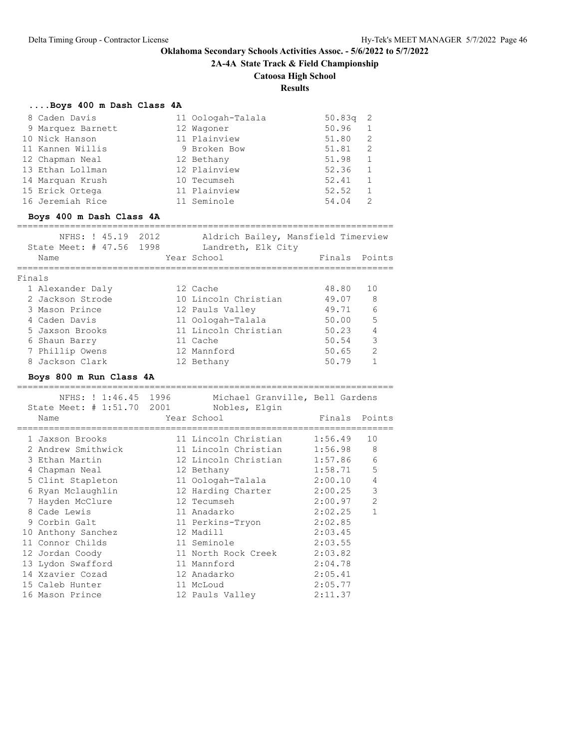**....Boys 400 m Dash Class 4A**

**Oklahoma Secondary Schools Activities Assoc. - 5/6/2022 to 5/7/2022**

**2A-4A State Track & Field Championship**

# **Catoosa High School**

**Results**

| 8 Caden Davis<br>9 Marquez Barnett<br>10 Nick Hanson<br>11 Kannen Willis<br>12 Chapman Neal<br>13 Ethan Lollman<br>14 Marquan Krush<br>15 Erick Ortega<br>16 Jeremiah Rice<br>Boys 400 m Dash Class 4A | 11 Oologah-Talala<br>12 Wagoner<br>11 Plainview<br>9 Broken Bow<br>12 Bethany<br>12 Plainview<br>10 Tecumseh<br>11 Plainview<br>11 Seminole | 50.83q<br>50.96<br>51.80<br>51.81<br>51.98<br>52.36<br>52.41<br>52.52<br>54.04 | 2<br>$\mathbf 1$<br>$\overline{2}$<br>2<br>1<br>$\mathbf{1}$<br>$\mathbf{1}$<br>$\mathbf{1}$<br>$\overline{2}$ |
|--------------------------------------------------------------------------------------------------------------------------------------------------------------------------------------------------------|---------------------------------------------------------------------------------------------------------------------------------------------|--------------------------------------------------------------------------------|----------------------------------------------------------------------------------------------------------------|
| NFHS: ! 45.19 2012<br>State Meet: # 47.56 1998                                                                                                                                                         | Aldrich Bailey, Mansfield Timerview<br>Landreth, Elk City                                                                                   |                                                                                |                                                                                                                |
| Name                                                                                                                                                                                                   | Year School                                                                                                                                 | Finals Points                                                                  |                                                                                                                |
| Finals                                                                                                                                                                                                 |                                                                                                                                             |                                                                                |                                                                                                                |
| 1 Alexander Daly                                                                                                                                                                                       | 12 Cache                                                                                                                                    | 48.80                                                                          | 10                                                                                                             |
| 2 Jackson Strode                                                                                                                                                                                       | 10 Lincoln Christian                                                                                                                        | 49.07                                                                          | 8                                                                                                              |
| 3 Mason Prince                                                                                                                                                                                         | 12 Pauls Valley                                                                                                                             | 49.71                                                                          | 6                                                                                                              |
| 4 Caden Davis                                                                                                                                                                                          | 11 Oologah-Talala                                                                                                                           | 50.00                                                                          | 5                                                                                                              |
| 5 Jaxson Brooks                                                                                                                                                                                        | 11 Lincoln Christian                                                                                                                        | 50.23                                                                          | 4                                                                                                              |
| 6 Shaun Barry                                                                                                                                                                                          | 11 Cache                                                                                                                                    | 50.54                                                                          | 3                                                                                                              |
| 7 Phillip Owens                                                                                                                                                                                        | 12 Mannford                                                                                                                                 | 50.65                                                                          | 2                                                                                                              |
| 8 Jackson Clark                                                                                                                                                                                        | 12 Bethany                                                                                                                                  | 50.79                                                                          | $\mathbf{1}$                                                                                                   |
| Boys 800 m Run Class 4A                                                                                                                                                                                |                                                                                                                                             |                                                                                |                                                                                                                |
|                                                                                                                                                                                                        |                                                                                                                                             |                                                                                |                                                                                                                |
| NFHS: ! 1:46.45 1996                                                                                                                                                                                   | Michael Granville, Bell Gardens                                                                                                             |                                                                                |                                                                                                                |
| State Meet: # 1:51.70 2001 Nobles, Elgin                                                                                                                                                               |                                                                                                                                             |                                                                                |                                                                                                                |
| Name                                                                                                                                                                                                   | Year School                                                                                                                                 | Finals Points                                                                  |                                                                                                                |
|                                                                                                                                                                                                        |                                                                                                                                             |                                                                                |                                                                                                                |
|                                                                                                                                                                                                        |                                                                                                                                             |                                                                                |                                                                                                                |
| 1 Jaxson Brooks                                                                                                                                                                                        | 11 Lincoln Christian                                                                                                                        | 1:56.49                                                                        | 10                                                                                                             |
| 2 Andrew Smithwick                                                                                                                                                                                     | 11 Lincoln Christian                                                                                                                        | 1:56.98                                                                        | 8                                                                                                              |
| 3 Ethan Martin                                                                                                                                                                                         | 12 Lincoln Christian                                                                                                                        | 1:57.86                                                                        | 6                                                                                                              |
| 4 Chapman Neal                                                                                                                                                                                         | 12 Bethany                                                                                                                                  | 1:58.71<br>2:00.10                                                             | 5<br>4                                                                                                         |
| 5 Clint Stapleton                                                                                                                                                                                      | 11 Oologah-Talala                                                                                                                           | 2:00.25                                                                        | $\mathsf 3$                                                                                                    |
| 6 Ryan Mclaughlin                                                                                                                                                                                      | 12 Harding Charter<br>12 Tecumseh                                                                                                           | 2:00.97                                                                        | 2                                                                                                              |
| 7 Hayden McClure<br>8 Cade Lewis                                                                                                                                                                       | 11 Anadarko                                                                                                                                 | 2:02.25                                                                        | $\mathbf{1}$                                                                                                   |
| 9 Corbin Galt                                                                                                                                                                                          | 11 Perkins-Tryon                                                                                                                            | 2:02.85                                                                        |                                                                                                                |
| 10 Anthony Sanchez                                                                                                                                                                                     | 12 Madill                                                                                                                                   | 2:03.45                                                                        |                                                                                                                |
| 11 Connor Childs                                                                                                                                                                                       | 11 Seminole                                                                                                                                 | 2:03.55                                                                        |                                                                                                                |
| 12 Jordan Coody                                                                                                                                                                                        | 11 North Rock Creek 2:03.82                                                                                                                 |                                                                                |                                                                                                                |
| 13 Lydon Swafford                                                                                                                                                                                      | 11 Mannford                                                                                                                                 | 2:04.78                                                                        |                                                                                                                |
| 14 Xzavier Cozad                                                                                                                                                                                       | 12 Anadarko                                                                                                                                 | 2:05.41                                                                        |                                                                                                                |
| 15 Caleb Hunter<br>16 Mason Prince                                                                                                                                                                     | 11 McLoud                                                                                                                                   | 2:05.77<br>2:11.37                                                             |                                                                                                                |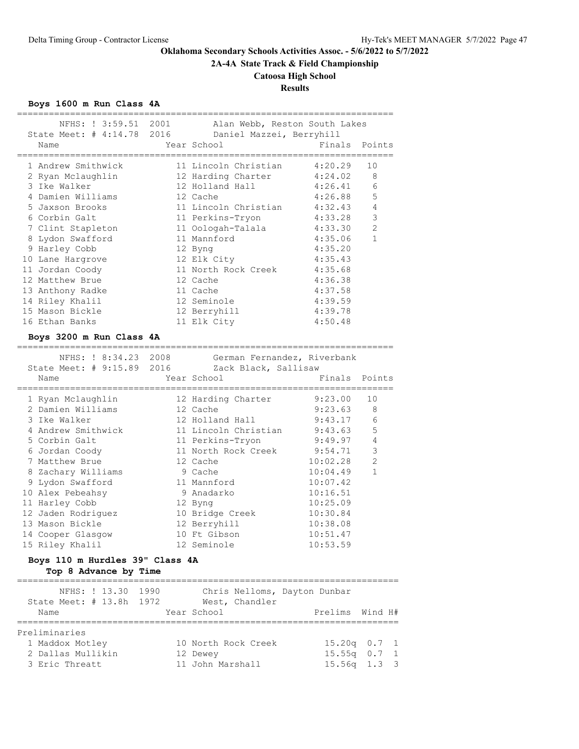**2A-4A State Track & Field Championship**

### **Catoosa High School**

# **Results**

**Boys 1600 m Run Class 4A**

| State Meet: # 4:14.78 2016 Daniel Mazzei, Berryhill | NFHS: ! 3:59.51 2001 Alan Webb, Reston South Lakes | _________________________ |                |
|-----------------------------------------------------|----------------------------------------------------|---------------------------|----------------|
| Name                                                | Year School                                        | Finals                    | Points         |
| 1 Andrew Smithwick                                  | 11 Lincoln Christian 4:20.29                       |                           | 10             |
| 2 Ryan Mclaughlin                                   | 12 Harding Charter                                 | 4:24.02                   | 8              |
| 3 Ike Walker                                        | 12 Holland Hall                                    | 4:26.41                   | 6              |
| 4 Damien Williams                                   | 12 Cache                                           | 4:26.88                   | 5              |
| 5 Jaxson Brooks                                     | 11 Lincoln Christian 4:32.43                       |                           | $\overline{4}$ |
| 6 Corbin Galt                                       | 11 Perkins-Tryon                                   | 4:33.28                   | 3              |
| 7 Clint Stapleton                                   | 11 Oologah-Talala                                  | 4:33.30                   | $\overline{2}$ |
| 8 Lydon Swafford                                    | 11 Mannford                                        | 4:35.06                   | $\mathbf{1}$   |
| 9 Harley Cobb                                       | 12 Byng                                            | 4:35.20                   |                |
| 10 Lane Hargrove                                    | 12 Elk City                                        | 4:35.43                   |                |
| 11 Jordan Coody                                     | 11 North Rock Creek                                | 4:35.68                   |                |
| 12 Matthew Brue                                     | 12 Cache                                           | 4:36.38                   |                |
| 13 Anthony Radke                                    | 11 Cache                                           | 4:37.58                   |                |
| 14 Riley Khalil                                     | 12 Seminole                                        | 4:39.59                   |                |
| 15 Mason Bickle                                     | 12 Berryhill                                       | 4:39.78                   |                |
| 16 Ethan Banks                                      | 11 Elk City                                        | 4:50.48                   |                |
| Boys 3200 m Run Class 4A<br>_____________________   |                                                    |                           |                |
| NFHS: ! 8:34.23 2008                                | German Fernandez, Riverbank                        |                           |                |
| State Meet: # 9:15.89 2016 Zack Black, Sallisaw     |                                                    |                           |                |
| Name                                                | Year School                                        | Finals                    | Points         |
| 1 Ryan Mclaughlin 12 Harding Charter                |                                                    | 9:23.00                   | 10             |
| 2 Damien Williams                                   | 12 Cache                                           | 9:23.63                   | 8              |
| 3 Ike Walker                                        | 12 Holland Hall                                    | 9:43.17                   | 6              |
| 4 Andrew Smithwick                                  | 11 Lincoln Christian 9:43.63                       |                           | 5              |
| 5 Corbin Galt                                       | 11 Perkins-Tryon                                   | 9:49.97                   | 4              |
| 6 Jordan Coody                                      | 11 North Rock Creek 9:54.71                        |                           | 3              |
| 7 Matthew Brue                                      | 12 Cache                                           | 10:02.28                  | $\overline{2}$ |

|  | 7 Matthew Brue     | 12 Cache        | 10:02.28 | 2 |
|--|--------------------|-----------------|----------|---|
|  | 8 Zachary Williams | 9 Cache         | 10:04.49 | 1 |
|  | 9 Lydon Swafford   | 11 Mannford     | 10:07.42 |   |
|  | 10 Alex Pebeahsy   | 9 Anadarko      | 10:16.51 |   |
|  | 11 Harley Cobb     | 12 Byng         | 10:25.09 |   |
|  | 12 Jaden Rodriguez | 10 Bridge Creek | 10:30.84 |   |
|  | 13 Mason Bickle    | 12 Berryhill    | 10:38.08 |   |
|  | 14 Cooper Glasgow  | 10 Ft Gibson    | 10:51.47 |   |
|  | 15 Riley Khalil    | 12 Seminole     | 10:53.59 |   |
|  |                    |                 |          |   |

# **Boys 110 m Hurdles 39" Class 4A**

**Top 8 Advance by Time**

======================================================================== NFHS: ! 13.30 1990 Chris Nelloms, Dayton Dunbar State Meet: # 13.8h 1972 West, Chandler Name Year School Prelims Wind H# ======================================================================== Preliminaries 1 Maddox Motley 10 North Rock Creek 15.20q 0.7 1 2 Dallas Mullikin 12 Dewey 15.55q 0.7 1 3 Eric Threatt 11 John Marshall 15.56q 1.3 3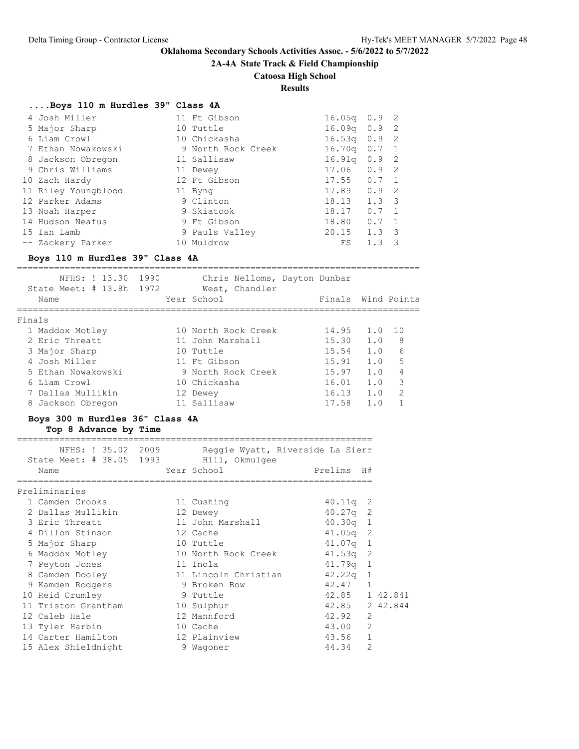**2A-4A State Track & Field Championship**

# **Catoosa High School**

**Results**

### **....Boys 110 m Hurdles 39" Class 4A**

| 4 Josh Miller       | 11 Ft Gibson       | 16.05q           | $0.9$ 2       |                         |
|---------------------|--------------------|------------------|---------------|-------------------------|
| 5 Major Sharp       | 10 Tuttle          | $16.09q$ $0.9$ 2 |               |                         |
| 6 Liam Crowl        | 10 Chickasha       | $16.53q$ 0.9 2   |               |                         |
| 7 Ethan Nowakowski  | 9 North Rock Creek | $16.70q$ 0.7 1   |               |                         |
| 8 Jackson Obregon   | 11 Sallisaw        | 16.91q           | 0.92          |                         |
| 9 Chris Williams    | 11 Dewey           | 17.06            | $0.9$ 2       |                         |
| 10 Zach Hardy       | 12 Ft Gibson       | 17.55            | $0.7 \quad 1$ |                         |
| 11 Riley Youngblood | 11 Byng            | $17.89$ 0.9 2    |               |                         |
| 12 Parker Adams     | 9 Clinton          | 18.13            | $1.3 \quad 3$ |                         |
| 13 Noah Harper      | 9 Skiatook         | 18.17            | 0.7           | $\overline{1}$          |
| 14 Hudson Neafus    | 9 Ft Gibson        | 18.80            | $0.7 \quad 1$ |                         |
| 15 Ian Lamb         | 9 Pauls Valley     | 20.15            | 1.3           | $\overline{\mathbf{3}}$ |
| -- Zackery Parker   | 10 Muldrow         | FS               | 1.3           | 3                       |

### **Boys 110 m Hurdles 39" Class 4A**

============================================================================

| 1972<br>State Meet: # 13.8h<br>West, Chandler<br>Wind Points<br>Year School<br>Finals<br>Name |               |
|-----------------------------------------------------------------------------------------------|---------------|
| Finals                                                                                        |               |
| 10 North Rock Creek<br>14.95<br>1.0<br>1 O<br>1 Maddox Motley                                 |               |
| 1.0<br>2 Eric Threatt<br>15.30<br>11 John Marshall                                            | 8             |
| 1.0<br>15.54<br>3 Major Sharp<br>10 Tuttle                                                    | 6             |
| 4 Josh Miller<br>15.91<br>1.0<br>11 Ft Gibson                                                 | 5             |
| 1.0<br>15.97<br>5 Ethan Nowakowski<br>9 North Rock Creek                                      | 4             |
| 1.0<br>16.01<br>6 Liam Crowl<br>10 Chickasha                                                  | 3             |
| 1.0<br>16.13<br>7 Dallas Mullikin<br>12 Dewey                                                 | $\mathcal{L}$ |
| 17.58<br>1.0<br>11 Sallisaw<br>8 Jackson Obregon                                              |               |

# **Boys 300 m Hurdles 36" Class 4A**

### **Top 8 Advance by Time**

| NFHS: ! 35.02 2009<br>State Meet: # 38.05 1993 | Reggie Wyatt, Riverside La Sierr<br>Hill, Okmulgee |                |                |
|------------------------------------------------|----------------------------------------------------|----------------|----------------|
| Name                                           | Year School                                        | Prelims H#     |                |
| Preliminaries                                  |                                                    |                |                |
| 1 Camden Crooks                                | 11 Cushing                                         | $40.11q$ 2     |                |
| 2 Dallas Mullikin                              | 12 Dewey                                           | $40.27q$ 2     |                |
| 3 Eric Threatt                                 | 11 John Marshall                                   | $40.30q$ 1     |                |
| 4 Dillon Stinson                               | 12 Cache                                           | $41.05q$ 2     |                |
| 5 Major Sharp                                  | 10 Tuttle                                          | $41.07q$ 1     |                |
| 6 Maddox Motley                                | 10 North Rock Creek                                | 41.53q 2       |                |
| 7 Peyton Jones                                 | 11 Inola                                           | $41.79q$ 1     |                |
| 8 Camden Dooley                                | 11 Lincoln Christian                               | $42.22q$ 1     |                |
| 9 Kamden Rodgers                               | 9 Broken Bow                                       | 42.47 1        |                |
| 10 Reid Crumley                                | 9 Tuttle                                           | 42.85 1 42.841 |                |
| 11 Triston Grantham                            | 10 Sulphur                                         | 42.85 2 42.844 |                |
| 12 Caleb Hale                                  | 12 Mannford                                        | 42.92          | $\overline{2}$ |
| 13 Tyler Harbin                                | 10 Cache                                           | 43.00          | $\overline{2}$ |
| 14 Carter Hamilton                             | 12 Plainview                                       | 43.56          | $\mathbf{1}$   |
| 15 Alex Shieldnight                            | 9 Waqoner                                          | 44.34          | $\overline{2}$ |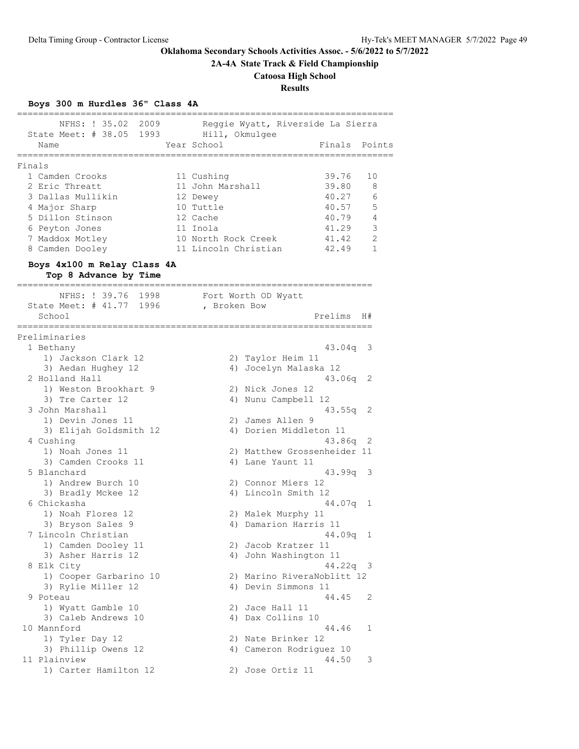**2A-4A State Track & Field Championship**

# **Catoosa High School**

# **Results**

# **Boys 300 m Hurdles 36" Class 4A**

|                                                               | -----------------------                         | ============== | ========= |
|---------------------------------------------------------------|-------------------------------------------------|----------------|-----------|
| NFHS: ! 35.02 2009<br>State Meet: # 38.05 1993 Hill, Okmulgee | Reggie Wyatt, Riverside La Sierra               |                |           |
| Name<br>======================================                | Year School<br>;=============================== | Finals         | Points    |
| Finals                                                        |                                                 |                |           |
| 1 Camden Crooks                                               | 11 Cushing                                      | 39.76          | 10        |
| 2 Eric Threatt                                                | 11 John Marshall                                | 39.80          | 8         |
| 3 Dallas Mullikin                                             | 12 Dewey                                        | 40.27          | 6         |
| 4 Major Sharp                                                 | 10 Tuttle                                       | 40.57          | 5         |
| 5 Dillon Stinson                                              | 12 Cache                                        | 40.79          | -4        |
| 6 Peyton Jones                                                | 11 Inola                                        | 41.29          | 3         |
| 7 Maddox Motley                                               | 10 North Rock Creek                             | 41.42          | 2<br>1    |
| 8 Camden Dooley                                               | 11 Lincoln Christian                            | 42.49          |           |
| Boys 4x100 m Relay Class 4A<br>Top 8 Advance by Time          |                                                 |                |           |
| NFHS: ! 39.76 1998                                            | Fort Worth OD Wyatt                             |                |           |
| State Meet: # 41.77 1996 , Broken Bow                         |                                                 |                |           |
| School                                                        |                                                 | Prelims        | H#        |
| :=============<br>Preliminaries                               |                                                 |                |           |
| 1 Bethany                                                     |                                                 | $43.04q$ 3     |           |
| 1) Jackson Clark 12                                           | 2) Taylor Heim 11                               |                |           |
| 3) Aedan Hughey 12                                            | 4) Jocelyn Malaska 12                           |                |           |
| 2 Holland Hall                                                |                                                 | $43.06q$ 2     |           |
| 1) Weston Brookhart 9                                         | 2) Nick Jones 12                                |                |           |
| 3) Tre Carter 12                                              | 4) Nunu Campbell 12                             |                |           |
| 3 John Marshall<br>1) Devin Jones 11                          | 2) James Allen 9                                | $43.55q$ 2     |           |
| 3) Elijah Goldsmith 12                                        | 4) Dorien Middleton 11                          |                |           |
| 4 Cushing                                                     |                                                 | 43.86q 2       |           |
| 1) Noah Jones 11                                              | 2) Matthew Grossenheider 11                     |                |           |
| 3) Camden Crooks 11                                           | 4) Lane Yaunt 11                                |                |           |
| 5 Blanchard                                                   |                                                 | $43.99q$ 3     |           |
| 1) Andrew Burch 10                                            | 2) Connor Miers 12                              |                |           |
| 3) Bradly Mckee 12                                            | 4) Lincoln Smith 12                             |                |           |
| 6 Chickasha                                                   |                                                 | 44.07q 1       |           |
| 1) Noah Flores 12                                             | 2) Malek Murphy 11                              |                |           |
| 3) Bryson Sales 9                                             | 4) Damarion Harris 11                           |                |           |
| 7 Lincoln Christian<br>1) Camden Dooley 11                    |                                                 | $44.09q$ 1     |           |
| 3) Asher Harris 12                                            | 2) Jacob Kratzer 11<br>4) John Washington 11    |                |           |
| 8 Elk City                                                    |                                                 | 44.22q 3       |           |
| 1) Cooper Garbarino 10                                        | 2) Marino RiveraNoblitt 12                      |                |           |
| 3) Rylie Miller 12                                            | 4) Devin Simmons 11                             |                |           |
| 9 Poteau                                                      |                                                 | 44.45          | 2         |
| 1) Wyatt Gamble 10                                            | 2) Jace Hall 11                                 |                |           |
| 3) Caleb Andrews 10                                           | 4) Dax Collins 10                               |                |           |
| 10 Mannford                                                   |                                                 | 44.46          | 1         |
| 1) Tyler Day 12                                               | 2) Nate Brinker 12                              |                |           |
| 3) Phillip Owens 12                                           | 4) Cameron Rodriguez 10                         |                |           |
| 11 Plainview                                                  |                                                 | 44.50          | 3         |
| 1) Carter Hamilton 12                                         | 2) Jose Ortiz 11                                |                |           |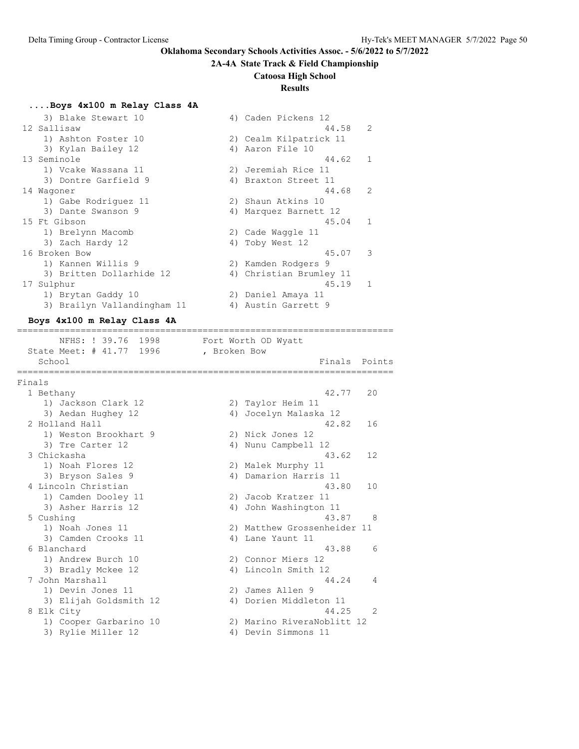### **2A-4A State Track & Field Championship**

#### **Catoosa High School**

# **Results**

### **....Boys 4x100 m Relay Class 4A**

| 3) Blake Stewart 10         | 4) Caden Pickens 12     |               |
|-----------------------------|-------------------------|---------------|
| 12 Sallisaw                 | 44.58                   | 2             |
| 1) Ashton Foster 10         | 2) Cealm Kilpatrick 11  |               |
| 3) Kylan Bailey 12          | 4) Aaron File 10        |               |
| 13 Seminole                 | 44.62                   | $\mathbf{1}$  |
| 1) Vcake Wassana 11         | 2) Jeremiah Rice 11     |               |
| 3) Dontre Garfield 9        | 4) Braxton Street 11    |               |
| 14 Waqoner                  | 44.68                   | $\mathcal{L}$ |
| 1) Gabe Rodriguez 11        | 2) Shaun Atkins 10      |               |
| 3) Dante Swanson 9          | 4) Marquez Barnett 12   |               |
| 15 Ft Gibson                | 45.04                   | $\mathbf{1}$  |
| 1) Brelynn Macomb           | 2) Cade Waqqle 11       |               |
| 3) Zach Hardy 12            | 4) Toby West 12         |               |
| 16 Broken Bow               | 45.07                   | 3             |
| 1) Kannen Willis 9          | 2) Kamden Rodgers 9     |               |
| 3) Britten Dollarhide 12    | 4) Christian Brumley 11 |               |
| 17 Sulphur                  | 45.19                   | $\mathbf{1}$  |
| 1) Brytan Gaddy 10          | 2) Daniel Amaya 11      |               |
| 3) Brailyn Vallandingham 11 | 4) Austin Garrett 9     |               |

#### **Boys 4x100 m Relay Class 4A**

======================================================================= NFHS: ! 39.76 1998 Fort Worth OD Wyatt State Meet: # 41.77 1996 , Broken Bow School **Finals Points** ======================================================================= Finals 1 Bethany 42.77 20 1) Jackson Clark 12 2) Taylor Heim 11 3) Aedan Hughey 12 4) Jocelyn Malaska 12 2 Holland Hall 42.82 16 1) Weston Brookhart 9 2) Nick Jones 12 3) Tre Carter 12 (a) 4) Nunu Campbell 12 3 Chickasha 43.62 12 1) Noah Flores 12 2) Malek Murphy 11 3) Bryson Sales 9 4) Damarion Harris 11 4 Lincoln Christian 43.80 10 1) Camden Dooley 11 2) Jacob Kratzer 11 3) Asher Harris 12 4) John Washington 11 5 Cushing 43.87 8 1) Noah Jones 11 2) Matthew Grossenheider 11 3) Camden Crooks 11 (4) Lane Yaunt 11 6 Blanchard 43.88 6 1) Andrew Burch 10 2) Connor Miers 12 3) Bradly Mckee 12 4) Lincoln Smith 12 7 John Marshall 44.24 4 1) Devin Jones 11 2) James Allen 9 3) Elijah Goldsmith 12 4) Dorien Middleton 11 8 Elk City 44.25 2 1) Cooper Garbarino 10 2) Marino RiveraNoblitt 12

3) Rylie Miller 12 4) Devin Simmons 11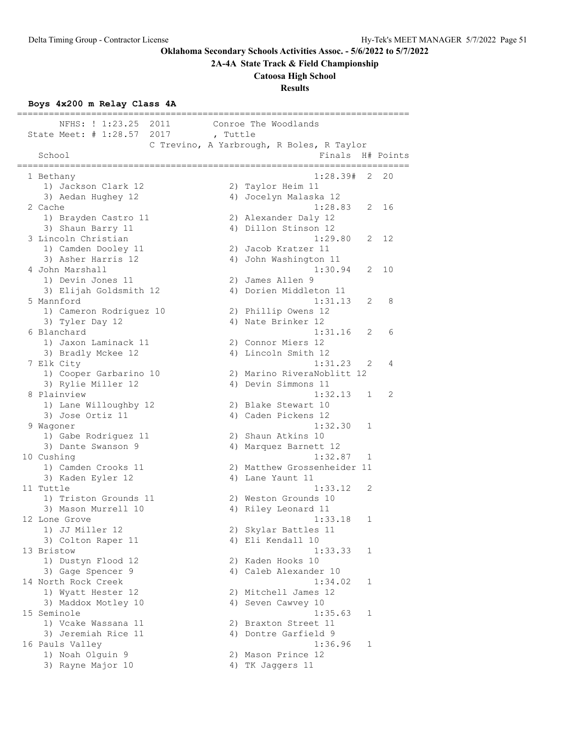**2A-4A State Track & Field Championship**

#### **Catoosa High School**

### **Results**

### **Boys 4x200 m Relay Class 4A**

========================================================================== NFHS: ! 1:23.25 2011 Conroe The Woodlands State Meet: # 1:28.57 2017 , Tuttle C Trevino, A Yarbrough, R Boles, R Taylor School **Finals H#** Points ========================================================================== 1 Bethany 1:28.39# 2 20 1) Jackson Clark 12 2) Taylor Heim 11 3) Aedan Hughey 12 4) Jocelyn Malaska 12 2 Cache 1:28.83 2 16 1) Brayden Castro 11 2) Alexander Daly 12 3) Shaun Barry 11 4) Dillon Stinson 12 3 Lincoln Christian 1:29.80 2 12 1) Camden Dooley 11 2) Jacob Kratzer 11 3) Asher Harris 12 4) John Washington 11 4 John Marshall 1:30.94 2 10 1) Devin Jones 11 2) James Allen 9 3) Elijah Goldsmith 12 4) Dorien Middleton 11 5 Mannford 1:31.13 2 8 1) Cameron Rodriguez 10 2) Phillip Owens 12 3) Tyler Day 12 12 12 12 4) Nate Brinker 12 6 Blanchard 1:31.16 2 6 1) Jaxon Laminack 11 2) Connor Miers 12 3) Bradly Mckee 12 4) Lincoln Smith 12 7 Elk City 1:31.23 2 4 1) Cooper Garbarino 10 2) Marino RiveraNoblitt 12 3) Rylie Miller 12 4) Devin Simmons 11 8 Plainview 1:32.13 1 2 1) Lane Willoughby 12 2) Blake Stewart 10 3) Jose Ortiz 11 (a) 4) Caden Pickens 12 9 Wagoner 1:32.30 1 1) Gabe Rodriguez 11 2) Shaun Atkins 10 3) Dante Swanson 9 4) Marquez Barnett 12 10 Cushing 1:32.87 1 1) Camden Crooks 11 2) Matthew Grossenheider 11 3) Kaden Eyler 12 (4) Lane Yaunt 11 11 Tuttle 1:33.12 2 1) Triston Grounds 11 2) Weston Grounds 10 3) Mason Murrell 10 4) Riley Leonard 11 12 Lone Grove 2012 2022 2022 2023 2024 2022 2022 2023 2024 2022 2023 2024 2022 2023 2024 2022 2023 2024 2022 20 1) JJ Miller 12 2) Skylar Battles 11 3) Colton Raper 11 4) Eli Kendall 10 13 Bristow 1:33.33 1 1) Dustyn Flood 12 2) Kaden Hooks 10 3) Gage Spencer 9 4) Caleb Alexander 10 14 North Rock Creek 1:34.02 1 1) Wyatt Hester 12 2) Mitchell James 12 3) Maddox Motley 10 4) Seven Cawvey 10 15 Seminole 1:35.63 1 1) Vcake Wassana 11 2) Braxton Street 11 3) Jeremiah Rice 11 (4) Dontre Garfield 9 16 Pauls Valley 1:36.96 1 1) Noah Olguin 9 2) Mason Prince 12 3) Rayne Major 10  $\hskip1cm$  4) TK Jaggers 11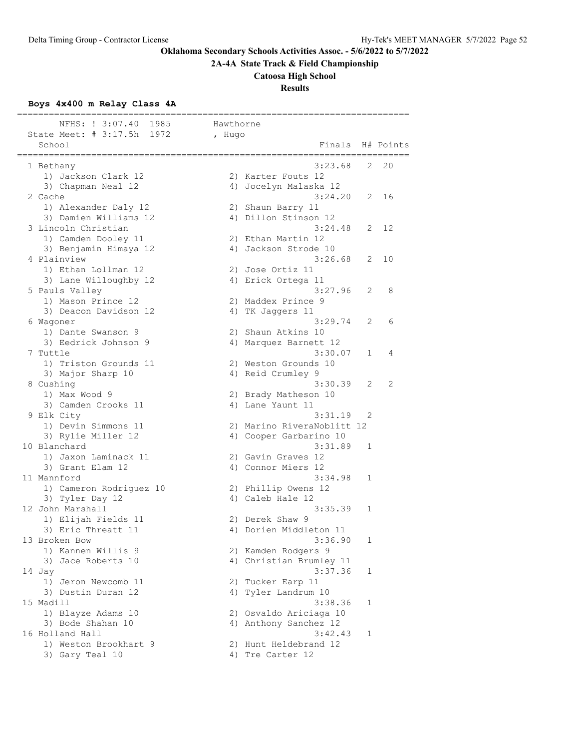**2A-4A State Track & Field Championship**

# **Catoosa High School**

# **Results**

# **Boys 4x400 m Relay Class 4A**

| =======<br>1985<br>NFHS: ! 3:07.40                                | Hawthorne |                                         |   |           |
|-------------------------------------------------------------------|-----------|-----------------------------------------|---|-----------|
| State Meet: $\#$ 3:17.5h<br>1972<br>School<br>;================== | , Hugo    | Finals<br>====================          |   | H# Points |
| 1 Bethany                                                         |           | 3:23.68                                 | 2 | 20        |
| 1) Jackson Clark 12                                               |           | 2) Karter Fouts 12                      |   |           |
| 3) Chapman Neal 12                                                |           | 4) Jocelyn Malaska 12                   |   |           |
| 2 Cache                                                           |           | 3:24.20                                 | 2 | 16        |
| 1) Alexander Daly 12                                              |           | 2) Shaun Barry 11                       |   |           |
| 3) Damien Williams 12                                             |           | 4) Dillon Stinson 12                    |   |           |
| 3 Lincoln Christian                                               |           | 3:24.48                                 |   | 2 12      |
| 1) Camden Dooley 11                                               |           | 2) Ethan Martin 12                      |   |           |
| 3) Benjamin Himaya 12                                             |           | 4) Jackson Strode 10                    |   |           |
| 4 Plainview                                                       |           | 3:26.68                                 | 2 | 10        |
| 1) Ethan Lollman 12                                               |           | 2) Jose Ortiz 11                        |   |           |
| 3) Lane Willoughby 12                                             |           | 4) Erick Ortega 11<br>3:27.96           | 2 |           |
| 5 Pauls Valley<br>1) Mason Prince 12                              |           | 2) Maddex Prince 9                      |   | 8         |
| 3) Deacon Davidson 12                                             |           | 4) TK Jaggers 11                        |   |           |
| 6 Wagoner                                                         |           | 3:29.74                                 | 2 | 6         |
| 1) Dante Swanson 9                                                |           | 2) Shaun Atkins 10                      |   |           |
| 3) Eedrick Johnson 9                                              |           | 4) Marquez Barnett 12                   |   |           |
| 7 Tuttle                                                          |           | 3:30.07                                 | 1 | 4         |
| 1) Triston Grounds 11                                             |           | 2) Weston Grounds 10                    |   |           |
| 3) Major Sharp 10                                                 |           | 4) Reid Crumley 9                       |   |           |
| 8 Cushing                                                         |           | 3:30.39                                 | 2 | 2         |
| 1) Max Wood 9                                                     |           | 2) Brady Matheson 10                    |   |           |
| 3) Camden Crooks 11                                               |           | 4) Lane Yaunt 11                        |   |           |
| 9 Elk City                                                        |           | 3:31.19                                 | 2 |           |
| 1) Devin Simmons 11                                               |           | 2) Marino RiveraNoblitt 12              |   |           |
| 3) Rylie Miller 12                                                |           | 4) Cooper Garbarino 10                  |   |           |
| 10 Blanchard                                                      |           | 3:31.89                                 | 1 |           |
| 1) Jaxon Laminack 11                                              |           | 2) Gavin Graves 12                      |   |           |
| 3) Grant Elam 12                                                  |           | 4) Connor Miers 12                      |   |           |
| 11 Mannford                                                       |           | 3:34.98                                 | 1 |           |
| 1) Cameron Rodriguez 10                                           |           | 2) Phillip Owens 12<br>4) Caleb Hale 12 |   |           |
| 3) Tyler Day 12<br>12 John Marshall                               |           | 3:35.39                                 | 1 |           |
| 1) Elijah Fields 11                                               |           | 2) Derek Shaw 9                         |   |           |
| 3) Eric Threatt 11                                                |           | 4) Dorien Middleton 11                  |   |           |
| 13 Broken Bow                                                     |           | 3:36.90                                 | 1 |           |
| 1) Kannen Willis 9                                                |           | 2) Kamden Rodgers 9                     |   |           |
| 3)<br>Jace Roberts 10                                             |           | 4) Christian Brumley 11                 |   |           |
| 14 Jay                                                            |           | 3:37.36                                 | 1 |           |
| 1) Jeron Newcomb 11                                               |           | 2) Tucker Earp 11                       |   |           |
| 3) Dustin Duran 12                                                |           | 4) Tyler Landrum 10                     |   |           |
| 15 Madill                                                         |           | 3:38.36                                 | 1 |           |
| 1) Blayze Adams 10                                                |           | 2) Osvaldo Ariciaga 10                  |   |           |
| 3) Bode Shahan 10                                                 |           | 4) Anthony Sanchez 12                   |   |           |
| 16 Holland Hall                                                   |           | 3:42.43                                 | 1 |           |
| 1) Weston Brookhart 9                                             |           | 2) Hunt Heldebrand 12                   |   |           |
| 3) Gary Teal 10                                                   |           | 4) Tre Carter 12                        |   |           |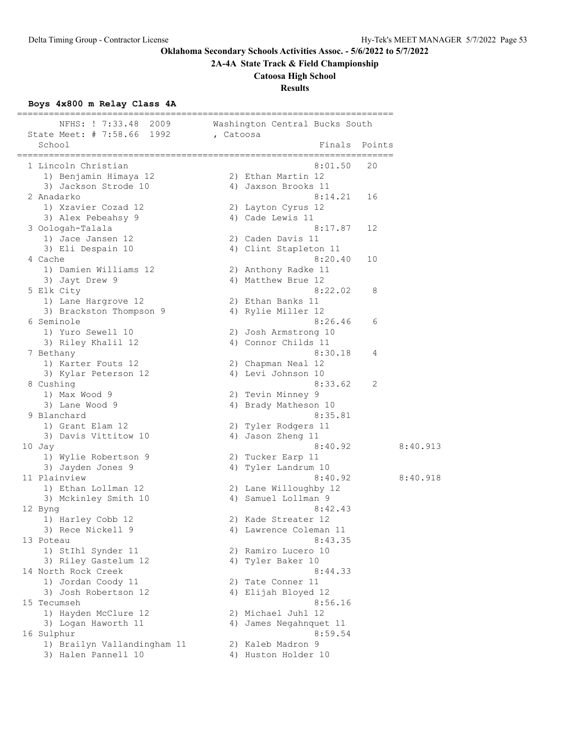**2A-4A State Track & Field Championship**

# **Catoosa High School**

**Results**

# **Boys 4x800 m Relay Class 4A**

| NFHS: ! 7:33.48 2009<br>State Meet: # 7:58.66 1992 | , Catoosa | ======================================<br>Washington Central Bucks South |          |
|----------------------------------------------------|-----------|--------------------------------------------------------------------------|----------|
| School                                             |           | Finals                                                                   | Points   |
| 1 Lincoln Christian                                |           | ------------------<br>8:01.50                                            | 20       |
| 1) Benjamin Himaya 12                              |           | 2) Ethan Martin 12                                                       |          |
| 3) Jackson Strode 10                               |           | 4) Jaxson Brooks 11                                                      |          |
| 2 Anadarko                                         |           | 8:14.21                                                                  | 16       |
| 1) Xzavier Cozad 12                                |           | 2) Layton Cyrus 12                                                       |          |
| 3) Alex Pebeahsy 9                                 |           | 4) Cade Lewis 11                                                         |          |
| 3 Oologah-Talala                                   |           | 8:17.87                                                                  | 12       |
| 1) Jace Jansen 12                                  |           | 2) Caden Davis 11                                                        |          |
| 3) Eli Despain 10                                  |           | 4) Clint Stapleton 11                                                    |          |
| 4 Cache                                            |           | 8:20.40                                                                  | 10       |
| 1) Damien Williams 12                              |           | 2) Anthony Radke 11                                                      |          |
| 3) Jayt Drew 9                                     |           | 4) Matthew Brue 12                                                       |          |
| 5 Elk City                                         |           | 8:22.02                                                                  | 8        |
| 1) Lane Hargrove 12                                |           | 2) Ethan Banks 11                                                        |          |
| 3) Brackston Thompson 9                            |           | 4) Rylie Miller 12                                                       |          |
| 6 Seminole                                         |           | 8:26.46                                                                  | 6        |
|                                                    |           |                                                                          |          |
| 1) Yuro Sewell 10                                  |           | 2) Josh Armstrong 10<br>4) Connor Childs 11                              |          |
| 3) Riley Khalil 12                                 |           |                                                                          |          |
| 7 Bethany<br>1) Karter Fouts 12                    |           | 8:30.18                                                                  | 4        |
|                                                    |           | 2) Chapman Neal 12                                                       |          |
| 3) Kylar Peterson 12                               |           | 4) Levi Johnson 10                                                       |          |
| 8 Cushing                                          |           | 8:33.62                                                                  | 2        |
| 1) Max Wood 9                                      |           | 2) Tevin Minney 9                                                        |          |
| 3) Lane Wood 9                                     |           | 4) Brady Matheson 10                                                     |          |
| 9 Blanchard                                        |           | 8:35.81                                                                  |          |
| 1) Grant Elam 12                                   |           | 2) Tyler Rodgers 11                                                      |          |
| 3) Davis Vittitow 10                               |           | 4) Jason Zheng 11                                                        |          |
| 10 Jay                                             |           | 8:40.92                                                                  | 8:40.913 |
| 1) Wylie Robertson 9                               |           | 2) Tucker Earp 11                                                        |          |
| 3) Jayden Jones 9                                  |           | 4) Tyler Landrum 10                                                      |          |
| 11 Plainview                                       |           | 8:40.92                                                                  | 8:40.918 |
| 1) Ethan Lollman 12                                |           | 2) Lane Willoughby 12                                                    |          |
| 3) Mckinley Smith 10                               |           | 4) Samuel Lollman 9                                                      |          |
| 12 Byng                                            |           | 8:42.43                                                                  |          |
| 1) Harley Cobb 12                                  |           | 2) Kade Streater 12                                                      |          |
| 3) Rece Nickell 9                                  |           | 4) Lawrence Coleman 11                                                   |          |
| 13 Poteau                                          |           | 8:43.35                                                                  |          |
| 1) StIhl Synder 11                                 |           | 2) Ramiro Lucero 10                                                      |          |
| 3) Riley Gastelum 12                               |           | 4) Tyler Baker 10                                                        |          |
| 14 North Rock Creek                                |           | 8:44.33                                                                  |          |
| 1) Jordan Coody 11                                 |           | 2) Tate Conner 11                                                        |          |
| 3) Josh Robertson 12                               |           | 4) Elijah Bloyed 12                                                      |          |
| 15 Tecumseh                                        |           | 8:56.16                                                                  |          |
| 1) Hayden McClure 12                               |           | 2) Michael Juhl 12                                                       |          |
| 3) Logan Haworth 11                                |           | 4) James Negahnquet 11                                                   |          |
| 16 Sulphur                                         |           | 8:59.54                                                                  |          |
| 1) Brailyn Vallandingham 11                        |           | 2) Kaleb Madron 9                                                        |          |
| 3) Halen Pannell 10                                |           | 4) Huston Holder 10                                                      |          |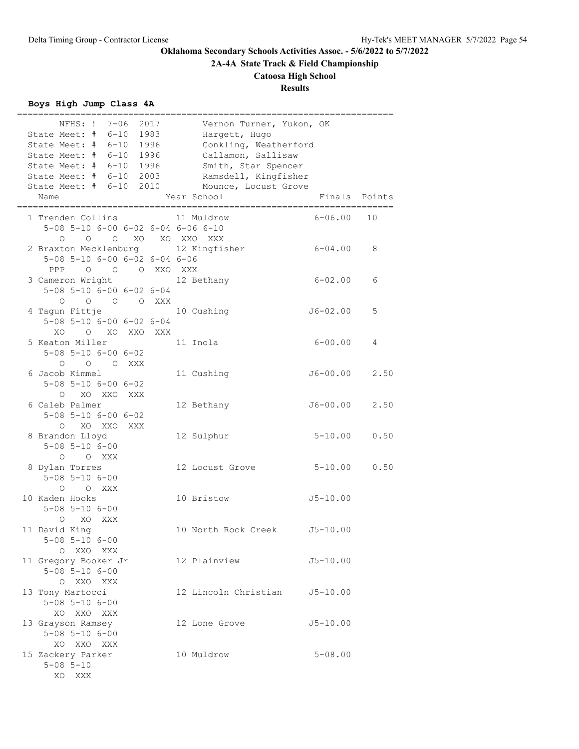**2A-4A State Track & Field Championship**

**Catoosa High School**

# **Results**

# **Boys High Jump Class 4A**

| 7-06<br>2017<br>NFHS: !<br>State Meet: # 6-10<br>1983           | Vernon Turner, Yukon, OK<br>Hargett, Hugo |        |
|-----------------------------------------------------------------|-------------------------------------------|--------|
| State Meet: $\#$ 6-10<br>1996                                   | Conkling, Weatherford                     |        |
| State Meet: $\#$ 6-10<br>1996                                   | Callamon, Sallisaw                        |        |
| State Meet: # 6-10<br>1996                                      | Smith, Star Spencer                       |        |
| State Meet: # 6-10 2003                                         | Ramsdell, Kingfisher                      |        |
| State Meet: # 6-10 2010                                         | Mounce, Locust Grove                      |        |
| Name                                                            | Year School<br>Finals                     | Points |
| =====================<br>1 Trenden Collins                      | $6 - 06.00$<br>11 Muldrow                 | 10     |
| 5-08 5-10 6-00 6-02 6-04 6-06 6-10                              |                                           |        |
| O O XO XO XXO XXX<br>$\circ$                                    |                                           |        |
|                                                                 | $6 - 04.00$                               | 8      |
| 2 Braxton Mecklenburg 12 Kingfisher                             |                                           |        |
| 5-08 5-10 6-00 6-02 6-04 6-06                                   |                                           |        |
| PPP<br>O O O XXO XXX                                            |                                           |        |
| 3 Cameron Wright 12 Bethany                                     | $6 - 02.00$                               | 6      |
| 5-08 5-10 6-00 6-02 6-04                                        |                                           |        |
| $\begin{matrix} 0 & 0 & 0 & \text{XXX} \end{matrix}$<br>$\circ$ |                                           |        |
| 4 Taqun Fittje                                                  | 10 Cushing<br>$J6 - 02.00$                | 5      |
| 5-08 5-10 6-00 6-02 6-04                                        |                                           |        |
| O XO XXO XXX<br>XO.                                             |                                           |        |
| 5 Keaton Miller                                                 | $6 - 00.00$<br>11 Inola                   | 4      |
| $5 - 08$ $5 - 10$ $6 - 00$ $6 - 02$                             |                                           |        |
| O O XXX<br>$\circ$                                              |                                           |        |
| 6 Jacob Kimmel                                                  | $J6 - 00.00$<br>11 Cushing                | 2.50   |
| $5 - 08$ $5 - 10$ $6 - 00$ $6 - 02$                             |                                           |        |
| O XO XXO XXX                                                    |                                           |        |
| 6 Caleb Palmer                                                  | $J6 - 00.00$<br>12 Bethany                | 2.50   |
| $5 - 08$ $5 - 10$ $6 - 00$ $6 - 02$                             |                                           |        |
| XO XXO XXX<br>$\Omega$                                          |                                           |        |
| 8 Brandon Lloyd                                                 | 12 Sulphur<br>$5 - 10.00$                 | 0.50   |
| $5 - 08$ $5 - 10$ $6 - 00$                                      |                                           |        |
| O XXX<br>$\circ$                                                |                                           |        |
| 8 Dylan Torres                                                  | $5 - 10.00$<br>12 Locust Grove            | 0.50   |
| $5 - 08$ $5 - 10$ $6 - 00$                                      |                                           |        |
| O XXX<br>$\circ$                                                |                                           |        |
| 10 Kaden Hooks                                                  | $J5 - 10.00$<br>10 Bristow                |        |
| $5 - 08$ $5 - 10$ $6 - 00$                                      |                                           |        |
| XO XXX<br>$\circ$                                               |                                           |        |
| 11 David King                                                   | 10 North Rock Creek<br>$J5 - 10.00$       |        |
| $5 - 08$ $5 - 10$ $6 - 00$                                      |                                           |        |
| O XXO XXX                                                       |                                           |        |
| 11 Gregory Booker Jr                                            | 12 Plainview<br>$J5 - 10.00$              |        |
| $5 - 08$ $5 - 10$ $6 - 00$                                      |                                           |        |
| O XXO XXX                                                       |                                           |        |
| 13 Tony Martocci                                                | 12 Lincoln Christian<br>$J5 - 10.00$      |        |
| $5 - 08$ $5 - 10$ $6 - 00$                                      |                                           |        |
|                                                                 |                                           |        |
| XO XXO XXX                                                      |                                           |        |
| 13 Grayson Ramsey                                               | 12 Lone Grove<br>$J5 - 10.00$             |        |
| $5 - 08$ $5 - 10$ $6 - 00$                                      |                                           |        |
| XO XXO XXX                                                      |                                           |        |
| 15 Zackery Parker                                               | 10 Muldrow<br>$5 - 08.00$                 |        |
| $5 - 08$ $5 - 10$                                               |                                           |        |
| XO XXX                                                          |                                           |        |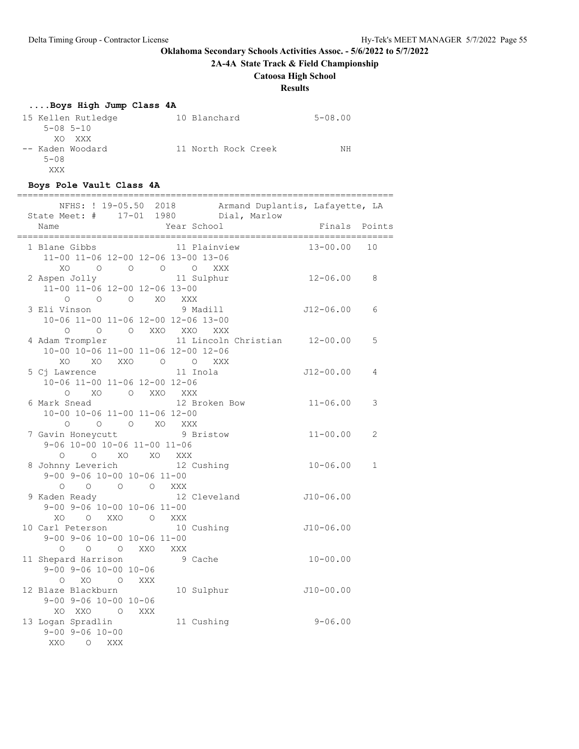**2A-4A State Track & Field Championship**

# **Catoosa High School**

# **Results**

# **....Boys High Jump Class 4A**

| 15 Kellen Rutledge | 10 Blanchard        | $5 - 08.00$ |
|--------------------|---------------------|-------------|
| $5 - 08$ $5 - 10$  |                     |             |
| XO XXX             |                     |             |
| -- Kaden Woodard   | 11 North Rock Creek | NΗ          |
| $5 - 08$           |                     |             |
| XXX                |                     |             |

# **Boys Pole Vault Class 4A**

| ==========                                                                                                                                                                                                                                                                |             | ===========   | ====================== |                |
|---------------------------------------------------------------------------------------------------------------------------------------------------------------------------------------------------------------------------------------------------------------------------|-------------|---------------|------------------------|----------------|
| NFHS: ! 19-05.50 2018 Armand Duplantis, Lafayette, LA<br>State Meet: # 17-01 1980 Dial, Marlow                                                                                                                                                                            |             |               |                        |                |
| Name                                                                                                                                                                                                                                                                      | Year School |               | Finals                 | Points         |
| 1 Blane Gibbs<br>11-00 11-06 12-00 12-06 13-00 13-06<br>O O O O XXX<br><b>XO</b>                                                                                                                                                                                          |             | 11 Plainview  | 13-00.00               | 10             |
| 2 Aspen Jolly 11 Sulphur<br>11-00 11-06 12-00 12-06 13-00<br>$\begin{matrix} 0 & 0 & 0 \end{matrix} \quad \begin{matrix} 0 & X0 \end{matrix} \quad \begin{matrix} XXX \end{matrix}$                                                                                       |             |               | $12 - 06.00$           | 8              |
| 3 Eli Vinson<br>10-06 11-00 11-06 12-00 12-06 13-00<br>0 0 0 XXO XXO XXX                                                                                                                                                                                                  |             | 9 Madill      | $J12 - 06.00$          | 6              |
| 4 Adam Trompler 11 Lincoln Christian 12-00.00<br>10-00 10-06 11-00 11-06 12-00 12-06<br>XO XO XXO O O XXX                                                                                                                                                                 |             |               |                        | 5              |
| 5 Cj Lawrence<br>10-06 11-00 11-06 12-00 12-06<br>O XO O XXO XXX                                                                                                                                                                                                          | 11 Inola    |               | $J12 - 00.00$          | 4              |
| 6 Mark Snead<br>10-00 10-06 11-00 11-06 12-00<br>$\bigcap$<br>O O XO XXX                                                                                                                                                                                                  |             | 12 Broken Bow | $11 - 06.00$           | 3              |
| 7 Gavin Honeycutt<br>9-06 10-00 10-06 11-00 11-06<br>$\begin{matrix}0\\ 0\\ \end{matrix} \qquad \begin{matrix}0\\ 0\\ \end{matrix} \qquad \begin{matrix}X0\\ X0\\ \end{matrix} \qquad \begin{matrix}X0\\ X0\\ \end{matrix} \qquad \begin{matrix}XXX\\ XXX\\ \end{matrix}$ |             | 9 Bristow     | $11 - 00.00$           | $\mathfrak{D}$ |
| 8 Johnny Leverich<br>9-00 9-06 10-00 10-06 11-00<br>0 0 0 0 XXX                                                                                                                                                                                                           | 12 Cushing  |               | $10 - 06.00$           | $\mathbf{1}$   |
| 9 Kaden Ready 12 Cleveland<br>9-00 9-06 10-00 10-06 11-00<br>XO O XXO O XXX                                                                                                                                                                                               |             |               | $J10-06.00$            |                |
| 10 Carl Peterson<br>9-00 9-06 10-00 10-06 11-00<br>O O O XXO XXX                                                                                                                                                                                                          |             | 10 Cushing    | $J10-06.00$            |                |
| 11 Shepard Harrison<br>$9 - 00$ $9 - 06$ $10 - 00$ $10 - 06$<br>O XO O XXX                                                                                                                                                                                                |             | 9 Cache       | $10 - 00.00$           |                |
| 12 Blaze Blackburn<br>$9 - 00$ $9 - 06$ $10 - 00$ $10 - 06$<br>XO XXO O XXX                                                                                                                                                                                               |             | 10 Sulphur    | $J10-00.00$            |                |
| 13 Logan Spradlin<br>$9 - 00$ $9 - 06$ $10 - 00$<br>XXO<br>$\circ$<br>XXX                                                                                                                                                                                                 |             | 11 Cushing    | $9 - 06.00$            |                |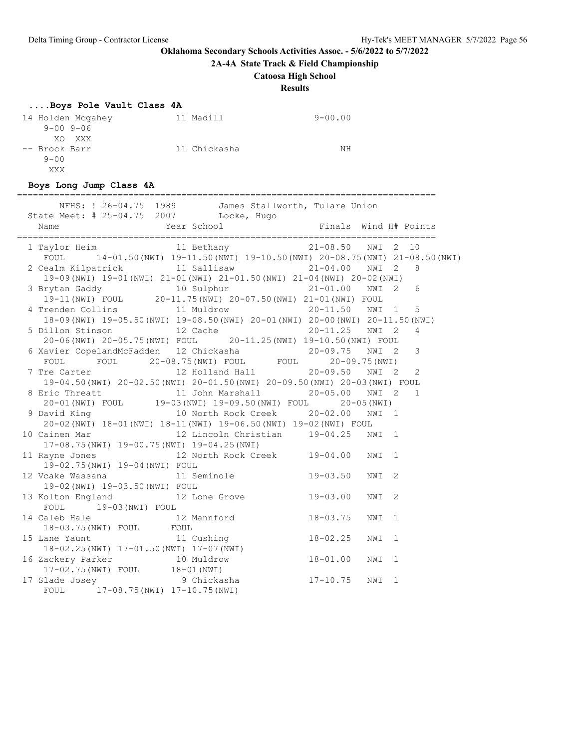**2A-4A State Track & Field Championship**

### **Catoosa High School**

**Results**

#### **....Boys Pole Vault Class 4A**

| 14 Holden Mcgahey | 11 Madill    | $9 - 00.00$ |
|-------------------|--------------|-------------|
| $9 - 00$ $9 - 06$ |              |             |
| XO XXX            |              |             |
| -- Brock Barr     | 11 Chickasha | NΗ          |
| $9 - 00$          |              |             |
| XXX               |              |             |

#### **Boys Long Jump Class 4A**

=============================================================================== NFHS: ! 26-04.75 1989 James Stallworth, Tulare Union State Meet: # 25-04.75 2007 Locke, Hugo Name The Year School The Finals Wind H# Points =============================================================================== 1 Taylor Heim 11 Bethany 21-08.50 NWI 2 10 FOUL 14-01.50(NWI) 19-11.50(NWI) 19-10.50(NWI) 20-08.75(NWI) 21-08.50(NWI) 2 Cealm Kilpatrick 11 Sallisaw 21-04.00 NWI 2 8 19-09(NWI) 19-01(NWI) 21-01(NWI) 21-01.50(NWI) 21-04(NWI) 20-02(NWI) 3 Brytan Gaddy 10 Sulphur 21-01.00 NWI 2 6 19-11(NWI) FOUL 20-11.75(NWI) 20-07.50(NWI) 21-01(NWI) FOUL 4 Trenden Collins 11 Muldrow 20-11.50 NWI 1 5 18-09(NWI) 19-05.50(NWI) 19-08.50(NWI) 20-01(NWI) 20-00(NWI) 20-11.50(NWI) 5 Dillon Stinson 12 Cache 20-11.25 NWI 2 4 20-06(NWI) 20-05.75(NWI) FOUL 20-11.25(NWI) 19-10.50(NWI) FOUL 6 Xavier CopelandMcFadden 12 Chickasha 20-09.75 NWI 2 3 FOUL FOUL 20-08.75(NWI) FOUL FOUL 20-09.75(NWI) 7 Tre Carter 12 Holland Hall 20-09.50 NWI 2 2 19-04.50(NWI) 20-02.50(NWI) 20-01.50(NWI) 20-09.50(NWI) 20-03(NWI) FOUL 8 Eric Threatt 11 John Marshall 20-05.00 NWI 2 1<br>20-01 (NWI) FOUL 19-03 (NWI) 19-09.50 (NWI) FOUL 20-05 (NWI) 20-01(NWI) FOUL 19-03(NWI) 19-09.50(NWI) FOUL 20-05(NWI) 9 David King 10 North Rock Creek 20-02.00 NWI 1 20-02(NWI) 18-01(NWI) 18-11(NWI) 19-06.50(NWI) 19-02(NWI) FOUL 10 Cainen Mar 12 Lincoln Christian 19-04.25 NWI 1 17-08.75(NWI) 19-00.75(NWI) 19-04.25(NWI) 11 Rayne Jones 12 North Rock Creek 19-04.00 NWI 1 19-02.75(NWI) 19-04(NWI) FOUL 12 Vcake Wassana 11 Seminole 19-03.50 NWI 2 19-02(NWI) 19-03.50(NWI) FOUL 13 Kolton England 12 Lone Grove 19-03.00 NWI 2 FOUL 19-03(NWI) FOUL 14 Caleb Hale 12 Mannford 18-03.75 NWI 1 18-03.75(NWI) FOUL FOUL<br>15 Lane Yaunt 11 C 15 Lane Yaunt 11 Cushing 18-02.25 NWI 1 18-02.25(NWI) 17-01.50(NWI) 17-07(NWI) 16 Zackery Parker 10 Muldrow 18-01.00 NWI 1 17-02.75(NWI) FOUL 18-01(NWI) 17 Slade Josey 9 Chickasha 17-10.75 NWI 1 FOUL 17-08.75(NWI) 17-10.75(NWI)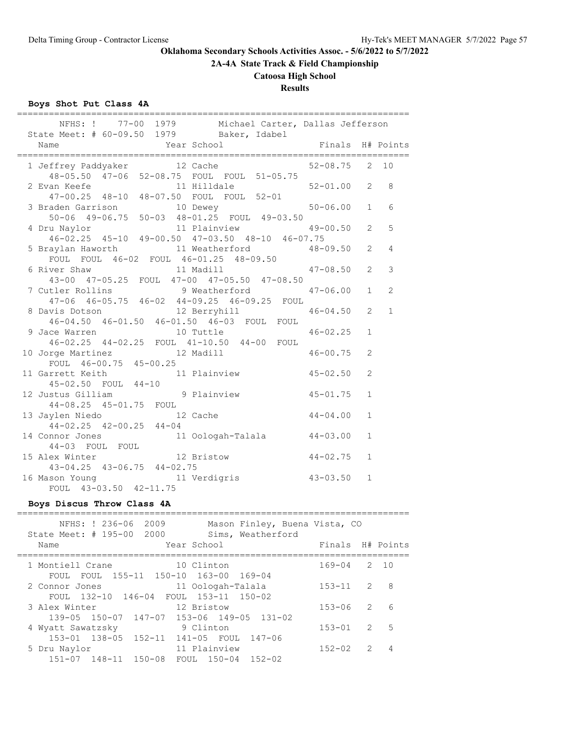**2A-4A State Track & Field Championship**

# **Catoosa High School**

# **Results**

# **Boys Shot Put Class 4A**

| NFHS: ! 77-00 1979 Michael Carter, Dallas Jefferson<br>State Meet: # 60-09.50 1979 Baker, Idabel         |                |
|----------------------------------------------------------------------------------------------------------|----------------|
| Finals H# Points<br>Year School<br>Name                                                                  |                |
| 1 Jeffrey Paddyaker 12 Cache 52-08.75 2 10<br>48-05.50 47-06 52-08.75 FOUL FOUL 51-05.75                 |                |
| 2 Evan Keefe 11 Hilldale<br>47-00.25 48-10 48-07.50 FOUL FOUL 52-01<br>$52 - 01.00$ 2                    | 8              |
| 3 Braden Garrison<br>50-06 49-06.75 50-03 48-01.25 FOUL 49-03.50<br>$50 - 06.00$ 1                       | 6              |
| 11 Plainview<br>$49 - 00.50$ 2<br>4 Dru Naylor<br>46-02.25 45-10 49-00.50 47-03.50 48-10 46-07.75        | $\overline{5}$ |
| 5 Braylan Haworth 11 Weatherford 48-09.50 2<br>FOUL FOUL 46-02 FOUL 46-01.25 48-09.50                    | $\overline{4}$ |
| 6 River Shaw<br>11 Madill<br>$47 - 08.50$ 2<br>43-00 47-05.25 FOUL 47-00 47-05.50 47-08.50               | 3              |
| 7 Cutler Rollins 9 Weatherford<br>$47 - 06.00$ 1<br>47-06 46-05.75 46-02 44-09.25 46-09.25 FOUL          | 2              |
| 8 Davis Dotson 12 Berryhill<br>$46 - 04.50$ 2<br>46-04.50 46-01.50 46-01.50 46-03 FOUL FOUL              | $\mathbf{1}$   |
| 10 Tuttle<br>$46 - 02.25$<br>$\mathbf{1}$<br>9 Jace Warren<br>46-02.25 44-02.25 FOUL 41-10.50 44-00 FOUL |                |
| 10 Jorge Martinez 12 Madill<br>$\overline{2}$<br>$46 - 00.75$<br>FOUL 46-00.75 45-00.25                  |                |
| 11 Garrett Keith 11 Plainview 45-02.50<br>45-02.50 FOUL 44-10<br>2                                       |                |
| 12 Justus Gilliam 12 9 Plainview<br>$45 - 01.75$<br>$\mathbf{1}$<br>44-08.25 45-01.75 FOUL               |                |
| 13 Jaylen Niedo 12 Cache<br>44-02.25 42-00.25 44-04<br>$44 - 04.00$<br>$\mathbf{1}$                      |                |
| 14 Connor Jones 11 Oologah-Talala 44-03.00<br>44-03 FOUL FOUL<br>$\mathbf{1}$                            |                |
| 15 Alex Winter 12 Bristow<br>44-02.75<br>$\mathbf{1}$<br>43-04.25 43-06.75 44-02.75                      |                |
| 16 Mason Young 11 Verdigris 43-03.50<br>FOUL 43-03.50 42-11.75<br>$\mathbf{1}$                           |                |

# **Boys Discus Throw Class 4A**

| NFHS: ! 236-06 2009<br>Mason Finley, Buena Vista, CO<br>State Meet: # 195-00 2000<br>Sims, Weatherford |            |               |           |
|--------------------------------------------------------------------------------------------------------|------------|---------------|-----------|
| Year School<br>Name                                                                                    | Finals     |               | H# Points |
| 1 Montiell Crane<br>10 Clinton                                                                         | 169-04     |               | 2 10      |
| FOUL FOUL 155-11 150-10 163-00 169-04<br>11 Oologah-Talala<br>2 Connor Jones                           | $153 - 11$ | $\mathcal{L}$ | 8         |
| FOUL 132-10 146-04 FOUL 153-11 150-02<br>12 Bristow<br>3 Alex Winter                                   | $153 - 06$ | $\mathcal{L}$ | 6         |
| $139-05$ $150-07$ $147-07$ $153-06$ $149-05$ $131-02$<br>9 Clinton<br>4 Wyatt Sawatzsky                | $153 - 01$ | $\mathcal{L}$ | 5         |
| 153-01 138-05 152-11 141-05 FOUL 147-06<br>11 Plainview                                                | $152 - 02$ | $\mathcal{L}$ | 4         |
| 5 Dru Naylor<br>151-07 148-11 150-08<br>FOUL 150-04 152-02                                             |            |               |           |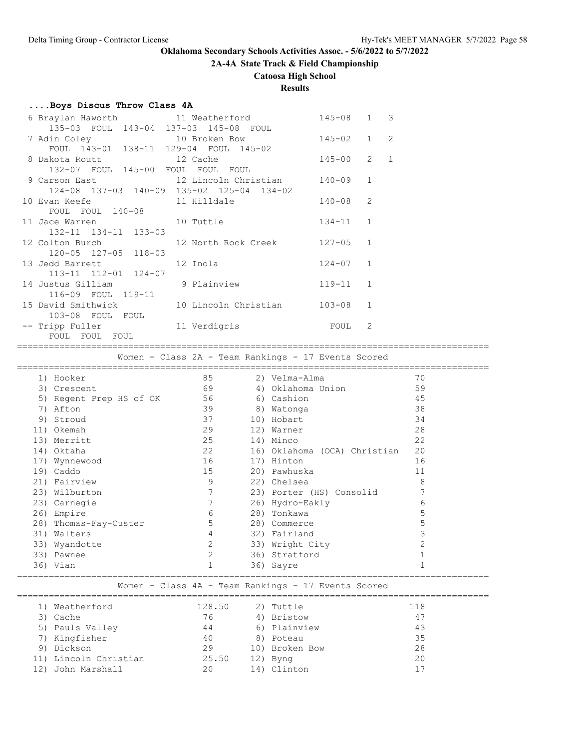# **2A-4A State Track & Field Championship**

# **Catoosa High School**

# **Results**

### **....Boys Discus Throw Class 4A**

| 135-03 FOUL 143-04 137-03 145-08 FOUL               | 6 Braylan Haworth                   11 Weatherford | $145 - 08$ 1 3 |   |  |
|-----------------------------------------------------|----------------------------------------------------|----------------|---|--|
| FOUL 143-01 138-11 129-04 FOUL 145-02               | 7 Adin Coley 10 Broken Bow 145-02 1 2              |                |   |  |
| 132-07 FOUL 145-00 FOUL FOUL FOUL                   | 8 Dakota Routt 12 Cache                            | $145 - 00$ 2 1 |   |  |
| 124-08 137-03 140-09 135-02 125-04 134-02           | 9 Carson East 12 Lincoln Christian 140-09 1        |                |   |  |
| FOUL FOUL 140-08                                    |                                                    |                | 2 |  |
| 11 Jace Warren 10 Tuttle<br>132-11 134-11 133-03    |                                                    | $134 - 11$ 1   |   |  |
| 120-05 127-05 118-03                                | 12 Colton Burch 12 North Rock Creek 127-05 1       |                |   |  |
| 13 Jedd Barrett 12 Inola<br>113-11 112-01 124-07    |                                                    | $124 - 07$ 1   |   |  |
| 14 Justus Gilliam 9 Plainview<br>116-09 FOUL 119-11 |                                                    | $119-11$ 1     |   |  |
| 103-08 FOUL FOUL                                    | 15 David Smithwick 10 Lincoln Christian 103-08 1   |                |   |  |
| FOUL FOUL FOUL                                      | -- Tripp Fuller 11 Verdigris 10 FOUL 2             |                |   |  |

Women - Class 2A - Team Rankings - 17 Events Scored

|     | 1) Hooker             | 85             |    | 2) Velma-Alma                | 70 |
|-----|-----------------------|----------------|----|------------------------------|----|
| 3)  | Crescent              | 69             |    | 4) Oklahoma Union            | 59 |
| 5)  | Regent Prep HS of OK  | 56             |    | 6) Cashion                   | 45 |
| 7)  | Afton                 | 39             | 8) | Watonga                      | 38 |
| 9)  | Stroud                | 37             |    | 10) Hobart                   | 34 |
|     | 11) Okemah            | 29             |    | 12) Warner                   | 28 |
|     | 13) Merritt           | 25             |    | 14) Minco                    | 22 |
|     | 14) Oktaha            | 22             |    | 16) Oklahoma (OCA) Christian | 20 |
|     | 17) Wynnewood         | 16             |    | 17) Hinton                   | 16 |
|     | 19) Caddo             | 15             |    | 20) Pawhuska                 | 11 |
|     | 21) Fairview          | 9              |    | 22) Chelsea                  | 8  |
|     | 23) Wilburton         | 7              |    | 23) Porter (HS) Consolid     |    |
|     | 23) Carnegie          |                |    | 26) Hydro-Eakly              | 6  |
| 26) | Empire                | 6              |    | 28) Tonkawa                  | 5  |
|     | 28) Thomas-Fay-Custer | 5              |    | 28) Commerce                 | 5  |
| 31) | Walters               | 4              |    | 32) Fairland                 | 3  |
|     | 33) Wyandotte         | 2              |    | 33) Wright City              | 2  |
| 33) | Pawnee                | $\overline{2}$ |    | 36) Stratford                |    |
|     | 36) Vian              |                |    | 36) Sayre                    |    |
|     |                       |                |    |                              |    |

#### Women - Class 4A - Team Rankings - 17 Events Scored

| 1) Weatherford        | 128.50 | 2) Tuttle      | 118 |
|-----------------------|--------|----------------|-----|
| 3) Cache              | 76     | 4) Bristow     | 47  |
| 5) Pauls Valley       | 44     | 6) Plainview   | 43  |
| 7) Kingfisher         | 40     | 8) Poteau      | 35  |
| 9) Dickson            | 29     | 10) Broken Bow | 28  |
| 11) Lincoln Christian | 25.50  | 12) Byng       | 20  |
| John Marshall         | 20     | 14) Clinton    |     |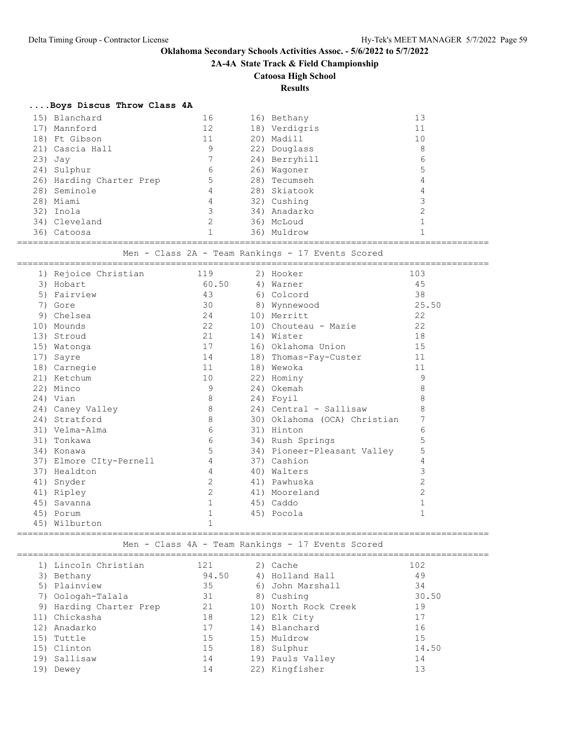**2A-4A State Track & Field Championship**

# **Catoosa High School**

# **Results**

|  | Boys Discus Throw Class 4A |    |               |                |
|--|----------------------------|----|---------------|----------------|
|  | 15) Blanchard              | 16 | 16) Bethany   | 13             |
|  | 17) Mannford               | 12 | 18) Verdigris | 11             |
|  | 18) Ft Gibson              | 11 | 20) Madill    | 10             |
|  | 21) Cascia Hall            | 9  | 22) Douglass  | 8              |
|  | 23) Jay                    |    | 24) Berryhill | 6              |
|  | 24) Sulphur                | 6  | 26) Waqoner   | 5              |
|  | 26) Harding Charter Prep   | 5  | 28) Tecumseh  | $\overline{4}$ |
|  | 28) Seminole               | 4  | 28) Skiatook  | $\overline{4}$ |
|  | 28) Miami                  | 4  | 32) Cushing   | 3              |
|  | 32) Inola                  | 3  | 34) Anadarko  | 2              |
|  | 34) Cleveland              | 2  | 36) McLoud    | $\mathbf{1}$   |
|  | 36) Catoosa                |    | 36) Muldrow   |                |

=========================================================================================

Men - Class 2A - Team Rankings - 17 Events Scored

|     | 1) Rejoice Christian    | 119   | 2) Hooker                    | 103          |
|-----|-------------------------|-------|------------------------------|--------------|
|     | 3) Hobart               | 60.50 | 4) Warner                    | 45           |
|     | 5) Fairview             | 43    | 6) Colcord                   | 38           |
|     | 7) Gore                 | 30    | 8) Wynnewood                 | 25.50        |
|     | 9) Chelsea              | 24    | 10) Merritt                  | 22           |
|     | 10) Mounds              | 22    | 10) Chouteau - Mazie         | 22           |
|     | 13) Stroud              | 21    | 14) Wister                   | 18           |
|     | 15) Watonga             | 17    | 16) Oklahoma Union           | 15           |
|     | 17) Sayre               | 14    | 18) Thomas-Fay-Custer        | 11           |
|     | 18) Carnegie            | 11    | 18) Wewoka                   | 11           |
|     | 21) Ketchum             | 10    | 22) Hominy                   | 9            |
|     | 22) Minco               | 9     | 24) Okemah                   | 8            |
|     | 24) Vian                | 8     | 24) Foyil                    | 8            |
|     | 24) Caney Valley        | 8     | 24) Central - Sallisaw       | 8            |
|     | 24) Stratford           | 8     | 30) Oklahoma (OCA) Christian | 7            |
|     | 31) Velma-Alma          | 6     | 31) Hinton                   | 6            |
|     | 31) Tonkawa             | 6     | 34) Rush Springs             | 5            |
|     | 34) Konawa              | 5     | 34) Pioneer-Pleasant Valley  | 5            |
|     | 37) Elmore CIty-Pernell | 4     | 37) Cashion                  | 4            |
|     | 37) Healdton            | 4     | 40) Walters                  | 3            |
| 41) | Snyder                  | 2     | 41) Pawhuska                 | $\mathbf{2}$ |
|     | 41) Ripley              | 2     | 41) Mooreland                | $\mathbf{2}$ |
|     | 45) Savanna             | 1     | 45) Caddo                    | $\mathbf 1$  |
|     | 45) Porum               | 1     | 45) Pocola                   | $\mathbf{1}$ |
|     | 45) Wilburton           | 1     |                              |              |

========================================================================================= Men - Class 4A - Team Rankings - 17 Events Scored

|     | 1) Lincoln Christian    | 121   | 2) Cache             | 102   |
|-----|-------------------------|-------|----------------------|-------|
|     | 3) Bethany              | 94.50 | 4) Holland Hall      | 49    |
|     | 5) Plainview            | 35    | 6) John Marshall     | 34    |
|     | 7) Oologah-Talala       | 31    | 8) Cushing           | 30.50 |
|     | 9) Harding Charter Prep | 21    | 10) North Rock Creek | 19    |
|     | 11) Chickasha           | 18    | 12) Elk City         | 17    |
| 12) | Anadarko                | 17    | 14) Blanchard        | 16    |
|     | 15) Tuttle              | 15    | 15) Muldrow          | 15    |
|     | 15) Clinton             | 15    | 18) Sulphur          | 14.50 |
|     | 19) Sallisaw            | 14    | 19) Pauls Valley     | 14    |
| 19) | Dewey                   | 14    | 22) Kingfisher       | 13    |
|     |                         |       |                      |       |